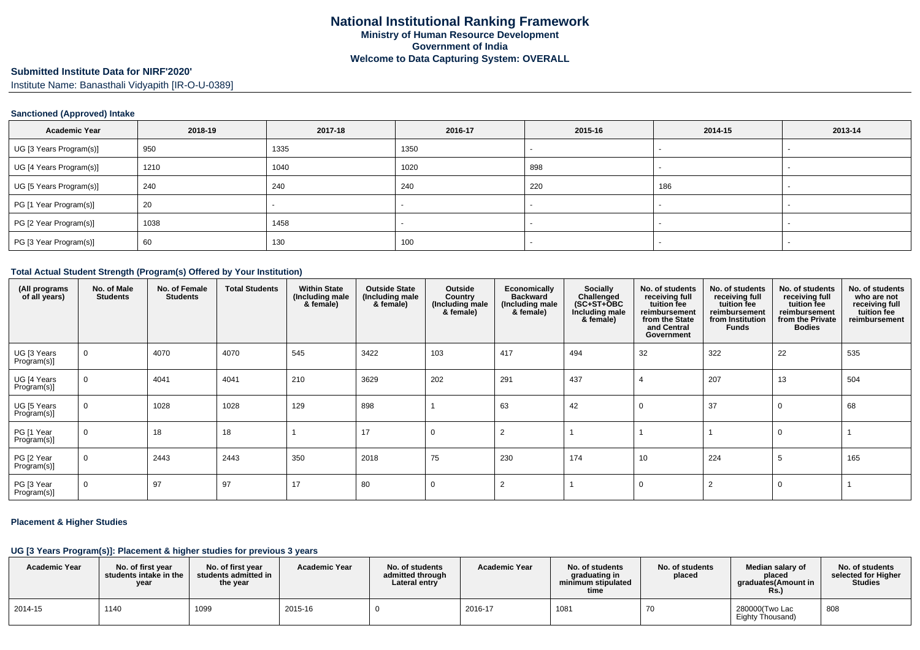# **Submitted Institute Data for NIRF'2020'**

Institute Name: Banasthali Vidyapith [IR-O-U-0389]

### **Sanctioned (Approved) Intake**

| <b>Academic Year</b>    | 2018-19 | 2017-18 | 2016-17 | 2015-16 | 2014-15 | 2013-14 |
|-------------------------|---------|---------|---------|---------|---------|---------|
| UG [3 Years Program(s)] | 950     | 1335    | 1350    |         |         |         |
| UG [4 Years Program(s)] | 1210    | 1040    | 1020    | 898     |         |         |
| UG [5 Years Program(s)] | 240     | 240     | 240     | 220     | 186     |         |
| PG [1 Year Program(s)]  | 20      |         |         |         |         |         |
| PG [2 Year Program(s)]  | 1038    | 1458    |         |         |         |         |
| PG [3 Year Program(s)]  | 60      | 130     | 100     |         |         |         |

### **Total Actual Student Strength (Program(s) Offered by Your Institution)**

| (All programs<br>of all years) | No. of Male<br><b>Students</b> | No. of Female<br><b>Students</b> | <b>Total Students</b> | <b>Within State</b><br>(Including male<br>& female) | <b>Outside State</b><br>(Including male<br>& female) | Outside<br>Country<br>(Including male<br>& female) | Economically<br><b>Backward</b><br>(Including male<br>& female) | Socially<br>Challenged<br>$(SC+ST+ÖBC)$<br>Including male<br>& female) | No. of students<br>receiving full<br>tuition fee<br>reimbursement<br>from the State<br>and Central<br>Government | No. of students<br>receiving full<br>tuition fee<br>reimbursement<br>from Institution<br><b>Funds</b> | No. of students<br>receiving full<br>tuition fee<br>reimbursement<br>from the Private<br><b>Bodies</b> | No. of students<br>who are not<br>receiving full<br>tuition fee<br>reimbursement |
|--------------------------------|--------------------------------|----------------------------------|-----------------------|-----------------------------------------------------|------------------------------------------------------|----------------------------------------------------|-----------------------------------------------------------------|------------------------------------------------------------------------|------------------------------------------------------------------------------------------------------------------|-------------------------------------------------------------------------------------------------------|--------------------------------------------------------------------------------------------------------|----------------------------------------------------------------------------------|
| UG [3 Years<br>Program(s)]     | 0                              | 4070                             | 4070                  | 545                                                 | 3422                                                 | 103                                                | 417                                                             | 494                                                                    | 32                                                                                                               | 322                                                                                                   | 22                                                                                                     | 535                                                                              |
| UG [4 Years<br>Program(s)]     | $\mathbf 0$                    | 4041                             | 4041                  | 210                                                 | 3629                                                 | 202                                                | 291                                                             | 437                                                                    |                                                                                                                  | 207                                                                                                   | 13                                                                                                     | 504                                                                              |
| UG [5 Years<br>Program(s)]     | $\mathbf 0$                    | 1028                             | 1028                  | 129                                                 | 898                                                  |                                                    | 63                                                              | 42                                                                     |                                                                                                                  | 37                                                                                                    |                                                                                                        | 68                                                                               |
| PG [1 Year<br>Program(s)]      | $\mathbf 0$                    | 18                               | 18                    |                                                     | 17                                                   | $\mathbf 0$                                        | $\overline{2}$                                                  |                                                                        |                                                                                                                  |                                                                                                       |                                                                                                        |                                                                                  |
| PG [2 Year<br>Program(s)]      | $\mathbf 0$                    | 2443                             | 2443                  | 350                                                 | 2018                                                 | 75                                                 | 230                                                             | 174                                                                    | 10                                                                                                               | 224                                                                                                   |                                                                                                        | 165                                                                              |
| PG [3 Year<br>Program(s)]      | 0                              | 97                               | 97                    | 17                                                  | 80                                                   | 0                                                  | $\overline{2}$                                                  |                                                                        |                                                                                                                  | 2                                                                                                     | 0                                                                                                      |                                                                                  |

#### **Placement & Higher Studies**

## **UG [3 Years Program(s)]: Placement & higher studies for previous 3 years**

| <b>Academic Year</b> | No. of first vear<br>students intake in the<br>year | No. of first year<br>students admitted in<br>the year | <b>Academic Year</b> | No. of students<br>admitted through<br>Lateral entry | <b>Academic Year</b> | No. of students<br>graduating in<br>minimum stipulated<br>time | No. of students<br>placed | Median salary of<br>placed<br>araduates(Amount in<br>Rs. | No. of students<br>selected for Higher<br>Studies |
|----------------------|-----------------------------------------------------|-------------------------------------------------------|----------------------|------------------------------------------------------|----------------------|----------------------------------------------------------------|---------------------------|----------------------------------------------------------|---------------------------------------------------|
| 2014-15              | 1140                                                | 1099                                                  | 2015-16              |                                                      | 2016-17              | 1081                                                           |                           | 280000(Two Lac<br>Eighty Thousand)                       | 808                                               |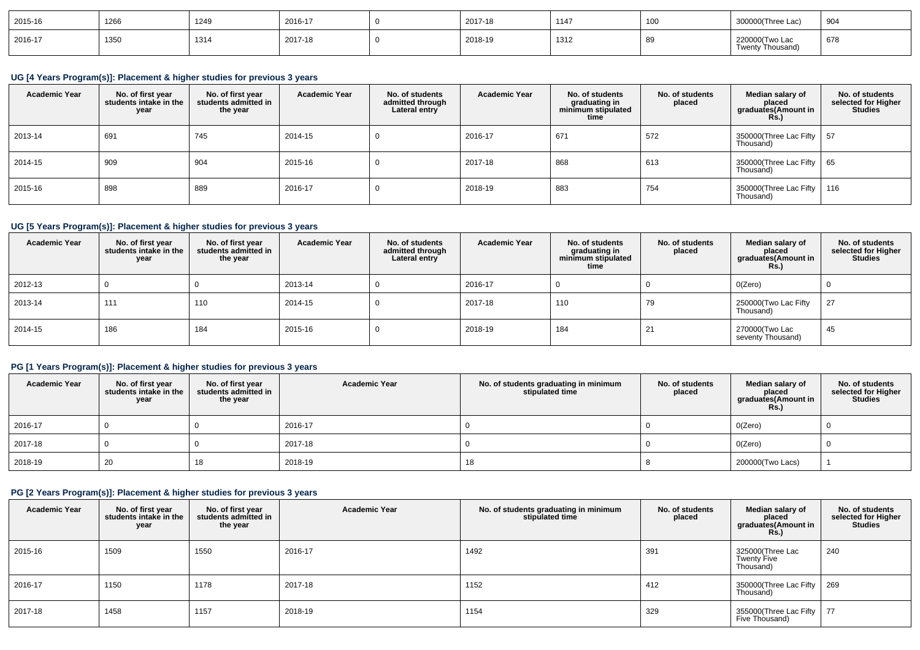| 2015-16 | 1266 | 1249 | 2016-17 | 2017-18 | 1147 | $\Lambda$<br>1 U U | J0(Three Lac'                                               | 904           |
|---------|------|------|---------|---------|------|--------------------|-------------------------------------------------------------|---------------|
| 2016-17 | 1350 | 1314 | 2017-18 | 2018-19 | 1312 | - 01<br>໐ສ         | <sup>22</sup> 0000 Two La<br><b>220</b><br>Twenty Thousand) | $\sim$<br>678 |

## **UG [4 Years Program(s)]: Placement & higher studies for previous 3 years**

| <b>Academic Year</b> | No. of first year<br>students intake in the<br>year | No. of first year<br>students admitted in<br>the year | <b>Academic Year</b> | No. of students<br>admitted through<br>Lateral entry | <b>Academic Year</b> | No. of students<br>graduating in<br>minimum stipulated<br>time | No. of students<br>placed | Median salary of<br>placed<br>graduates(Amount in<br>Rs.) | No. of students<br>selected for Higher<br><b>Studies</b> |
|----------------------|-----------------------------------------------------|-------------------------------------------------------|----------------------|------------------------------------------------------|----------------------|----------------------------------------------------------------|---------------------------|-----------------------------------------------------------|----------------------------------------------------------|
| 2013-14              | 691                                                 | 745                                                   | 2014-15              |                                                      | 2016-17              | 671                                                            | 572                       | 350000(Three Lac Fifty   57<br>Thousand)                  |                                                          |
| 2014-15              | 909                                                 | 904                                                   | 2015-16              |                                                      | 2017-18              | 868                                                            | 613                       | 350000(Three Lac Fifty   65<br>Thousand)                  |                                                          |
| 2015-16              | 898                                                 | 889                                                   | 2016-17              |                                                      | 2018-19              | 883                                                            | 754                       | 350000(Three Lac Fifty   116<br>Thousand)                 |                                                          |

## **UG [5 Years Program(s)]: Placement & higher studies for previous 3 years**

| <b>Academic Year</b> | No. of first year<br>students intake in the<br>year | No. of first vear<br>students admitted in<br>the year | <b>Academic Year</b> | No. of students<br>admitted through<br>Lateral entry | <b>Academic Year</b> | No. of students<br>graduating in<br>minimum stipulated<br>time | No. of students<br>placed | Median salary of<br>placed<br>graduates(Amount in<br><b>Rs.</b> ) | No. of students<br>selected for Higher<br><b>Studies</b> |
|----------------------|-----------------------------------------------------|-------------------------------------------------------|----------------------|------------------------------------------------------|----------------------|----------------------------------------------------------------|---------------------------|-------------------------------------------------------------------|----------------------------------------------------------|
| $ 2012-13$           |                                                     |                                                       | 2013-14              |                                                      | 2016-17              |                                                                |                           | O(Zero)                                                           |                                                          |
| 2013-14              | 111                                                 | 110                                                   | 2014-15              |                                                      | 2017-18              | 110                                                            | 79                        | 250000(Two Lac Fifty<br>Thousand)                                 | 27                                                       |
| $2014 - 15$          | 186                                                 | 184                                                   | 2015-16              |                                                      | 2018-19              | 184                                                            | 21                        | 270000(Two Lac<br>seventy Thousand)                               | 45                                                       |

## **PG [1 Years Program(s)]: Placement & higher studies for previous 3 years**

| <b>Academic Year</b> | No. of first year<br>students intake in the<br>year | No. of first year<br>students admitted in<br>the year | <b>Academic Year</b> | No. of students graduating in minimum<br>stipulated time | No. of students<br>placed | Median salary of<br>placed<br>graduates(Amount in<br>Rs.) | No. of students<br>selected for Higher<br><b>Studies</b> |
|----------------------|-----------------------------------------------------|-------------------------------------------------------|----------------------|----------------------------------------------------------|---------------------------|-----------------------------------------------------------|----------------------------------------------------------|
| 2016-17              |                                                     |                                                       | 2016-17              |                                                          |                           | O(Zero)                                                   |                                                          |
| 2017-18              |                                                     |                                                       | 2017-18              |                                                          |                           | O(Zero)                                                   |                                                          |
| 2018-19              | 20                                                  | 18                                                    | 2018-19              | 18                                                       |                           | 200000(Two Lacs)                                          |                                                          |

# **PG [2 Years Program(s)]: Placement & higher studies for previous 3 years**

| <b>Academic Year</b> | No. of first year<br>students intake in the<br>year | No. of first year<br>students admitted in<br>the year | <b>Academic Year</b> | No. of students graduating in minimum<br>stipulated time | No. of students<br>placed | Median salary of<br>placed<br>graduates(Amount in<br><b>Rs.)</b> | No. of students<br>selected for Higher<br><b>Studies</b> |
|----------------------|-----------------------------------------------------|-------------------------------------------------------|----------------------|----------------------------------------------------------|---------------------------|------------------------------------------------------------------|----------------------------------------------------------|
| 2015-16              | 1509                                                | 1550                                                  | 2016-17              | 1492                                                     | 391                       | 325000(Three Lac<br><b>Twenty Five</b><br>Thousand)              | 240                                                      |
| 2016-17              | 1150                                                | 1178                                                  | 2017-18              | 1152                                                     | 412                       | 350000(Three Lac Fifty<br>Thousand)                              | 269                                                      |
| 2017-18              | 1458                                                | 1157                                                  | 2018-19              | 1154                                                     | 329                       | 355000(Three Lac Fifty<br>Five Thousand)                         | 77                                                       |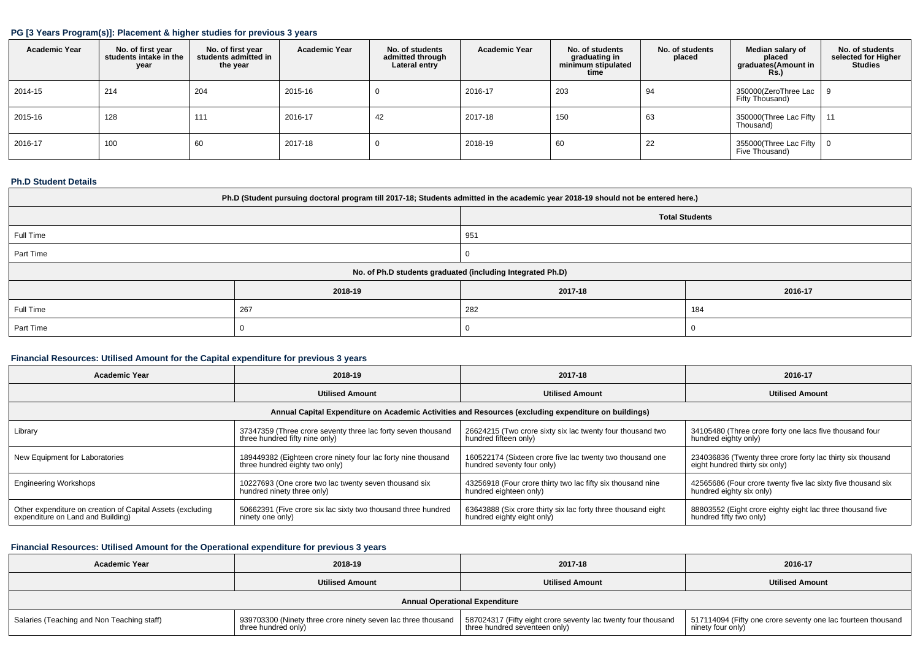### **PG [3 Years Program(s)]: Placement & higher studies for previous 3 years**

| <b>Academic Year</b> | No. of first year<br>students intake in the<br>year | No. of first year<br>students admitted in<br>the year | <b>Academic Year</b> | No. of students<br>admitted through<br>Lateral entry | <b>Academic Year</b> | No. of students<br>graduating in<br>minimum stipulated<br>time | No. of students<br>placed | Median salary of<br>placed<br>graduates(Amount in<br>Rs.) | No. of students<br>selected for Higher<br><b>Studies</b> |
|----------------------|-----------------------------------------------------|-------------------------------------------------------|----------------------|------------------------------------------------------|----------------------|----------------------------------------------------------------|---------------------------|-----------------------------------------------------------|----------------------------------------------------------|
| 2014-15              | 214                                                 | 204                                                   | 2015-16              | U                                                    | 2016-17              | 203                                                            | 94                        | 350000(ZeroThree Lac  <br>Fifty Thousand)                 |                                                          |
| 2015-16              | 128                                                 | 111                                                   | 2016-17              | 42                                                   | 2017-18              | 150                                                            | 63                        | 350000(Three Lac Fifty   11<br>Thousand)                  |                                                          |
| 2016-17              | 100                                                 | 60                                                    | 2017-18              | υ                                                    | 2018-19              | 60                                                             | 22                        | 355000(Three Lac Fifty $\vert 0 \vert$<br>Five Thousand)  |                                                          |

### **Ph.D Student Details**

| Ph.D (Student pursuing doctoral program till 2017-18; Students admitted in the academic year 2018-19 should not be entered here.) |         |                                                            |         |  |  |  |  |
|-----------------------------------------------------------------------------------------------------------------------------------|---------|------------------------------------------------------------|---------|--|--|--|--|
| <b>Total Students</b>                                                                                                             |         |                                                            |         |  |  |  |  |
| Full Time<br>951                                                                                                                  |         |                                                            |         |  |  |  |  |
| Part Time                                                                                                                         |         |                                                            |         |  |  |  |  |
|                                                                                                                                   |         | No. of Ph.D students graduated (including Integrated Ph.D) |         |  |  |  |  |
|                                                                                                                                   | 2018-19 | 2017-18                                                    | 2016-17 |  |  |  |  |
| Full Time                                                                                                                         | 267     | 282<br>184                                                 |         |  |  |  |  |
| Part Time                                                                                                                         |         |                                                            |         |  |  |  |  |

## **Financial Resources: Utilised Amount for the Capital expenditure for previous 3 years**

| <b>Academic Year</b>                                                                                 | 2018-19                                                       | 2017-18                                                       | 2016-17                                                      |  |  |  |  |  |
|------------------------------------------------------------------------------------------------------|---------------------------------------------------------------|---------------------------------------------------------------|--------------------------------------------------------------|--|--|--|--|--|
|                                                                                                      | <b>Utilised Amount</b>                                        | <b>Utilised Amount</b>                                        | <b>Utilised Amount</b>                                       |  |  |  |  |  |
| Annual Capital Expenditure on Academic Activities and Resources (excluding expenditure on buildings) |                                                               |                                                               |                                                              |  |  |  |  |  |
| Library                                                                                              | 37347359 (Three crore seventy three lac forty seven thousand  | 26624215 (Two crore sixty six lac twenty four thousand two    | 34105480 (Three crore forty one lacs five thousand four      |  |  |  |  |  |
|                                                                                                      | three hundred fifty nine only)                                | hundred fifteen only)                                         | hundred eighty only)                                         |  |  |  |  |  |
| New Equipment for Laboratories                                                                       | 189449382 (Eighteen crore ninety four lac forty nine thousand | 160522174 (Sixteen crore five lac twenty two thousand one     | 234036836 (Twenty three crore forty lac thirty six thousand  |  |  |  |  |  |
|                                                                                                      | three hundred eighty two only)                                | hundred seventy four only)                                    | eight hundred thirty six only)                               |  |  |  |  |  |
| <b>Engineering Workshops</b>                                                                         | 10227693 (One crore two lac twenty seven thousand six         | 43256918 (Four crore thirty two lac fifty six thousand nine   | 42565686 (Four crore twenty five lac sixty five thousand six |  |  |  |  |  |
|                                                                                                      | hundred ninety three only)                                    | hundred eighteen only)                                        | hundred eighty six only)                                     |  |  |  |  |  |
| Other expenditure on creation of Capital Assets (excluding                                           | 50662391 (Five crore six lac sixty two thousand three hundred | 63643888 (Six crore thirty six lac forty three thousand eight | 88803552 (Eight crore eighty eight lac three thousand five   |  |  |  |  |  |
| expenditure on Land and Building)                                                                    | ninety one only)                                              | hundred eighty eight only)                                    | hundred fifty two only)                                      |  |  |  |  |  |

## **Financial Resources: Utilised Amount for the Operational expenditure for previous 3 years**

| <b>Academic Year</b>                       | 2018-19                                                                              | 2017-18                                                                                        | 2016-17                                                                             |
|--------------------------------------------|--------------------------------------------------------------------------------------|------------------------------------------------------------------------------------------------|-------------------------------------------------------------------------------------|
|                                            | <b>Utilised Amount</b>                                                               | <b>Utilised Amount</b>                                                                         | <b>Utilised Amount</b>                                                              |
|                                            |                                                                                      | <b>Annual Operational Expenditure</b>                                                          |                                                                                     |
| Salaries (Teaching and Non Teaching staff) | 939703300 (Ninety three crore ninety seven lac three thousand<br>three hundred only) | 587024317 (Fifty eight crore seventy lac twenty four thousand<br>three hundred seventeen only) | 517114094 (Fifty one crore seventy one lac fourteen thousand  <br>ninety four only) |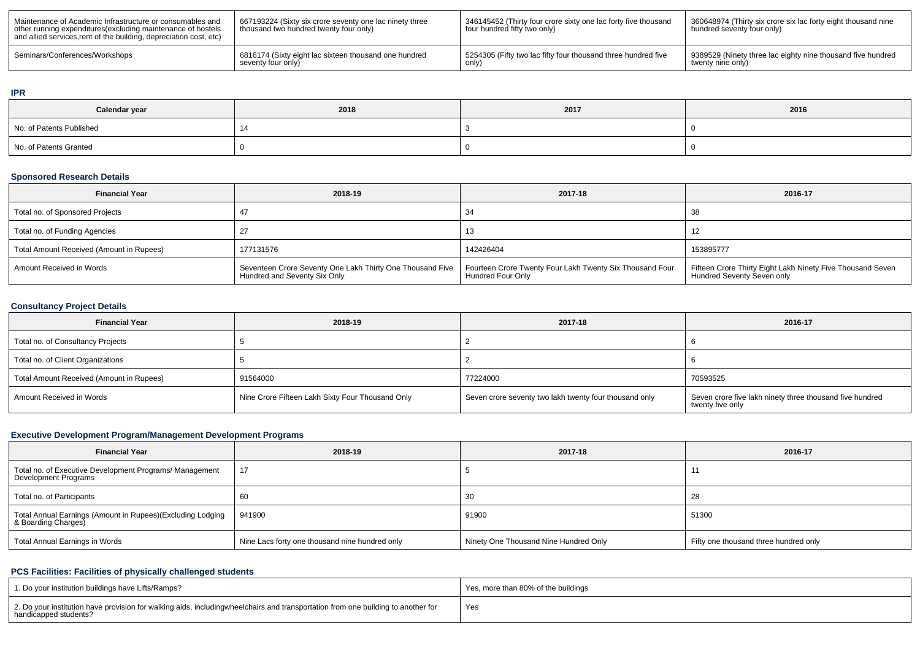| Maintenance of Academic Infrastructure or consumables and<br>other running expenditures (excluding maintenance of hostels<br>and allied services, rent of the building, depreciation cost, etc) | 667193224 (Sixty six crore seventy one lac ninety three<br>thousand two hundred twenty four only) | 346145452 (Thirty four crore sixty one lac forty five thousand<br>four hundred fifty two only) | 360648974 (Thirty six crore six lac forty eight thousand nine<br>hundred seventy four only) |
|-------------------------------------------------------------------------------------------------------------------------------------------------------------------------------------------------|---------------------------------------------------------------------------------------------------|------------------------------------------------------------------------------------------------|---------------------------------------------------------------------------------------------|
| Seminars/Conferences/Workshops                                                                                                                                                                  | 6816174 (Sixty eight lac sixteen thousand one hundred                                             | 5254305 (Fifty two lac fifty four thousand three hundred five                                  | 9389529 (Ninety three lac eighty nine thousand five hundred                                 |
|                                                                                                                                                                                                 | seventy four only)                                                                                | only'                                                                                          | twenty nine only)                                                                           |

#### **IPR**

| Calendar year            | 2018 | ${\bf 2017}$ | 2016 |
|--------------------------|------|--------------|------|
| No. of Patents Published |      |              |      |
| No. of Patents Granted   |      |              |      |

### **Sponsored Research Details**

| <b>Financial Year</b>                    | 2018-19                                                                                   | 2017-18                                                                       | 2016-17                                                                                  |
|------------------------------------------|-------------------------------------------------------------------------------------------|-------------------------------------------------------------------------------|------------------------------------------------------------------------------------------|
| Total no. of Sponsored Projects          |                                                                                           | 34                                                                            | 38                                                                                       |
| Total no. of Funding Agencies            |                                                                                           | 13                                                                            |                                                                                          |
| Total Amount Received (Amount in Rupees) | 177131576                                                                                 | 142426404                                                                     | 153895777                                                                                |
| Amount Received in Words                 | Seventeen Crore Seventy One Lakh Thirty One Thousand Five<br>Hundred and Seventy Six Only | Fourteen Crore Twenty Four Lakh Twenty Six Thousand Four<br>Hundred Four Only | Fifteen Crore Thirty Eight Lakh Ninety Five Thousand Seven<br>Hundred Seventy Seven only |

## **Consultancy Project Details**

| <b>Financial Year</b>                    | 2018-19                                          | 2017-18                                                | 2016-17                                                                      |
|------------------------------------------|--------------------------------------------------|--------------------------------------------------------|------------------------------------------------------------------------------|
| Total no. of Consultancy Projects        |                                                  |                                                        |                                                                              |
| Total no. of Client Organizations        |                                                  |                                                        |                                                                              |
| Total Amount Received (Amount in Rupees) | 91564000                                         | 77224000                                               | 70593525                                                                     |
| Amount Received in Words                 | Nine Crore Fifteen Lakh Sixty Four Thousand Only | Seven crore seventy two lakh twenty four thousand only | Seven crore five lakh ninety three thousand five hundred<br>twenty five only |

## **Executive Development Program/Management Development Programs**

| <b>Financial Year</b>                                                             | 2018-19                                        | 2017-18                               | 2016-17                               |
|-----------------------------------------------------------------------------------|------------------------------------------------|---------------------------------------|---------------------------------------|
| Total no. of Executive Development Programs/ Management<br>Development Programs   | 17                                             |                                       |                                       |
| Total no. of Participants                                                         | 60                                             | -30                                   | 28                                    |
| Total Annual Earnings (Amount in Rupees)(Excluding Lodging<br>& Boarding Charges) | 941900                                         | 91900                                 | 51300                                 |
| Total Annual Earnings in Words                                                    | Nine Lacs forty one thousand nine hundred only | Ninety One Thousand Nine Hundred Only | Fifty one thousand three hundred only |

## **PCS Facilities: Facilities of physically challenged students**

| 1. Do your institution buildings have Lifts/Ramps?                                                                                                        | Yes, more than 80% of the buildings |
|-----------------------------------------------------------------------------------------------------------------------------------------------------------|-------------------------------------|
| 2. Do your institution have provision for walking aids, includingwheelchairs and transportation from one building to another for<br>handicapped students? | Yes                                 |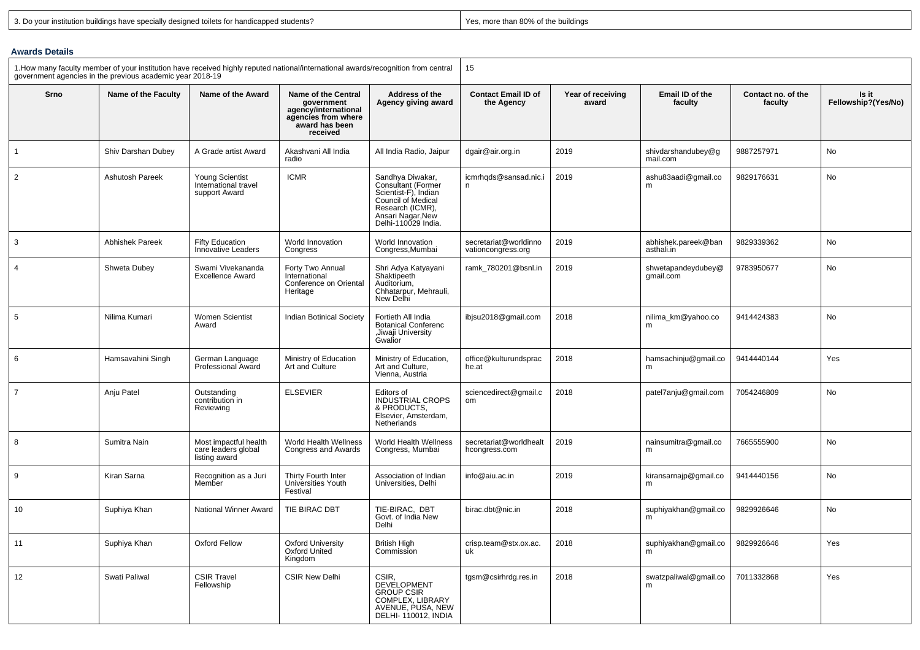|  | 3. Do your institution buildings have specially designed toilets for handicapped students? |  |  |  |  |  |
|--|--------------------------------------------------------------------------------------------|--|--|--|--|--|
|--|--------------------------------------------------------------------------------------------|--|--|--|--|--|

Yes, more than 80% of the buildings

## **Awards Details**

| 1. How many faculty member of your institution have received highly reputed national/international awards/recognition from central<br>government agencies in the previous academic year 2018-19 |                        | 15                                                              |                                                                                                                |                                                                                                                                                      |                                             |                            |                                   |                               |                              |
|-------------------------------------------------------------------------------------------------------------------------------------------------------------------------------------------------|------------------------|-----------------------------------------------------------------|----------------------------------------------------------------------------------------------------------------|------------------------------------------------------------------------------------------------------------------------------------------------------|---------------------------------------------|----------------------------|-----------------------------------|-------------------------------|------------------------------|
| Srno                                                                                                                                                                                            | Name of the Faculty    | Name of the Award                                               | Name of the Central<br>government<br>agency/international<br>agencies from where<br>award has been<br>received | Address of the<br>Agency giving award                                                                                                                | <b>Contact Email ID of</b><br>the Agency    | Year of receiving<br>award | Email ID of the<br>faculty        | Contact no. of the<br>faculty | Is it<br>Fellowship?(Yes/No) |
| $\mathbf{1}$                                                                                                                                                                                    | Shiv Darshan Dubey     | A Grade artist Award                                            | Akashvani All India<br>radio                                                                                   | All India Radio, Jaipur                                                                                                                              | dgair@air.org.in                            | 2019                       | shivdarshandubey@g<br>mail.com    | 9887257971                    | No                           |
| $\overline{2}$                                                                                                                                                                                  | Ashutosh Pareek        | <b>Young Scientist</b><br>International travel<br>support Award | <b>ICMR</b>                                                                                                    | Sandhya Diwakar,<br>Consultant (Former<br>Scientist-F), Indian<br>Council of Medical<br>Research (ICMR),<br>Ansari Nagar, New<br>Delhi-110029 India. | icmrhqds@sansad.nic.i<br>n                  | 2019                       | ashu83aadi@gmail.co<br>m          | 9829176631                    | No                           |
| 3                                                                                                                                                                                               | <b>Abhishek Pareek</b> | <b>Fifty Education</b><br><b>Innovative Leaders</b>             | World Innovation<br>Congress                                                                                   | World Innovation<br>Congress, Mumbai                                                                                                                 | secretariat@worldinno<br>vationcongress.org | 2019                       | abhishek.pareek@ban<br>asthali.in | 9829339362                    | No                           |
| $\overline{4}$                                                                                                                                                                                  | Shweta Dubey           | Swami Vivekananda<br><b>Excellence Award</b>                    | Forty Two Annual<br>International<br>Conference on Oriental<br>Heritage                                        | Shri Adya Katyayani<br>Shaktipeeth<br>Auditorium,<br>Chhatarpur, Mehrauli,<br>New Delhi                                                              | ramk_780201@bsnl.in                         | 2019                       | shwetapandeydubey@<br>qmail.com   | 9783950677                    | No                           |
| 5                                                                                                                                                                                               | Nilima Kumari          | Women Scientist<br>Award                                        | <b>Indian Botinical Society</b>                                                                                | Fortieth All India<br><b>Botanical Conferenc</b><br>,Jiwaji University<br>Gwalior                                                                    | ibjsu2018@gmail.com                         | 2018                       | nilima_km@yahoo.co<br>m           | 9414424383                    | No                           |
| 6                                                                                                                                                                                               | Hamsavahini Singh      | German Language<br><b>Professional Award</b>                    | Ministry of Education<br><b>Art and Culture</b>                                                                | Ministry of Education,<br>Art and Culture.<br>Vienna, Austria                                                                                        | office@kulturundsprac<br>he.at              | 2018                       | hamsachinju@gmail.co<br>m         | 9414440144                    | Yes                          |
| $\overline{7}$                                                                                                                                                                                  | Anju Patel             | Outstanding<br>contribution in<br>Reviewing                     | <b>ELSEVIER</b>                                                                                                | Editors of<br><b>INDUSTRIAL CROPS</b><br>& PRODUCTS,<br>Elsevier, Amsterdam,<br><b>Netherlands</b>                                                   | sciencedirect@gmail.c<br>om                 | 2018                       | patel7anju@gmail.com              | 7054246809                    | No                           |
| 8                                                                                                                                                                                               | Sumitra Nain           | Most impactful health<br>care leaders global<br>listing award   | World Health Wellness<br>Congress and Awards                                                                   | World Health Wellness<br>Congress, Mumbai                                                                                                            | secretariat@worldhealt<br>hcongress.com     | 2019                       | nainsumitra@gmail.co<br>m         | 7665555900                    | No                           |
| 9                                                                                                                                                                                               | Kiran Sarna            | Recognition as a Juri<br>Member                                 | Thirty Fourth Inter<br>Universities Youth<br>Festival                                                          | Association of Indian<br>Universities, Delhi                                                                                                         | info@aiu.ac.in                              | 2019                       | kiransarnajp@gmail.co<br>m        | 9414440156                    | No                           |
| 10                                                                                                                                                                                              | Suphiya Khan           | National Winner Award                                           | TIE BIRAC DBT                                                                                                  | TIE-BIRAC, DBT<br>Govt. of India New<br>Delhi                                                                                                        | birac.dbt@nic.in                            | 2018                       | suphiyakhan@gmail.co<br>m         | 9829926646                    | No                           |
| 11                                                                                                                                                                                              | Suphiya Khan           | Oxford Fellow                                                   | <b>Oxford University</b><br><b>Oxford United</b><br>Kingdom                                                    | <b>British High</b><br>Commission                                                                                                                    | crisp.team@stx.ox.ac.<br>uk                 | 2018                       | suphiyakhan@gmail.co<br>m         | 9829926646                    | Yes                          |
| 12                                                                                                                                                                                              | Swati Paliwal          | <b>CSIR Travel</b><br>Fellowship                                | <b>CSIR New Delhi</b>                                                                                          | CSIR,<br><b>DEVELOPMENT</b><br><b>GROUP CSIR</b><br>COMPLEX, LIBRARY<br>AVENUE, PUSA, NEW<br>DELHI-110012, INDIA                                     | tgsm@csirhrdg.res.in                        | 2018                       | swatzpaliwal@gmail.co<br>m        | 7011332868                    | Yes                          |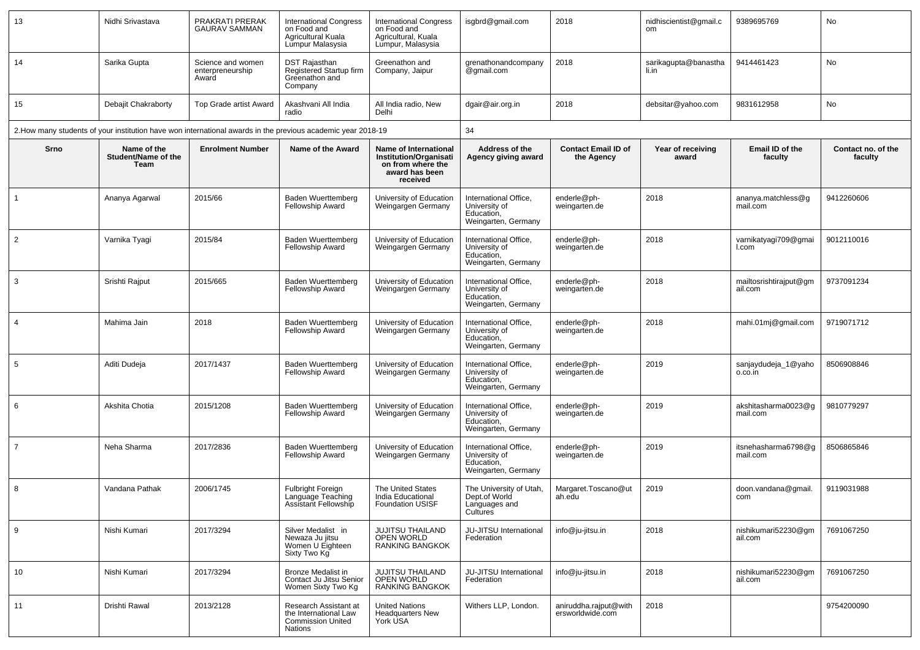| 13             | Nidhi Srivastava                           | PRAKRATI PRERAK<br>GAURAV SAMMAN               | <b>International Congress</b><br>on Food and<br>Agricultural Kuala<br>Lumpur Malasysia                       | <b>International Congress</b><br>on Food and<br>Agricultural, Kuala<br>Lumpur, Malasysia                  | isgbrd@gmail.com                                                            | 2018                                      | nidhiscientist@gmail.c<br><sub>om</sub> | 9389695769                        | No                            |
|----------------|--------------------------------------------|------------------------------------------------|--------------------------------------------------------------------------------------------------------------|-----------------------------------------------------------------------------------------------------------|-----------------------------------------------------------------------------|-------------------------------------------|-----------------------------------------|-----------------------------------|-------------------------------|
| 14             | Sarika Gupta                               | Science and women<br>enterpreneurship<br>Award | DST Rajasthan<br>Registered Startup firm<br>Greenathon and<br>Company                                        | Greenathon and<br>Company, Jaipur                                                                         | grenathonandcompany<br>@gmail.com                                           | 2018                                      | sarikagupta@banastha<br>li.in           | 9414461423                        | No                            |
| 15             | Debajit Chakraborty                        | Top Grade artist Award                         | Akashvani All India<br>radio                                                                                 | All India radio, New<br>Delhi                                                                             | dgair@air.org.in                                                            | 2018                                      | debsitar@yahoo.com                      | 9831612958                        | No                            |
|                |                                            |                                                | 2. How many students of your institution have won international awards in the previous academic year 2018-19 |                                                                                                           | 34                                                                          |                                           |                                         |                                   |                               |
| Srno           | Name of the<br>Student/Name of the<br>Team | <b>Enrolment Number</b>                        | Name of the Award                                                                                            | Name of International<br><b>Institution/Organisati</b><br>on from where the<br>award has been<br>received | Address of the<br>Agency giving award                                       | <b>Contact Email ID of</b><br>the Agency  | Year of receiving<br>award              | Email ID of the<br>faculty        | Contact no. of the<br>faculty |
|                | Ananya Agarwal                             | 2015/66                                        | <b>Baden Wuerttemberg</b><br>Fellowship Award                                                                | University of Education<br>Weingargen Germany                                                             | International Office,<br>University of<br>Education,<br>Weingarten, Germany | enderle@ph-<br>weingarten.de              | 2018                                    | ananya.matchless@g<br>mail.com    | 9412260606                    |
| 2              | Varnika Tyagi                              | 2015/84                                        | Baden Wuerttemberg<br><b>Fellowship Award</b>                                                                | University of Education<br>Weingargen Germany                                                             | International Office,<br>University of<br>Education.<br>Weingarten, Germany | enderle@ph-<br>weingarten.de              | 2018                                    | varnikatyagi709@gmai<br>I.com     | 9012110016                    |
| 3              | Srishti Rajput                             | 2015/665                                       | Baden Wuerttemberg<br>Fellowship Award                                                                       | University of Education<br>Weingargen Germany                                                             | International Office,<br>University of<br>Education,<br>Weingarten, Germany | enderle@ph-<br>weingarten.de              | 2018                                    | mailtosrishtirajput@gm<br>ail.com | 9737091234                    |
| 4              | Mahima Jain                                | 2018                                           | <b>Baden Wuerttemberg</b><br><b>Fellowship Award</b>                                                         | University of Education<br>Weingargen Germany                                                             | International Office,<br>University of<br>Education,<br>Weingarten, Germany | enderle@ph-<br>weingarten.de              | 2018                                    | mahi.01mj@gmail.com               | 9719071712                    |
| 5              | Aditi Dudeja                               | 2017/1437                                      | Baden Wuerttemberg<br><b>Fellowship Award</b>                                                                | University of Education<br>Weingargen Germany                                                             | International Office,<br>University of<br>Education,<br>Weingarten, Germany | enderle@ph-<br>weingarten.de              | 2019                                    | sanjaydudeja_1@yaho<br>o.co.in    | 8506908846                    |
| 6              | Akshita Chotia                             | 2015/1208                                      | <b>Baden Wuerttemberg</b><br>Fellowship Award                                                                | University of Education<br>Weingargen Germany                                                             | International Office,<br>University of<br>Education,<br>Weingarten, Germany | enderle@ph-<br>weingarten.de              | 2019                                    | akshitasharma0023@g<br>mail.com   | 9810779297                    |
| $\overline{7}$ | Neha Sharma                                | 2017/2836                                      | Baden Wuerttemberg<br><b>Fellowship Award</b>                                                                | University of Education<br>Weingargen Germany                                                             | International Office,<br>University of<br>Education,<br>Weingarten, Germany | enderle@ph-<br>weingarten.de              | 2019                                    | itsnehasharma6798@g<br>mail.com   | 8506865846                    |
| 8              | Vandana Pathak                             | 2006/1745                                      | <b>Fulbright Foreign</b><br>Language Teaching<br>Assistant Fellowship                                        | The United States<br>India Educational<br><b>Foundation USISF</b>                                         | The University of Utah,<br>Dept.of World<br>Languages and<br>Cultures       | Margaret.Toscano@ut<br>ah.edu             | 2019                                    | doon.vandana@gmail.<br>com        | 9119031988                    |
| 9              | Nishi Kumari                               | 2017/3294                                      | Silver Medalist in<br>Newaza Ju jitsu<br>Women U Eighteen<br>Sixty Two Kg                                    | JUJITSU THAILAND<br>OPEN WORLD<br><b>RANKING BANGKOK</b>                                                  | JU-JITSU International<br>Federation                                        | info@ju-jitsu.in                          | 2018                                    | nishikumari52230@gm<br>ail.com    | 7691067250                    |
| 10             | Nishi Kumari                               | 2017/3294                                      | Bronze Medalist in<br>Contact Ju Jitsu Senior<br>Women Sixty Two Kg                                          | JUJITSU THAILAND<br>OPEN WORLD<br><b>RANKING BANGKOK</b>                                                  | JU-JITSU International<br>Federation                                        | info@ju-jitsu.in                          | 2018                                    | nishikumari52230@gm<br>ail.com    | 7691067250                    |
| 11             | Drishti Rawal                              | 2013/2128                                      | Research Assistant at<br>the International Law<br><b>Commission United</b><br>Nations                        | <b>United Nations</b><br><b>Headquarters New</b><br>York USA                                              | Withers LLP, London.                                                        | aniruddha.rajput@with<br>ersworldwide.com | 2018                                    |                                   | 9754200090                    |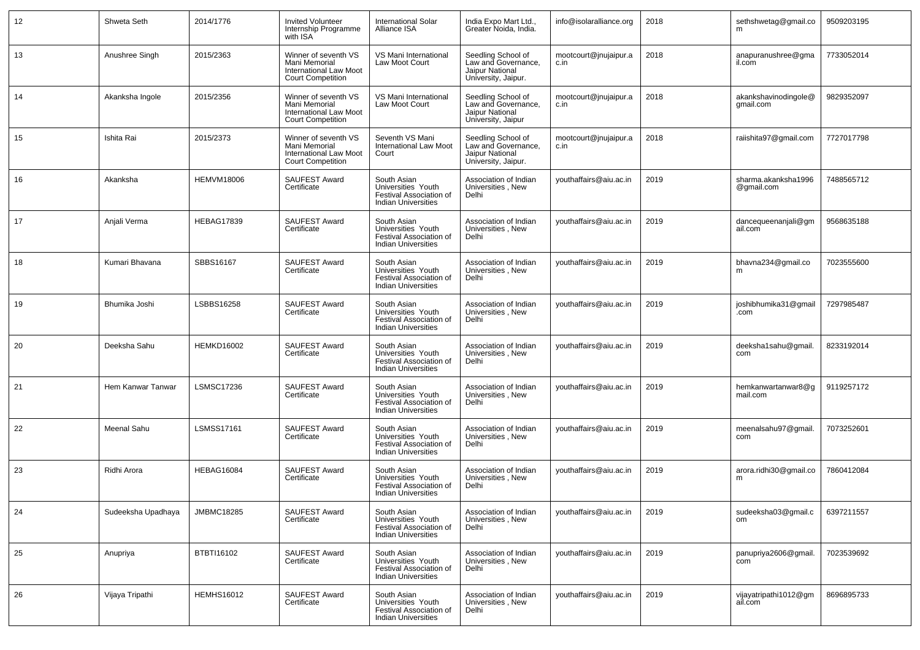| 12 | Shweta Seth        | 2014/1776         | <b>Invited Volunteer</b><br>Internship Programme<br>with ISA                                | <b>International Solar</b><br>Alliance ISA                                                 | India Expo Mart Ltd.,<br>Greater Noida, India.                                      | info@isolaralliance.org       | 2018 | sethshwetag@gmail.co              | 9509203195 |
|----|--------------------|-------------------|---------------------------------------------------------------------------------------------|--------------------------------------------------------------------------------------------|-------------------------------------------------------------------------------------|-------------------------------|------|-----------------------------------|------------|
| 13 | Anushree Singh     | 2015/2363         | Winner of seventh VS<br>Mani Memorial<br>International Law Moot<br><b>Court Competition</b> | VS Mani International<br>Law Moot Court                                                    | Seedling School of<br>Law and Governance,<br>Jaipur National<br>University, Jaipur. | mootcourt@jnujaipur.a<br>c.in | 2018 | anapuranushree@gma<br>il.com      | 7733052014 |
| 14 | Akanksha Ingole    | 2015/2356         | Winner of seventh VS<br>Mani Memorial<br>International Law Moot<br><b>Court Competition</b> | VS Mani International<br>Law Moot Court                                                    | Seedling School of<br>Law and Governance,<br>Jaipur National<br>University, Jaipur  | mootcourt@jnujaipur.a<br>c.in | 2018 | akankshavinodingole@<br>gmail.com | 9829352097 |
| 15 | Ishita Rai         | 2015/2373         | Winner of seventh VS<br>Mani Memorial<br>International Law Moot<br><b>Court Competition</b> | Seventh VS Mani<br><b>International Law Moot</b><br>Court                                  | Seedling School of<br>Law and Governance,<br>Jaipur National<br>University, Jaipur. | mootcourt@jnujaipur.a<br>c.in | 2018 | raiishita97@gmail.com             | 7727017798 |
| 16 | Akanksha           | <b>HEMVM18006</b> | <b>SAUFEST Award</b><br>Certificate                                                         | South Asian<br>Universities Youth<br>Festival Association of<br><b>Indian Universities</b> | Association of Indian<br>Universities, New<br>Delhi                                 | youthaffairs@aiu.ac.in        | 2019 | sharma.akanksha1996<br>@gmail.com | 7488565712 |
| 17 | Anjali Verma       | <b>HEBAG17839</b> | SAUFEST Award<br>Certificate                                                                | South Asian<br>Universities Youth<br>Festival Association of<br><b>Indian Universities</b> | Association of Indian<br>Universities, New<br>Delhi                                 | youthaffairs@aiu.ac.in        | 2019 | dancequeenanjali@gm<br>ail.com    | 9568635188 |
| 18 | Kumari Bhavana     | SBBS16167         | SAUFEST Award<br>Certificate                                                                | South Asian<br>Universities Youth<br>Festival Association of<br><b>Indian Universities</b> | Association of Indian<br>Universities, New<br>Delhi                                 | youthaffairs@aiu.ac.in        | 2019 | bhavna234@gmail.co<br>m           | 7023555600 |
| 19 | Bhumika Joshi      | LSBBS16258        | SAUFEST Award<br>Certificate                                                                | South Asian<br>Universities Youth<br>Festival Association of<br><b>Indian Universities</b> | Association of Indian<br>Universities, New<br>Delhi                                 | youthaffairs@aiu.ac.in        | 2019 | joshibhumika31@gmail<br>.com      | 7297985487 |
| 20 | Deeksha Sahu       | <b>HEMKD16002</b> | SAUFEST Award<br>Certificate                                                                | South Asian<br>Universities Youth<br>Festival Association of<br><b>Indian Universities</b> | Association of Indian<br>Universities, New<br>Delhi                                 | youthaffairs@aiu.ac.in        | 2019 | deeksha1sahu@gmail.<br>com        | 8233192014 |
| 21 | Hem Kanwar Tanwar  | LSMSC17236        | SAUFEST Award<br>Certificate                                                                | South Asian<br>Universities Youth<br>Festival Association of<br><b>Indian Universities</b> | Association of Indian<br>Universities, New<br>Delhi                                 | youthaffairs@aiu.ac.in        | 2019 | hemkanwartanwar8@q<br>mail.com    | 9119257172 |
| 22 | Meenal Sahu        | <b>LSMSS17161</b> | SAUFEST Award<br>Certificate                                                                | South Asian<br>Universities Youth<br>Festival Association of<br><b>Indian Universities</b> | Association of Indian<br>Universities, New<br>Delhi                                 | youthaffairs@aiu.ac.in        | 2019 | meenalsahu97@gmail.<br>com        | 7073252601 |
| 23 | Ridhi Arora        | HEBAG16084        | SAUFEST Award<br>Certificate                                                                | South Asian<br>Universities Youth<br>Festival Association of<br><b>Indian Universities</b> | Association of Indian<br>Universities, New<br>Delhi                                 | youthaffairs@aiu.ac.in        | 2019 | arora.ridhi30@gmail.co<br>m       | 7860412084 |
| 24 | Sudeeksha Upadhaya | <b>JMBMC18285</b> | SAUFEST Award<br>Certificate                                                                | South Asian<br>Universities Youth<br>Festival Association of<br><b>Indian Universities</b> | Association of Indian<br>Universities, New<br>Delhi                                 | youthaffairs@aiu.ac.in        | 2019 | sudeeksha03@gmail.c<br>om         | 6397211557 |
| 25 | Anupriya           | BTBTI16102        | SAUFEST Award<br>Certificate                                                                | South Asian<br>Universities Youth<br>Festival Association of<br><b>Indian Universities</b> | Association of Indian<br>Universities, New<br>Delhi                                 | youthaffairs@aiu.ac.in        | 2019 | panupriya2606@gmail.<br>com       | 7023539692 |
| 26 | Vijaya Tripathi    | <b>HEMHS16012</b> | SAUFEST Award<br>Certificate                                                                | South Asian<br>Universities Youth<br>Festival Association of<br><b>Indian Universities</b> | Association of Indian<br>Universities, New<br>Delhi                                 | youthaffairs@aiu.ac.in        | 2019 | vijayatripathi1012@qm<br>ail.com  | 8696895733 |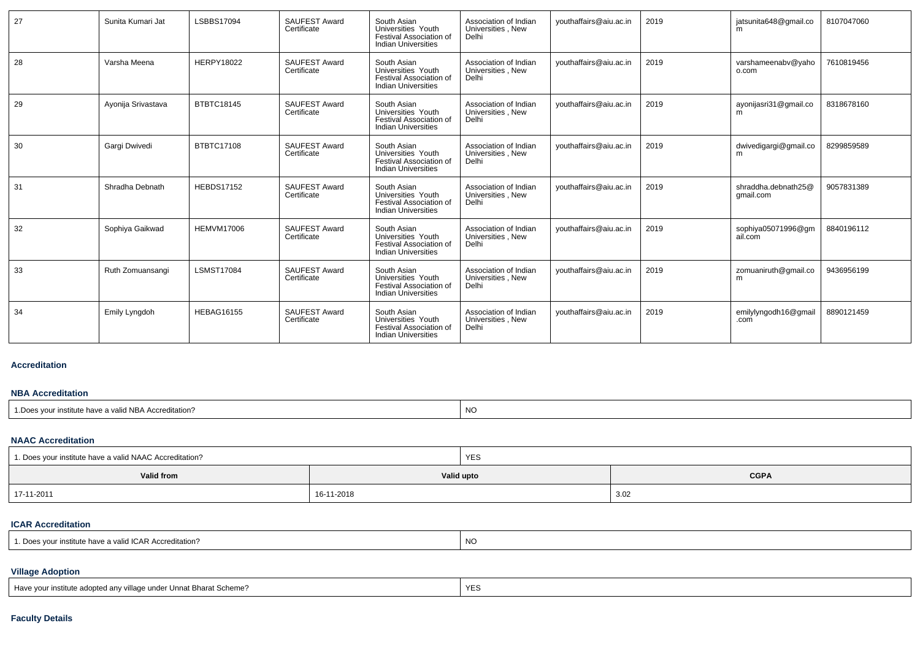| 27 | Sunita Kumari Jat  | LSBBS17094        | SAUFEST Award<br>Certificate        | South Asian<br>Universities Youth<br>Festival Association of<br><b>Indian Universities</b> | Association of Indian<br>Universities, New<br>Delhi | youthaffairs@aiu.ac.in | 2019 | jatsunita648@gmail.co<br>m       | 8107047060 |
|----|--------------------|-------------------|-------------------------------------|--------------------------------------------------------------------------------------------|-----------------------------------------------------|------------------------|------|----------------------------------|------------|
| 28 | Varsha Meena       | <b>HERPY18022</b> | <b>SAUFEST Award</b><br>Certificate | South Asian<br>Universities Youth<br>Festival Association of<br><b>Indian Universities</b> | Association of Indian<br>Universities, New<br>Delhi | youthaffairs@aiu.ac.in | 2019 | varshameenabv@yaho<br>o.com      | 7610819456 |
| 29 | Ayonija Srivastava | <b>BTBTC18145</b> | <b>SAUFEST Award</b><br>Certificate | South Asian<br>Universities Youth<br>Festival Association of<br><b>Indian Universities</b> | Association of Indian<br>Universities, New<br>Delhi | youthaffairs@aiu.ac.in | 2019 | ayonijasri31@gmail.co            | 8318678160 |
| 30 | Gargi Dwivedi      | BTBTC17108        | <b>SAUFEST Award</b><br>Certificate | South Asian<br>Universities Youth<br>Festival Association of<br><b>Indian Universities</b> | Association of Indian<br>Universities, New<br>Delhi | youthaffairs@aiu.ac.in | 2019 | dwivedigargi@gmail.co<br>m       | 8299859589 |
| 31 | Shradha Debnath    | <b>HEBDS17152</b> | <b>SAUFEST Award</b><br>Certificate | South Asian<br>Universities Youth<br>Festival Association of<br><b>Indian Universities</b> | Association of Indian<br>Universities, New<br>Delhi | youthaffairs@aiu.ac.in | 2019 | shraddha.debnath25@<br>qmail.com | 9057831389 |
| 32 | Sophiya Gaikwad    | <b>HEMVM17006</b> | <b>SAUFEST Award</b><br>Certificate | South Asian<br>Universities Youth<br>Festival Association of<br><b>Indian Universities</b> | Association of Indian<br>Universities, New<br>Delhi | vouthaffairs@aiu.ac.in | 2019 | sophiya05071996@gm<br>ail.com    | 8840196112 |
| 33 | Ruth Zomuansangi   | <b>LSMST17084</b> | <b>SAUFEST Award</b><br>Certificate | South Asian<br>Universities Youth<br>Festival Association of<br><b>Indian Universities</b> | Association of Indian<br>Universities, New<br>Delhi | youthaffairs@aiu.ac.in | 2019 | zomuaniruth@gmail.co<br>m        | 9436956199 |
| 34 | Emily Lyngdoh      | <b>HEBAG16155</b> | SAUFEST Award<br>Certificate        | South Asian<br>Universities Youth<br>Festival Association of<br><b>Indian Universities</b> | Association of Indian<br>Universities, New<br>Delhi | youthaffairs@aiu.ac.in | 2019 | emilylyngodh16@gmail<br>.com     | 8890121459 |

### **Accreditation**

### **NBA Accreditation**

| e have a valid NBA Accreditation?<br>. Does<br>vour institute | <b>NC</b> |
|---------------------------------------------------------------|-----------|
|---------------------------------------------------------------|-----------|

## **NAAC Accreditation**

| 1. Does your institute have a valid NAAC Accreditation? |            | <b>YES</b> |             |  |  |  |
|---------------------------------------------------------|------------|------------|-------------|--|--|--|
| Valid from                                              |            | Valid upto | <b>CGPA</b> |  |  |  |
| 17-11-2011                                              | 16-11-2018 |            | 3.02        |  |  |  |

## **ICAR Accreditation**

| 1. Does vour institute have a valid ICAR Accreditation? | NO |
|---------------------------------------------------------|----|
|---------------------------------------------------------|----|

## **Village Adoption**

| Have your institute adopted any village under Unnat Bharat Scheme? |  |
|--------------------------------------------------------------------|--|
|--------------------------------------------------------------------|--|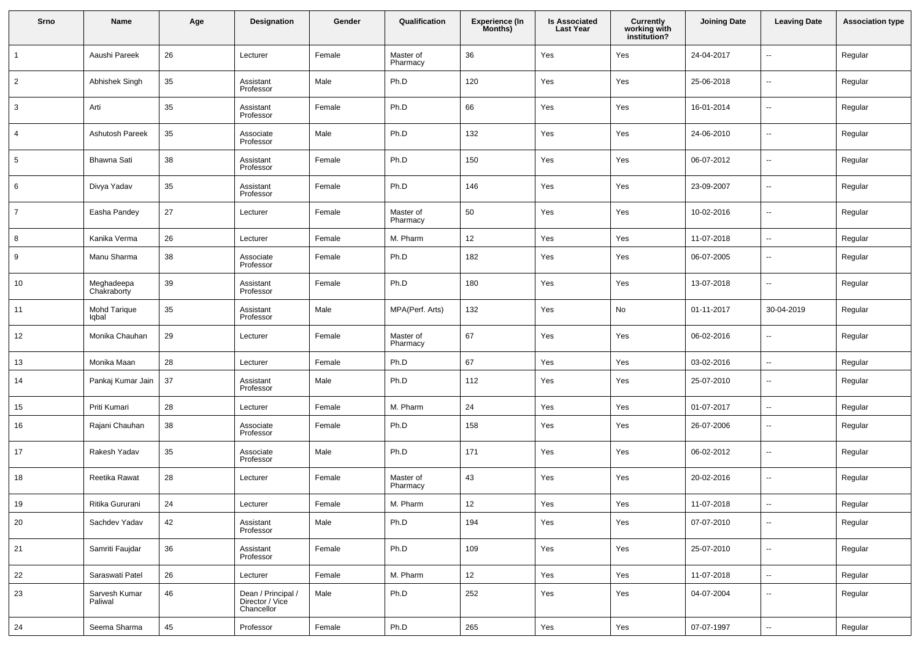| Srno           | Name                      | Age | Designation                                         | Gender | Qualification         | <b>Experience (In</b><br>Months) | <b>Is Associated</b><br><b>Last Year</b> | <b>Currently</b><br>working with<br>institution? | <b>Joining Date</b> | <b>Leaving Date</b>      | <b>Association type</b> |
|----------------|---------------------------|-----|-----------------------------------------------------|--------|-----------------------|----------------------------------|------------------------------------------|--------------------------------------------------|---------------------|--------------------------|-------------------------|
| $\mathbf{1}$   | Aaushi Pareek             | 26  | Lecturer                                            | Female | Master of<br>Pharmacy | 36                               | Yes                                      | Yes                                              | 24-04-2017          | ц.                       | Regular                 |
| $\overline{2}$ | Abhishek Singh            | 35  | Assistant<br>Professor                              | Male   | Ph.D                  | 120                              | Yes                                      | Yes                                              | 25-06-2018          | $\overline{\phantom{a}}$ | Regular                 |
| 3              | Arti                      | 35  | Assistant<br>Professor                              | Female | Ph.D                  | 66                               | Yes                                      | Yes                                              | 16-01-2014          | $\overline{\phantom{a}}$ | Regular                 |
| 4              | <b>Ashutosh Pareek</b>    | 35  | Associate<br>Professor                              | Male   | Ph.D                  | 132                              | Yes                                      | Yes                                              | 24-06-2010          | $\overline{\phantom{a}}$ | Regular                 |
| 5              | Bhawna Sati               | 38  | Assistant<br>Professor                              | Female | Ph.D                  | 150                              | Yes                                      | Yes                                              | 06-07-2012          | $\overline{\phantom{a}}$ | Regular                 |
| 6              | Divya Yadav               | 35  | Assistant<br>Professor                              | Female | Ph.D                  | 146                              | Yes                                      | Yes                                              | 23-09-2007          | --                       | Regular                 |
| $\overline{7}$ | Easha Pandey              | 27  | Lecturer                                            | Female | Master of<br>Pharmacy | 50                               | Yes                                      | Yes                                              | 10-02-2016          | $\overline{\phantom{a}}$ | Regular                 |
| 8              | Kanika Verma              | 26  | Lecturer                                            | Female | M. Pharm              | 12                               | Yes                                      | Yes                                              | 11-07-2018          | Ξ.                       | Regular                 |
| 9              | Manu Sharma               | 38  | Associate<br>Professor                              | Female | Ph.D                  | 182                              | Yes                                      | Yes                                              | 06-07-2005          | --                       | Regular                 |
| 10             | Meghadeepa<br>Chakraborty | 39  | Assistant<br>Professor                              | Female | Ph.D                  | 180                              | Yes                                      | Yes                                              | 13-07-2018          | --                       | Regular                 |
| 11             | Mohd Tarique<br>lqbal     | 35  | Assistant<br>Professor                              | Male   | MPA(Perf. Arts)       | 132                              | Yes                                      | No                                               | 01-11-2017          | 30-04-2019               | Regular                 |
| 12             | Monika Chauhan            | 29  | Lecturer                                            | Female | Master of<br>Pharmacy | 67                               | Yes                                      | Yes                                              | 06-02-2016          | --                       | Regular                 |
| 13             | Monika Maan               | 28  | Lecturer                                            | Female | Ph.D                  | 67                               | Yes                                      | Yes                                              | 03-02-2016          | ц.                       | Regular                 |
| 14             | Pankaj Kumar Jain         | 37  | Assistant<br>Professor                              | Male   | Ph.D                  | 112                              | Yes                                      | Yes                                              | 25-07-2010          | --                       | Regular                 |
| 15             | Priti Kumari              | 28  | Lecturer                                            | Female | M. Pharm              | 24                               | Yes                                      | Yes                                              | 01-07-2017          | --                       | Regular                 |
| 16             | Rajani Chauhan            | 38  | Associate<br>Professor                              | Female | Ph.D                  | 158                              | Yes                                      | Yes                                              | 26-07-2006          | ٠.                       | Regular                 |
| 17             | Rakesh Yadav              | 35  | Associate<br>Professor                              | Male   | Ph.D                  | 171                              | Yes                                      | Yes                                              | 06-02-2012          | $\overline{\phantom{a}}$ | Regular                 |
| 18             | Reetika Rawat             | 28  | Lecturer                                            | Female | Master of<br>Pharmacy | 43                               | Yes                                      | Yes                                              | 20-02-2016          | --                       | Regular                 |
| 19             | Ritika Gururani           | 24  | Lecturer                                            | Female | M. Pharm              | 12                               | Yes                                      | Yes                                              | 11-07-2018          | $\overline{\phantom{a}}$ | Regular                 |
| 20             | Sachdev Yadav             | 42  | Assistant<br>Professor                              | Male   | Ph.D                  | 194                              | Yes                                      | Yes                                              | 07-07-2010          | $\sim$                   | Regular                 |
| 21             | Samriti Faujdar           | 36  | Assistant<br>Professor                              | Female | Ph.D                  | 109                              | Yes                                      | Yes                                              | 25-07-2010          | $\overline{\phantom{a}}$ | Regular                 |
| 22             | Saraswati Patel           | 26  | Lecturer                                            | Female | M. Pharm              | 12                               | Yes                                      | Yes                                              | 11-07-2018          | $\overline{\phantom{a}}$ | Regular                 |
| 23             | Sarvesh Kumar<br>Paliwal  | 46  | Dean / Principal /<br>Director / Vice<br>Chancellor | Male   | Ph.D                  | 252                              | Yes                                      | Yes                                              | 04-07-2004          | $\overline{\phantom{a}}$ | Regular                 |
| 24             | Seema Sharma              | 45  | Professor                                           | Female | Ph.D                  | 265                              | Yes                                      | Yes                                              | 07-07-1997          | Ξ.                       | Regular                 |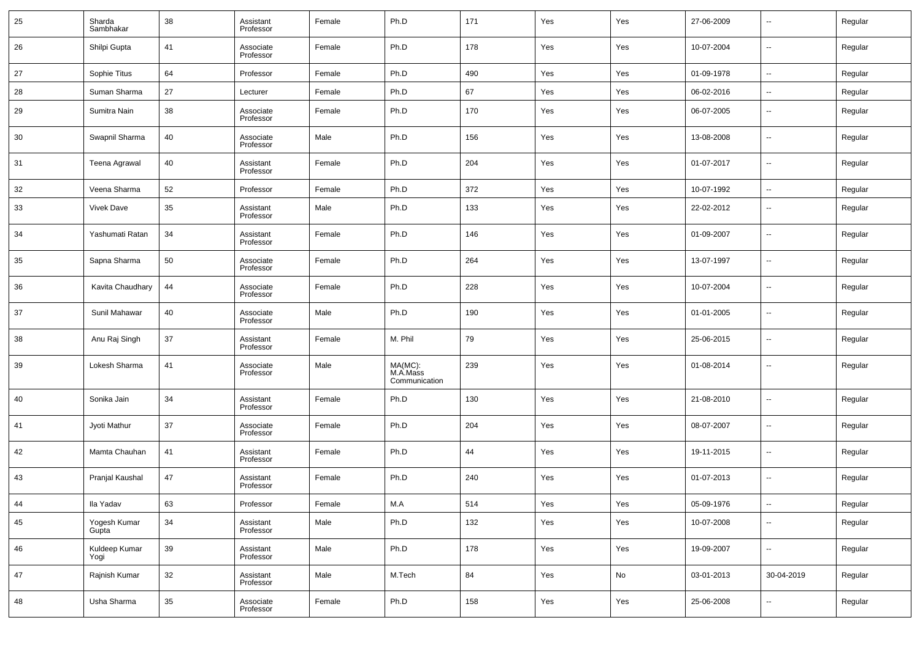| 25 | Sharda<br>Sambhakar   | 38     | Assistant<br>Professor | Female | Ph.D                                 | 171 | Yes | Yes | 27-06-2009 | $\overline{\phantom{a}}$ | Regular |
|----|-----------------------|--------|------------------------|--------|--------------------------------------|-----|-----|-----|------------|--------------------------|---------|
| 26 | Shilpi Gupta          | 41     | Associate<br>Professor | Female | Ph.D                                 | 178 | Yes | Yes | 10-07-2004 | $\overline{\phantom{a}}$ | Regular |
| 27 | Sophie Titus          | 64     | Professor              | Female | Ph.D                                 | 490 | Yes | Yes | 01-09-1978 | $\overline{\phantom{a}}$ | Regular |
| 28 | Suman Sharma          | 27     | Lecturer               | Female | Ph.D                                 | 67  | Yes | Yes | 06-02-2016 | $\overline{\phantom{a}}$ | Regular |
| 29 | Sumitra Nain          | 38     | Associate<br>Professor | Female | Ph.D                                 | 170 | Yes | Yes | 06-07-2005 | $\sim$                   | Regular |
| 30 | Swapnil Sharma        | 40     | Associate<br>Professor | Male   | Ph.D                                 | 156 | Yes | Yes | 13-08-2008 | $\overline{\phantom{a}}$ | Regular |
| 31 | Teena Agrawal         | 40     | Assistant<br>Professor | Female | Ph.D                                 | 204 | Yes | Yes | 01-07-2017 | $\overline{\phantom{a}}$ | Regular |
| 32 | Veena Sharma          | 52     | Professor              | Female | Ph.D                                 | 372 | Yes | Yes | 10-07-1992 | $\overline{\phantom{a}}$ | Regular |
| 33 | <b>Vivek Dave</b>     | 35     | Assistant<br>Professor | Male   | Ph.D                                 | 133 | Yes | Yes | 22-02-2012 | $\overline{\phantom{a}}$ | Regular |
| 34 | Yashumati Ratan       | 34     | Assistant<br>Professor | Female | Ph.D                                 | 146 | Yes | Yes | 01-09-2007 | $\overline{\phantom{a}}$ | Regular |
| 35 | Sapna Sharma          | 50     | Associate<br>Professor | Female | Ph.D                                 | 264 | Yes | Yes | 13-07-1997 | $\overline{\phantom{a}}$ | Regular |
| 36 | Kavita Chaudhary      | 44     | Associate<br>Professor | Female | Ph.D                                 | 228 | Yes | Yes | 10-07-2004 | $\overline{\phantom{a}}$ | Regular |
| 37 | Sunil Mahawar         | 40     | Associate<br>Professor | Male   | Ph.D                                 | 190 | Yes | Yes | 01-01-2005 | $\overline{\phantom{a}}$ | Regular |
| 38 | Anu Raj Singh         | 37     | Assistant<br>Professor | Female | M. Phil                              | 79  | Yes | Yes | 25-06-2015 | $\overline{\phantom{a}}$ | Regular |
| 39 | Lokesh Sharma         | 41     | Associate<br>Professor | Male   | MA(MC):<br>M.A.Mass<br>Communication | 239 | Yes | Yes | 01-08-2014 | $\overline{\phantom{a}}$ | Regular |
| 40 | Sonika Jain           | 34     | Assistant<br>Professor | Female | Ph.D                                 | 130 | Yes | Yes | 21-08-2010 | $\overline{\phantom{a}}$ | Regular |
| 41 | Jyoti Mathur          | 37     | Associate<br>Professor | Female | Ph.D                                 | 204 | Yes | Yes | 08-07-2007 | $\overline{\phantom{a}}$ | Regular |
| 42 | Mamta Chauhan         | 41     | Assistant<br>Professor | Female | Ph.D                                 | 44  | Yes | Yes | 19-11-2015 | $\overline{\phantom{a}}$ | Regular |
| 43 | Pranjal Kaushal       | 47     | Assistant<br>Professor | Female | Ph.D                                 | 240 | Yes | Yes | 01-07-2013 | $\overline{\phantom{a}}$ | Regular |
| 44 | Ila Yadav             | 63     | Professor              | Female | M.A                                  | 514 | Yes | Yes | 05-09-1976 | $\overline{\phantom{a}}$ | Regular |
| 45 | Yogesh Kumar<br>Gupta | 34     | Assistant<br>Professor | Male   | Ph.D                                 | 132 | Yes | Yes | 10-07-2008 | $\overline{\phantom{a}}$ | Regular |
| 46 | Kuldeep Kumar<br>Yogi | $39\,$ | Assistant<br>Professor | Male   | Ph.D                                 | 178 | Yes | Yes | 19-09-2007 | $\overline{\phantom{a}}$ | Regular |
| 47 | Rajnish Kumar         | 32     | Assistant<br>Professor | Male   | M.Tech                               | 84  | Yes | No  | 03-01-2013 | 30-04-2019               | Regular |
| 48 | Usha Sharma           | $35\,$ | Associate<br>Professor | Female | Ph.D                                 | 158 | Yes | Yes | 25-06-2008 | $\overline{\phantom{a}}$ | Regular |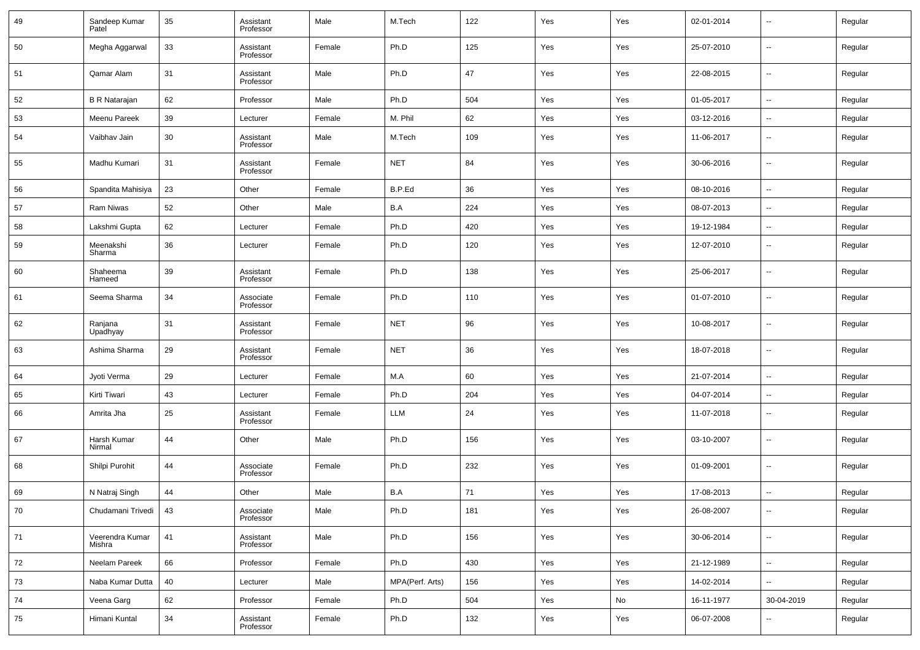| 49 | Sandeep Kumar<br>Patel    | 35 | Assistant<br>Professor | Male   | M.Tech          | 122 | Yes | Yes | 02-01-2014 | $\overline{\phantom{a}}$ | Regular |
|----|---------------------------|----|------------------------|--------|-----------------|-----|-----|-----|------------|--------------------------|---------|
| 50 | Megha Aggarwal            | 33 | Assistant<br>Professor | Female | Ph.D            | 125 | Yes | Yes | 25-07-2010 | $\overline{\phantom{a}}$ | Regular |
| 51 | Qamar Alam                | 31 | Assistant<br>Professor | Male   | Ph.D            | 47  | Yes | Yes | 22-08-2015 | $\ddotsc$                | Regular |
| 52 | <b>B R Natarajan</b>      | 62 | Professor              | Male   | Ph.D            | 504 | Yes | Yes | 01-05-2017 | $\sim$                   | Regular |
| 53 | Meenu Pareek              | 39 | Lecturer               | Female | M. Phil         | 62  | Yes | Yes | 03-12-2016 | $\sim$                   | Regular |
| 54 | Vaibhav Jain              | 30 | Assistant<br>Professor | Male   | M.Tech          | 109 | Yes | Yes | 11-06-2017 | $\overline{\phantom{a}}$ | Regular |
| 55 | Madhu Kumari              | 31 | Assistant<br>Professor | Female | <b>NET</b>      | 84  | Yes | Yes | 30-06-2016 | $\overline{\phantom{a}}$ | Regular |
| 56 | Spandita Mahisiya         | 23 | Other                  | Female | B.P.Ed          | 36  | Yes | Yes | 08-10-2016 | $\overline{\phantom{a}}$ | Regular |
| 57 | Ram Niwas                 | 52 | Other                  | Male   | B.A             | 224 | Yes | Yes | 08-07-2013 | $\overline{\phantom{a}}$ | Regular |
| 58 | Lakshmi Gupta             | 62 | Lecturer               | Female | Ph.D            | 420 | Yes | Yes | 19-12-1984 | ۰.                       | Regular |
| 59 | Meenakshi<br>Sharma       | 36 | Lecturer               | Female | Ph.D            | 120 | Yes | Yes | 12-07-2010 | $\overline{\phantom{a}}$ | Regular |
| 60 | Shaheema<br>Hameed        | 39 | Assistant<br>Professor | Female | Ph.D            | 138 | Yes | Yes | 25-06-2017 | $\overline{\phantom{a}}$ | Regular |
| 61 | Seema Sharma              | 34 | Associate<br>Professor | Female | Ph.D            | 110 | Yes | Yes | 01-07-2010 | $\overline{\phantom{a}}$ | Regular |
| 62 | Ranjana<br>Upadhyay       | 31 | Assistant<br>Professor | Female | <b>NET</b>      | 96  | Yes | Yes | 10-08-2017 | $\overline{\phantom{a}}$ | Regular |
| 63 | Ashima Sharma             | 29 | Assistant<br>Professor | Female | <b>NET</b>      | 36  | Yes | Yes | 18-07-2018 | $\overline{\phantom{a}}$ | Regular |
| 64 | Jyoti Verma               | 29 | Lecturer               | Female | M.A             | 60  | Yes | Yes | 21-07-2014 | $\overline{\phantom{a}}$ | Regular |
| 65 | Kirti Tiwari              | 43 | Lecturer               | Female | Ph.D            | 204 | Yes | Yes | 04-07-2014 | $\overline{\phantom{a}}$ | Regular |
| 66 | Amrita Jha                | 25 | Assistant<br>Professor | Female | LLM             | 24  | Yes | Yes | 11-07-2018 | $\sim$                   | Regular |
| 67 | Harsh Kumar<br>Nirmal     | 44 | Other                  | Male   | Ph.D            | 156 | Yes | Yes | 03-10-2007 | $\overline{\phantom{a}}$ | Regular |
| 68 | Shilpi Purohit            | 44 | Associate<br>Professor | Female | Ph.D            | 232 | Yes | Yes | 01-09-2001 | $\sim$                   | Regular |
| 69 | N Natraj Singh            | 44 | Other                  | Male   | B.A             | 71  | Yes | Yes | 17-08-2013 | $\overline{\phantom{a}}$ | Regular |
| 70 | Chudamani Trivedi         | 43 | Associate<br>Professor | Male   | Ph.D            | 181 | Yes | Yes | 26-08-2007 | $\overline{\phantom{a}}$ | Regular |
| 71 | Veerendra Kumar<br>Mishra | 41 | Assistant<br>Professor | Male   | Ph.D            | 156 | Yes | Yes | 30-06-2014 | ⊷                        | Regular |
| 72 | Neelam Pareek             | 66 | Professor              | Female | Ph.D            | 430 | Yes | Yes | 21-12-1989 | н.                       | Regular |
| 73 | Naba Kumar Dutta          | 40 | Lecturer               | Male   | MPA(Perf. Arts) | 156 | Yes | Yes | 14-02-2014 | ⊷                        | Regular |
| 74 | Veena Garg                | 62 | Professor              | Female | Ph.D            | 504 | Yes | No  | 16-11-1977 | 30-04-2019               | Regular |
| 75 | Himani Kuntal             | 34 | Assistant<br>Professor | Female | Ph.D            | 132 | Yes | Yes | 06-07-2008 | $\overline{\phantom{a}}$ | Regular |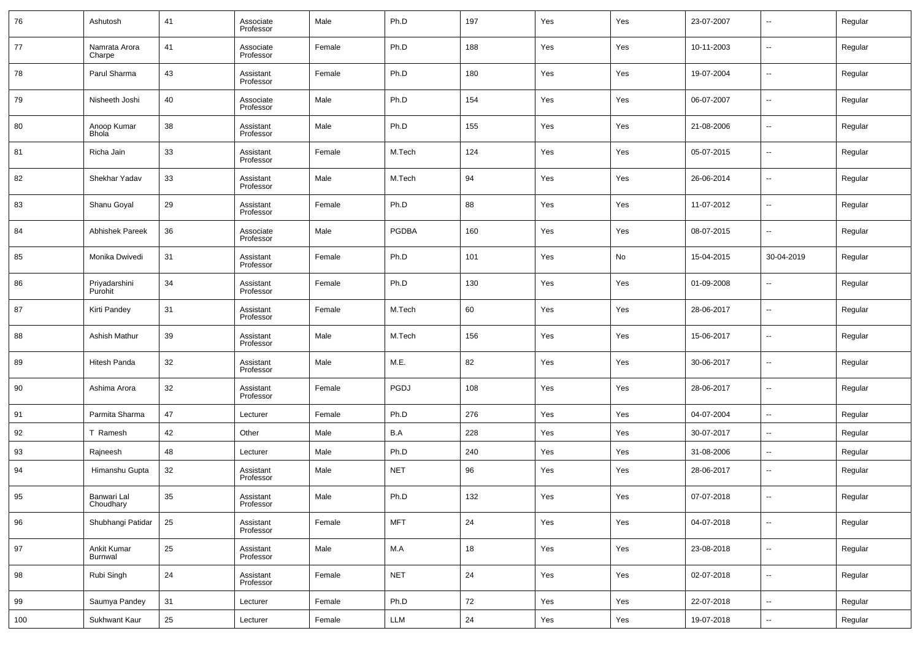| 76  | Ashutosh                 | 41 | Associate<br>Professor | Male   | Ph.D         | 197 | Yes | Yes | 23-07-2007 | --                       | Regular |
|-----|--------------------------|----|------------------------|--------|--------------|-----|-----|-----|------------|--------------------------|---------|
| 77  | Namrata Arora<br>Charpe  | 41 | Associate<br>Professor | Female | Ph.D         | 188 | Yes | Yes | 10-11-2003 | --                       | Regular |
| 78  | Parul Sharma             | 43 | Assistant<br>Professor | Female | Ph.D         | 180 | Yes | Yes | 19-07-2004 | --                       | Regular |
| 79  | Nisheeth Joshi           | 40 | Associate<br>Professor | Male   | Ph.D         | 154 | Yes | Yes | 06-07-2007 | --                       | Regular |
| 80  | Anoop Kumar<br>Bhola     | 38 | Assistant<br>Professor | Male   | Ph.D         | 155 | Yes | Yes | 21-08-2006 | ш.                       | Regular |
| 81  | Richa Jain               | 33 | Assistant<br>Professor | Female | M.Tech       | 124 | Yes | Yes | 05-07-2015 | --                       | Regular |
| 82  | Shekhar Yadav            | 33 | Assistant<br>Professor | Male   | M.Tech       | 94  | Yes | Yes | 26-06-2014 | --                       | Regular |
| 83  | Shanu Goyal              | 29 | Assistant<br>Professor | Female | Ph.D         | 88  | Yes | Yes | 11-07-2012 | --                       | Regular |
| 84  | <b>Abhishek Pareek</b>   | 36 | Associate<br>Professor | Male   | <b>PGDBA</b> | 160 | Yes | Yes | 08-07-2015 | ш.                       | Regular |
| 85  | Monika Dwivedi           | 31 | Assistant<br>Professor | Female | Ph.D         | 101 | Yes | No  | 15-04-2015 | 30-04-2019               | Regular |
| 86  | Priyadarshini<br>Purohit | 34 | Assistant<br>Professor | Female | Ph.D         | 130 | Yes | Yes | 01-09-2008 | --                       | Regular |
| 87  | Kirti Pandey             | 31 | Assistant<br>Professor | Female | M.Tech       | 60  | Yes | Yes | 28-06-2017 | --                       | Regular |
| 88  | Ashish Mathur            | 39 | Assistant<br>Professor | Male   | M.Tech       | 156 | Yes | Yes | 15-06-2017 | --                       | Regular |
| 89  | Hitesh Panda             | 32 | Assistant<br>Professor | Male   | M.E.         | 82  | Yes | Yes | 30-06-2017 | --                       | Regular |
| 90  | Ashima Arora             | 32 | Assistant<br>Professor | Female | PGDJ         | 108 | Yes | Yes | 28-06-2017 | --                       | Regular |
| 91  | Parmita Sharma           | 47 | Lecturer               | Female | Ph.D         | 276 | Yes | Yes | 04-07-2004 | --                       | Regular |
| 92  | T Ramesh                 | 42 | Other                  | Male   | B.A          | 228 | Yes | Yes | 30-07-2017 | $\sim$                   | Regular |
| 93  | Rajneesh                 | 48 | Lecturer               | Male   | Ph.D         | 240 | Yes | Yes | 31-08-2006 | --                       | Regular |
| 94  | Himanshu Gupta           | 32 | Assistant<br>Professor | Male   | <b>NET</b>   | 96  | Yes | Yes | 28-06-2017 | --                       | Regular |
| 95  | Banwari Lal<br>Choudhary | 35 | Assistant<br>Professor | Male   | Ph.D         | 132 | Yes | Yes | 07-07-2018 | --                       | Regular |
| 96  | Shubhangi Patidar        | 25 | Assistant<br>Professor | Female | <b>MFT</b>   | 24  | Yes | Yes | 04-07-2018 | $\overline{\phantom{a}}$ | Regular |
| 97  | Ankit Kumar<br>Burnwal   | 25 | Assistant<br>Professor | Male   | M.A          | 18  | Yes | Yes | 23-08-2018 | $\sim$                   | Regular |
| 98  | Rubi Singh               | 24 | Assistant<br>Professor | Female | <b>NET</b>   | 24  | Yes | Yes | 02-07-2018 | $\overline{\phantom{a}}$ | Regular |
| 99  | Saumya Pandey            | 31 | Lecturer               | Female | Ph.D         | 72  | Yes | Yes | 22-07-2018 | $\sim$                   | Regular |
| 100 | Sukhwant Kaur            | 25 | Lecturer               | Female | LLM          | 24  | Yes | Yes | 19-07-2018 | $\overline{\phantom{a}}$ | Regular |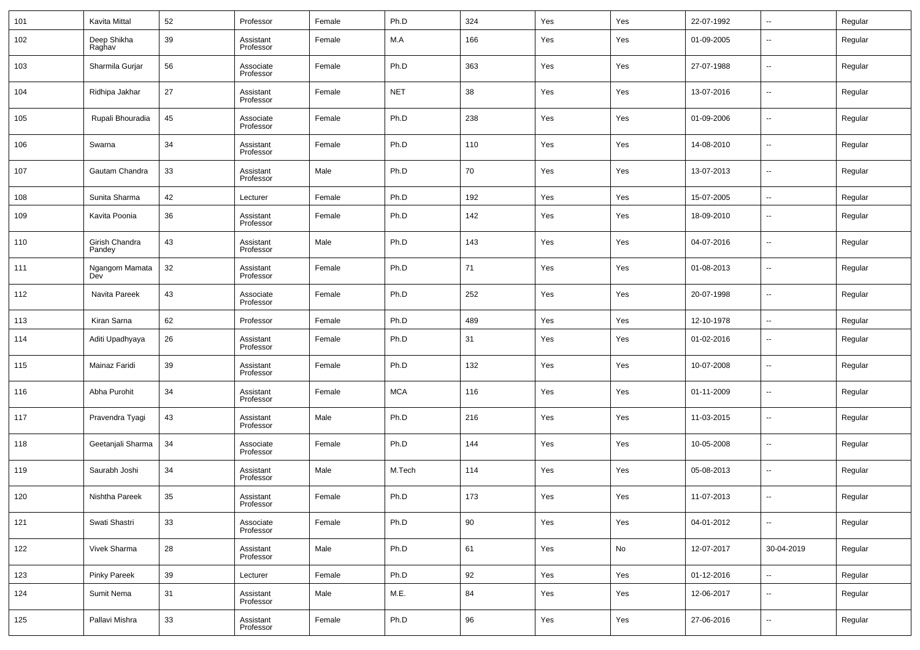| 101 | Kavita Mittal            | 52 | Professor              | Female | Ph.D       | 324 | Yes | Yes | 22-07-1992 | $\overline{\phantom{a}}$ | Regular |
|-----|--------------------------|----|------------------------|--------|------------|-----|-----|-----|------------|--------------------------|---------|
| 102 | Deep Shikha<br>Raghav    | 39 | Assistant<br>Professor | Female | M.A        | 166 | Yes | Yes | 01-09-2005 | $\overline{\phantom{a}}$ | Regular |
| 103 | Sharmila Gurjar          | 56 | Associate<br>Professor | Female | Ph.D       | 363 | Yes | Yes | 27-07-1988 | $\overline{\phantom{a}}$ | Regular |
| 104 | Ridhipa Jakhar           | 27 | Assistant<br>Professor | Female | <b>NET</b> | 38  | Yes | Yes | 13-07-2016 | $\overline{\phantom{a}}$ | Regular |
| 105 | Rupali Bhouradia         | 45 | Associate<br>Professor | Female | Ph.D       | 238 | Yes | Yes | 01-09-2006 | $\overline{\phantom{a}}$ | Regular |
| 106 | Swarna                   | 34 | Assistant<br>Professor | Female | Ph.D       | 110 | Yes | Yes | 14-08-2010 | $\overline{\phantom{a}}$ | Regular |
| 107 | Gautam Chandra           | 33 | Assistant<br>Professor | Male   | Ph.D       | 70  | Yes | Yes | 13-07-2013 | $\overline{\phantom{a}}$ | Regular |
| 108 | Sunita Sharma            | 42 | Lecturer               | Female | Ph.D       | 192 | Yes | Yes | 15-07-2005 | ۰.                       | Regular |
| 109 | Kavita Poonia            | 36 | Assistant<br>Professor | Female | Ph.D       | 142 | Yes | Yes | 18-09-2010 | $\overline{\phantom{a}}$ | Regular |
| 110 | Girish Chandra<br>Pandey | 43 | Assistant<br>Professor | Male   | Ph.D       | 143 | Yes | Yes | 04-07-2016 | $\overline{\phantom{a}}$ | Regular |
| 111 | Ngangom Mamata<br>Dev    | 32 | Assistant<br>Professor | Female | Ph.D       | 71  | Yes | Yes | 01-08-2013 | $\overline{\phantom{a}}$ | Regular |
| 112 | Navita Pareek            | 43 | Associate<br>Professor | Female | Ph.D       | 252 | Yes | Yes | 20-07-1998 | $\overline{\phantom{a}}$ | Regular |
| 113 | Kiran Sarna              | 62 | Professor              | Female | Ph.D       | 489 | Yes | Yes | 12-10-1978 | $\overline{\phantom{a}}$ | Regular |
| 114 | Aditi Upadhyaya          | 26 | Assistant<br>Professor | Female | Ph.D       | 31  | Yes | Yes | 01-02-2016 | $\overline{\phantom{a}}$ | Regular |
| 115 | Mainaz Faridi            | 39 | Assistant<br>Professor | Female | Ph.D       | 132 | Yes | Yes | 10-07-2008 | $\overline{\phantom{a}}$ | Regular |
| 116 | Abha Purohit             | 34 | Assistant<br>Professor | Female | <b>MCA</b> | 116 | Yes | Yes | 01-11-2009 | $\overline{\phantom{a}}$ | Regular |
| 117 | Pravendra Tyagi          | 43 | Assistant<br>Professor | Male   | Ph.D       | 216 | Yes | Yes | 11-03-2015 | $\overline{\phantom{a}}$ | Regular |
| 118 | Geetanjali Sharma        | 34 | Associate<br>Professor | Female | Ph.D       | 144 | Yes | Yes | 10-05-2008 | $\overline{\phantom{a}}$ | Regular |
| 119 | Saurabh Joshi            | 34 | Assistant<br>Professor | Male   | M.Tech     | 114 | Yes | Yes | 05-08-2013 | $\overline{\phantom{a}}$ | Regular |
| 120 | Nishtha Pareek           | 35 | Assistant<br>Professor | Female | Ph.D       | 173 | Yes | Yes | 11-07-2013 | $\sim$                   | Regular |
| 121 | Swati Shastri            | 33 | Associate<br>Professor | Female | Ph.D       | 90  | Yes | Yes | 04-01-2012 | $\overline{\phantom{a}}$ | Regular |
| 122 | Vivek Sharma             | 28 | Assistant<br>Professor | Male   | Ph.D       | 61  | Yes | No  | 12-07-2017 | 30-04-2019               | Regular |
| 123 | <b>Pinky Pareek</b>      | 39 | Lecturer               | Female | Ph.D       | 92  | Yes | Yes | 01-12-2016 | ۰.                       | Regular |
| 124 | Sumit Nema               | 31 | Assistant<br>Professor | Male   | M.E.       | 84  | Yes | Yes | 12-06-2017 | $\overline{\phantom{a}}$ | Regular |
| 125 | Pallavi Mishra           | 33 | Assistant<br>Professor | Female | Ph.D       | 96  | Yes | Yes | 27-06-2016 | $\overline{\phantom{a}}$ | Regular |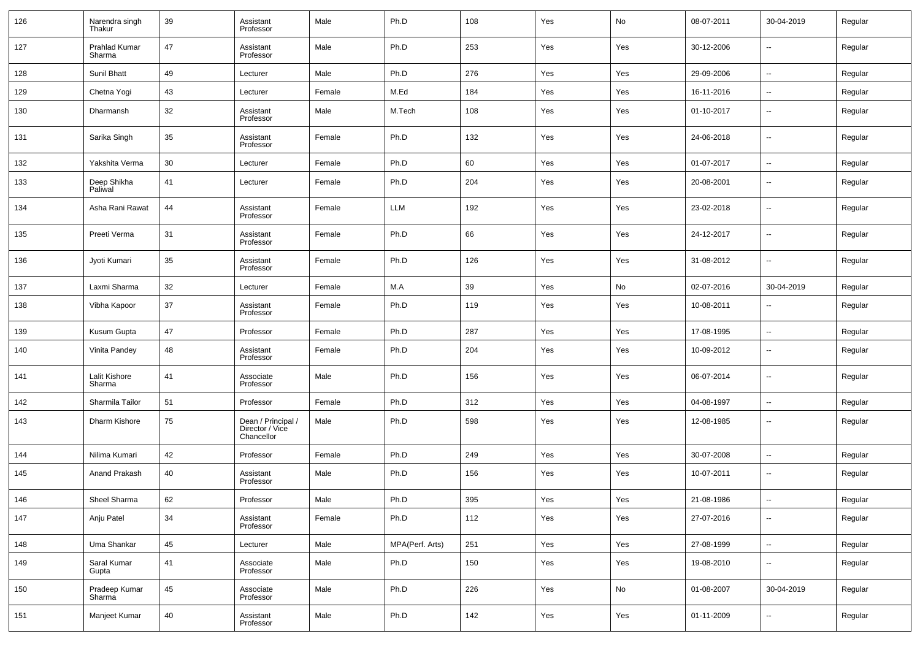| 126 | Narendra singh<br>Thakur | 39 | Assistant<br>Professor                              | Male   | Ph.D            | 108 | Yes | No  | 08-07-2011 | 30-04-2019               | Regular |
|-----|--------------------------|----|-----------------------------------------------------|--------|-----------------|-----|-----|-----|------------|--------------------------|---------|
| 127 | Prahlad Kumar<br>Sharma  | 47 | Assistant<br>Professor                              | Male   | Ph.D            | 253 | Yes | Yes | 30-12-2006 | $\overline{\phantom{a}}$ | Regular |
| 128 | Sunil Bhatt              | 49 | Lecturer                                            | Male   | Ph.D            | 276 | Yes | Yes | 29-09-2006 | Ξ.                       | Regular |
| 129 | Chetna Yogi              | 43 | Lecturer                                            | Female | M.Ed            | 184 | Yes | Yes | 16-11-2016 | $\sim$                   | Regular |
| 130 | Dharmansh                | 32 | Assistant<br>Professor                              | Male   | M.Tech          | 108 | Yes | Yes | 01-10-2017 | $\overline{\phantom{a}}$ | Regular |
| 131 | Sarika Singh             | 35 | Assistant<br>Professor                              | Female | Ph.D            | 132 | Yes | Yes | 24-06-2018 | ÷.                       | Regular |
| 132 | Yakshita Verma           | 30 | Lecturer                                            | Female | Ph.D            | 60  | Yes | Yes | 01-07-2017 | Ξ.                       | Regular |
| 133 | Deep Shikha<br>Paliwal   | 41 | Lecturer                                            | Female | Ph.D            | 204 | Yes | Yes | 20-08-2001 | $\overline{\phantom{a}}$ | Regular |
| 134 | Asha Rani Rawat          | 44 | Assistant<br>Professor                              | Female | LLM             | 192 | Yes | Yes | 23-02-2018 | $\overline{\phantom{a}}$ | Regular |
| 135 | Preeti Verma             | 31 | Assistant<br>Professor                              | Female | Ph.D            | 66  | Yes | Yes | 24-12-2017 | $\overline{\phantom{a}}$ | Regular |
| 136 | Jyoti Kumari             | 35 | Assistant<br>Professor                              | Female | Ph.D            | 126 | Yes | Yes | 31-08-2012 | $\overline{\phantom{a}}$ | Regular |
| 137 | Laxmi Sharma             | 32 | Lecturer                                            | Female | M.A             | 39  | Yes | No  | 02-07-2016 | 30-04-2019               | Regular |
| 138 | Vibha Kapoor             | 37 | Assistant<br>Professor                              | Female | Ph.D            | 119 | Yes | Yes | 10-08-2011 | ۰.                       | Regular |
| 139 | Kusum Gupta              | 47 | Professor                                           | Female | Ph.D            | 287 | Yes | Yes | 17-08-1995 | ÷.                       | Regular |
| 140 | Vinita Pandey            | 48 | Assistant<br>Professor                              | Female | Ph.D            | 204 | Yes | Yes | 10-09-2012 | --                       | Regular |
| 141 | Lalit Kishore<br>Sharma  | 41 | Associate<br>Professor                              | Male   | Ph.D            | 156 | Yes | Yes | 06-07-2014 | --                       | Regular |
| 142 | Sharmila Tailor          | 51 | Professor                                           | Female | Ph.D            | 312 | Yes | Yes | 04-08-1997 | Ξ.                       | Regular |
| 143 | Dharm Kishore            | 75 | Dean / Principal /<br>Director / Vice<br>Chancellor | Male   | Ph.D            | 598 | Yes | Yes | 12-08-1985 | $\overline{\phantom{a}}$ | Regular |
| 144 | Nilima Kumari            | 42 | Professor                                           | Female | Ph.D            | 249 | Yes | Yes | 30-07-2008 | --                       | Regular |
| 145 | Anand Prakash            | 40 | Assistant<br>Professor                              | Male   | Ph.D            | 156 | Yes | Yes | 10-07-2011 | --                       | Regular |
| 146 | Sheel Sharma             | 62 | Professor                                           | Male   | Ph.D            | 395 | Yes | Yes | 21-08-1986 | ۰.                       | Regular |
| 147 | Anju Patel               | 34 | Assistant<br>Professor                              | Female | Ph.D            | 112 | Yes | Yes | 27-07-2016 | ۰.                       | Regular |
| 148 | Uma Shankar              | 45 | Lecturer                                            | Male   | MPA(Perf. Arts) | 251 | Yes | Yes | 27-08-1999 | н.                       | Regular |
| 149 | Saral Kumar<br>Gupta     | 41 | Associate<br>Professor                              | Male   | Ph.D            | 150 | Yes | Yes | 19-08-2010 | н.                       | Regular |
| 150 | Pradeep Kumar<br>Sharma  | 45 | Associate<br>Professor                              | Male   | Ph.D            | 226 | Yes | No  | 01-08-2007 | 30-04-2019               | Regular |
| 151 | Manjeet Kumar            | 40 | Assistant<br>Professor                              | Male   | Ph.D            | 142 | Yes | Yes | 01-11-2009 | --                       | Regular |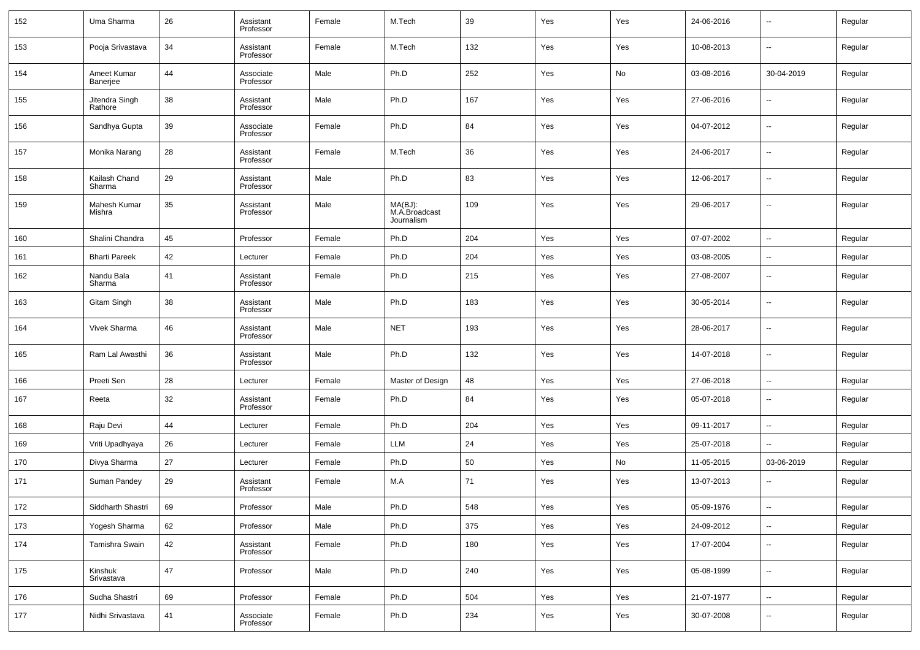| 152 | Uma Sharma                | 26 | Assistant<br>Professor | Female | M.Tech                                 | 39  | Yes | Yes | 24-06-2016 | $\overline{\phantom{a}}$ | Regular |
|-----|---------------------------|----|------------------------|--------|----------------------------------------|-----|-----|-----|------------|--------------------------|---------|
| 153 | Pooja Srivastava          | 34 | Assistant<br>Professor | Female | M.Tech                                 | 132 | Yes | Yes | 10-08-2013 | $\overline{\phantom{a}}$ | Regular |
| 154 | Ameet Kumar<br>Banerjee   | 44 | Associate<br>Professor | Male   | Ph.D                                   | 252 | Yes | No  | 03-08-2016 | 30-04-2019               | Regular |
| 155 | Jitendra Singh<br>Rathore | 38 | Assistant<br>Professor | Male   | Ph.D                                   | 167 | Yes | Yes | 27-06-2016 | $\overline{\phantom{a}}$ | Regular |
| 156 | Sandhya Gupta             | 39 | Associate<br>Professor | Female | Ph.D                                   | 84  | Yes | Yes | 04-07-2012 | $\overline{\phantom{a}}$ | Regular |
| 157 | Monika Narang             | 28 | Assistant<br>Professor | Female | M.Tech                                 | 36  | Yes | Yes | 24-06-2017 | $\overline{\phantom{a}}$ | Regular |
| 158 | Kailash Chand<br>Sharma   | 29 | Assistant<br>Professor | Male   | Ph.D                                   | 83  | Yes | Yes | 12-06-2017 | $\overline{\phantom{a}}$ | Regular |
| 159 | Mahesh Kumar<br>Mishra    | 35 | Assistant<br>Professor | Male   | MA(BJ):<br>M.A.Broadcast<br>Journalism | 109 | Yes | Yes | 29-06-2017 | $\overline{\phantom{a}}$ | Regular |
| 160 | Shalini Chandra           | 45 | Professor              | Female | Ph.D                                   | 204 | Yes | Yes | 07-07-2002 | --                       | Regular |
| 161 | <b>Bharti Pareek</b>      | 42 | Lecturer               | Female | Ph.D                                   | 204 | Yes | Yes | 03-08-2005 | $\overline{\phantom{a}}$ | Regular |
| 162 | Nandu Bala<br>Sharma      | 41 | Assistant<br>Professor | Female | Ph.D                                   | 215 | Yes | Yes | 27-08-2007 | --                       | Regular |
| 163 | Gitam Singh               | 38 | Assistant<br>Professor | Male   | Ph.D                                   | 183 | Yes | Yes | 30-05-2014 | $\overline{\phantom{a}}$ | Regular |
| 164 | Vivek Sharma              | 46 | Assistant<br>Professor | Male   | <b>NET</b>                             | 193 | Yes | Yes | 28-06-2017 | --                       | Regular |
| 165 | Ram Lal Awasthi           | 36 | Assistant<br>Professor | Male   | Ph.D                                   | 132 | Yes | Yes | 14-07-2018 | --                       | Regular |
| 166 | Preeti Sen                | 28 | Lecturer               | Female | Master of Design                       | 48  | Yes | Yes | 27-06-2018 | $\overline{\phantom{a}}$ | Regular |
| 167 | Reeta                     | 32 | Assistant<br>Professor | Female | Ph.D                                   | 84  | Yes | Yes | 05-07-2018 | $\overline{\phantom{a}}$ | Regular |
| 168 | Raju Devi                 | 44 | Lecturer               | Female | Ph.D                                   | 204 | Yes | Yes | 09-11-2017 | --                       | Regular |
| 169 | Vriti Upadhyaya           | 26 | Lecturer               | Female | LLM                                    | 24  | Yes | Yes | 25-07-2018 | $\overline{\phantom{a}}$ | Regular |
| 170 | Divya Sharma              | 27 | Lecturer               | Female | Ph.D                                   | 50  | Yes | No  | 11-05-2015 | 03-06-2019               | Regular |
| 171 | Suman Pandey              | 29 | Assistant<br>Professor | Female | M.A                                    | 71  | Yes | Yes | 13-07-2013 |                          | Regular |
| 172 | Siddharth Shastri         | 69 | Professor              | Male   | Ph.D                                   | 548 | Yes | Yes | 05-09-1976 | Ξ.                       | Regular |
| 173 | Yogesh Sharma             | 62 | Professor              | Male   | Ph.D                                   | 375 | Yes | Yes | 24-09-2012 | Ξ.                       | Regular |
| 174 | Tamishra Swain            | 42 | Assistant<br>Professor | Female | Ph.D                                   | 180 | Yes | Yes | 17-07-2004 | $\sim$                   | Regular |
| 175 | Kinshuk<br>Srivastava     | 47 | Professor              | Male   | Ph.D                                   | 240 | Yes | Yes | 05-08-1999 | $\sim$                   | Regular |
| 176 | Sudha Shastri             | 69 | Professor              | Female | Ph.D                                   | 504 | Yes | Yes | 21-07-1977 | $\overline{\phantom{a}}$ | Regular |
| 177 | Nidhi Srivastava          | 41 | Associate<br>Professor | Female | Ph.D                                   | 234 | Yes | Yes | 30-07-2008 | --                       | Regular |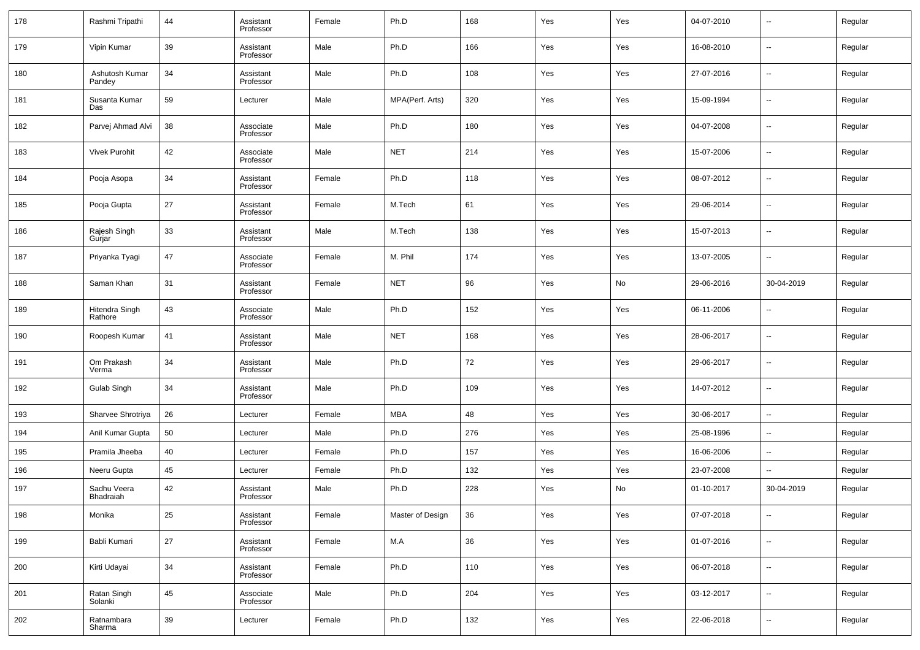| 178 | Rashmi Tripathi           | 44 | Assistant<br>Professor | Female | Ph.D             | 168 | Yes | Yes | 04-07-2010 | $\sim$                   | Regular |
|-----|---------------------------|----|------------------------|--------|------------------|-----|-----|-----|------------|--------------------------|---------|
| 179 | Vipin Kumar               | 39 | Assistant<br>Professor | Male   | Ph.D             | 166 | Yes | Yes | 16-08-2010 | $\sim$                   | Regular |
| 180 | Ashutosh Kumar<br>Pandey  | 34 | Assistant<br>Professor | Male   | Ph.D             | 108 | Yes | Yes | 27-07-2016 | $\sim$                   | Regular |
| 181 | Susanta Kumar<br>Das      | 59 | Lecturer               | Male   | MPA(Perf. Arts)  | 320 | Yes | Yes | 15-09-1994 | $\sim$                   | Regular |
| 182 | Parvej Ahmad Alvi         | 38 | Associate<br>Professor | Male   | Ph.D             | 180 | Yes | Yes | 04-07-2008 | --                       | Regular |
| 183 | <b>Vivek Purohit</b>      | 42 | Associate<br>Professor | Male   | <b>NET</b>       | 214 | Yes | Yes | 15-07-2006 | $\sim$                   | Regular |
| 184 | Pooja Asopa               | 34 | Assistant<br>Professor | Female | Ph.D             | 118 | Yes | Yes | 08-07-2012 | --                       | Regular |
| 185 | Pooja Gupta               | 27 | Assistant<br>Professor | Female | M.Tech           | 61  | Yes | Yes | 29-06-2014 | $\sim$                   | Regular |
| 186 | Rajesh Singh<br>Gurjar    | 33 | Assistant<br>Professor | Male   | M.Tech           | 138 | Yes | Yes | 15-07-2013 | $\sim$                   | Regular |
| 187 | Priyanka Tyagi            | 47 | Associate<br>Professor | Female | M. Phil          | 174 | Yes | Yes | 13-07-2005 | $\overline{\phantom{a}}$ | Regular |
| 188 | Saman Khan                | 31 | Assistant<br>Professor | Female | <b>NET</b>       | 96  | Yes | No  | 29-06-2016 | 30-04-2019               | Regular |
| 189 | Hitendra Singh<br>Rathore | 43 | Associate<br>Professor | Male   | Ph.D             | 152 | Yes | Yes | 06-11-2006 | --                       | Regular |
| 190 | Roopesh Kumar             | 41 | Assistant<br>Professor | Male   | <b>NET</b>       | 168 | Yes | Yes | 28-06-2017 | --                       | Regular |
| 191 | Om Prakash<br>Verma       | 34 | Assistant<br>Professor | Male   | Ph.D             | 72  | Yes | Yes | 29-06-2017 | --                       | Regular |
| 192 | Gulab Singh               | 34 | Assistant<br>Professor | Male   | Ph.D             | 109 | Yes | Yes | 14-07-2012 | ш,                       | Regular |
| 193 | Sharvee Shrotriya         | 26 | Lecturer               | Female | <b>MBA</b>       | 48  | Yes | Yes | 30-06-2017 | $\sim$                   | Regular |
| 194 | Anil Kumar Gupta          | 50 | Lecturer               | Male   | Ph.D             | 276 | Yes | Yes | 25-08-1996 | $\sim$                   | Regular |
| 195 | Pramila Jheeba            | 40 | Lecturer               | Female | Ph.D             | 157 | Yes | Yes | 16-06-2006 | ш,                       | Regular |
| 196 | Neeru Gupta               | 45 | Lecturer               | Female | Ph.D             | 132 | Yes | Yes | 23-07-2008 | --                       | Regular |
| 197 | Sadhu Veera<br>Bhadraiah  | 42 | Assistant<br>Professor | Male   | Ph.D             | 228 | Yes | No  | 01-10-2017 | 30-04-2019               | Regular |
| 198 | Monika                    | 25 | Assistant<br>Professor | Female | Master of Design | 36  | Yes | Yes | 07-07-2018 | ш,                       | Regular |
| 199 | Babli Kumari              | 27 | Assistant<br>Professor | Female | $M.A$            | 36  | Yes | Yes | 01-07-2016 | $\overline{\phantom{a}}$ | Regular |
| 200 | Kirti Udayai              | 34 | Assistant<br>Professor | Female | Ph.D             | 110 | Yes | Yes | 06-07-2018 | $\overline{\phantom{a}}$ | Regular |
| 201 | Ratan Singh<br>Solanki    | 45 | Associate<br>Professor | Male   | Ph.D             | 204 | Yes | Yes | 03-12-2017 | $\overline{\phantom{a}}$ | Regular |
| 202 | Ratnambara<br>Sharma      | 39 | Lecturer               | Female | Ph.D             | 132 | Yes | Yes | 22-06-2018 | $\overline{\phantom{a}}$ | Regular |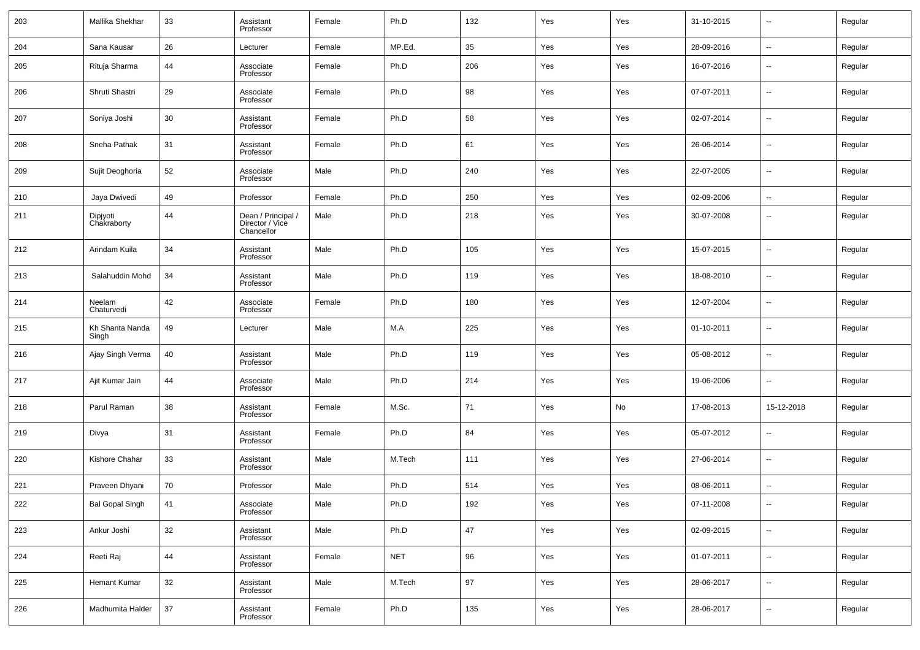| 203 | Mallika Shekhar          | 33 | Assistant<br>Professor                              | Female | Ph.D       | 132 | Yes | Yes | 31-10-2015 | --                       | Regular |
|-----|--------------------------|----|-----------------------------------------------------|--------|------------|-----|-----|-----|------------|--------------------------|---------|
| 204 | Sana Kausar              | 26 | Lecturer                                            | Female | MP.Ed.     | 35  | Yes | Yes | 28-09-2016 | $\overline{\phantom{a}}$ | Regular |
| 205 | Rituja Sharma            | 44 | Associate<br>Professor                              | Female | Ph.D       | 206 | Yes | Yes | 16-07-2016 | $\overline{\phantom{a}}$ | Regular |
| 206 | Shruti Shastri           | 29 | Associate<br>Professor                              | Female | Ph.D       | 98  | Yes | Yes | 07-07-2011 | $\overline{\phantom{a}}$ | Regular |
| 207 | Soniya Joshi             | 30 | Assistant<br>Professor                              | Female | Ph.D       | 58  | Yes | Yes | 02-07-2014 | $\overline{\phantom{a}}$ | Regular |
| 208 | Sneha Pathak             | 31 | Assistant<br>Professor                              | Female | Ph.D       | 61  | Yes | Yes | 26-06-2014 | $\overline{\phantom{a}}$ | Regular |
| 209 | Sujit Deoghoria          | 52 | Associate<br>Professor                              | Male   | Ph.D       | 240 | Yes | Yes | 22-07-2005 | $\overline{\phantom{a}}$ | Regular |
| 210 | Jaya Dwivedi             | 49 | Professor                                           | Female | Ph.D       | 250 | Yes | Yes | 02-09-2006 | $\overline{\phantom{a}}$ | Regular |
| 211 | Dipjyoti<br>Chakraborty  | 44 | Dean / Principal /<br>Director / Vice<br>Chancellor | Male   | Ph.D       | 218 | Yes | Yes | 30-07-2008 | $\overline{\phantom{a}}$ | Regular |
| 212 | Arindam Kuila            | 34 | Assistant<br>Professor                              | Male   | Ph.D       | 105 | Yes | Yes | 15-07-2015 | $\overline{\phantom{a}}$ | Regular |
| 213 | Salahuddin Mohd          | 34 | Assistant<br>Professor                              | Male   | Ph.D       | 119 | Yes | Yes | 18-08-2010 | $\overline{\phantom{a}}$ | Regular |
| 214 | Neelam<br>Chaturvedi     | 42 | Associate<br>Professor                              | Female | Ph.D       | 180 | Yes | Yes | 12-07-2004 | $\overline{\phantom{a}}$ | Regular |
| 215 | Kh Shanta Nanda<br>Singh | 49 | Lecturer                                            | Male   | M.A        | 225 | Yes | Yes | 01-10-2011 | $\overline{\phantom{a}}$ | Regular |
| 216 | Ajay Singh Verma         | 40 | Assistant<br>Professor                              | Male   | Ph.D       | 119 | Yes | Yes | 05-08-2012 | $\overline{\phantom{a}}$ | Regular |
| 217 | Ajit Kumar Jain          | 44 | Associate<br>Professor                              | Male   | Ph.D       | 214 | Yes | Yes | 19-06-2006 | $\overline{\phantom{a}}$ | Regular |
| 218 | Parul Raman              | 38 | Assistant<br>Professor                              | Female | M.Sc.      | 71  | Yes | No  | 17-08-2013 | 15-12-2018               | Regular |
| 219 | Divya                    | 31 | Assistant<br>Professor                              | Female | Ph.D       | 84  | Yes | Yes | 05-07-2012 | $\overline{\phantom{a}}$ | Regular |
| 220 | Kishore Chahar           | 33 | Assistant<br>Professor                              | Male   | M.Tech     | 111 | Yes | Yes | 27-06-2014 | $\overline{\phantom{a}}$ | Regular |
| 221 | Praveen Dhyani           | 70 | Professor                                           | Male   | Ph.D       | 514 | Yes | Yes | 08-06-2011 | $\overline{\phantom{a}}$ | Regular |
| 222 | <b>Bal Gopal Singh</b>   | 41 | Associate<br>Professor                              | Male   | Ph.D       | 192 | Yes | Yes | 07-11-2008 | $\overline{\phantom{a}}$ | Regular |
| 223 | Ankur Joshi              | 32 | Assistant<br>Professor                              | Male   | Ph.D       | 47  | Yes | Yes | 02-09-2015 | $\overline{\phantom{a}}$ | Regular |
| 224 | Reeti Raj                | 44 | Assistant<br>Professor                              | Female | <b>NET</b> | 96  | Yes | Yes | 01-07-2011 | $\overline{\phantom{a}}$ | Regular |
| 225 | Hemant Kumar             | 32 | Assistant<br>Professor                              | Male   | M.Tech     | 97  | Yes | Yes | 28-06-2017 | $\overline{\phantom{a}}$ | Regular |
| 226 | Madhumita Halder         | 37 | Assistant<br>Professor                              | Female | Ph.D       | 135 | Yes | Yes | 28-06-2017 | $\overline{\phantom{a}}$ | Regular |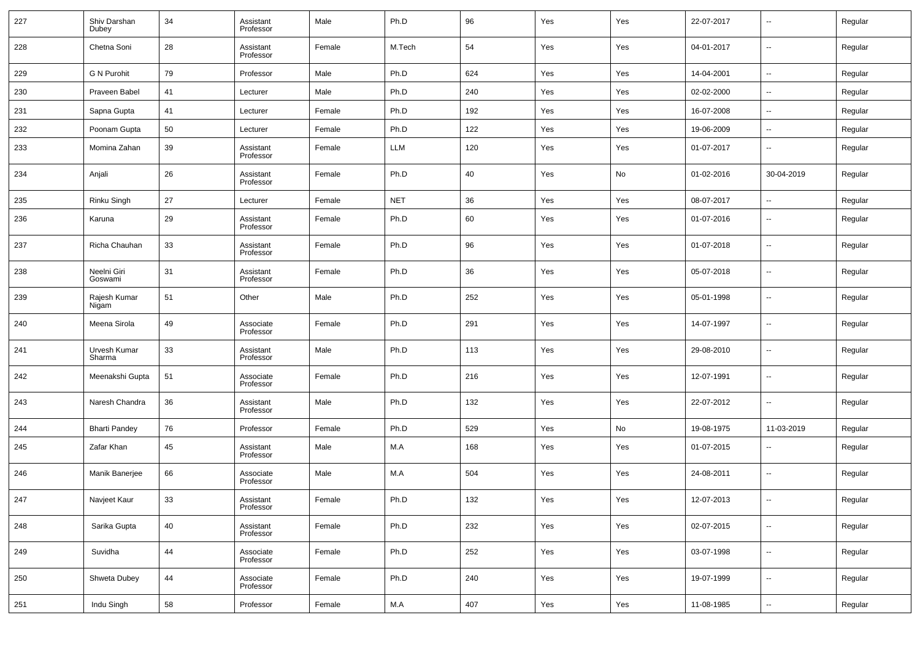| 227 | Shiv Darshan<br>Dubey  | 34 | Assistant<br>Professor | Male   | Ph.D       | 96  | Yes | Yes | 22-07-2017 | $\overline{\phantom{a}}$ | Regular |
|-----|------------------------|----|------------------------|--------|------------|-----|-----|-----|------------|--------------------------|---------|
| 228 | Chetna Soni            | 28 | Assistant<br>Professor | Female | M.Tech     | 54  | Yes | Yes | 04-01-2017 | $\overline{\phantom{a}}$ | Regular |
| 229 | <b>G N Purohit</b>     | 79 | Professor              | Male   | Ph.D       | 624 | Yes | Yes | 14-04-2001 | $\overline{\phantom{a}}$ | Regular |
| 230 | Praveen Babel          | 41 | Lecturer               | Male   | Ph.D       | 240 | Yes | Yes | 02-02-2000 | --                       | Regular |
| 231 | Sapna Gupta            | 41 | Lecturer               | Female | Ph.D       | 192 | Yes | Yes | 16-07-2008 | $\sim$                   | Regular |
| 232 | Poonam Gupta           | 50 | Lecturer               | Female | Ph.D       | 122 | Yes | Yes | 19-06-2009 | $\sim$                   | Regular |
| 233 | Momina Zahan           | 39 | Assistant<br>Professor | Female | <b>LLM</b> | 120 | Yes | Yes | 01-07-2017 | $\sim$                   | Regular |
| 234 | Anjali                 | 26 | Assistant<br>Professor | Female | Ph.D       | 40  | Yes | No  | 01-02-2016 | 30-04-2019               | Regular |
| 235 | Rinku Singh            | 27 | Lecturer               | Female | <b>NET</b> | 36  | Yes | Yes | 08-07-2017 | $\sim$                   | Regular |
| 236 | Karuna                 | 29 | Assistant<br>Professor | Female | Ph.D       | 60  | Yes | Yes | 01-07-2016 | $\ddotsc$                | Regular |
| 237 | Richa Chauhan          | 33 | Assistant<br>Professor | Female | Ph.D       | 96  | Yes | Yes | 01-07-2018 | $\ddotsc$                | Regular |
| 238 | Neelni Giri<br>Goswami | 31 | Assistant<br>Professor | Female | Ph.D       | 36  | Yes | Yes | 05-07-2018 | $\overline{\phantom{a}}$ | Regular |
| 239 | Rajesh Kumar<br>Nigam  | 51 | Other                  | Male   | Ph.D       | 252 | Yes | Yes | 05-01-1998 | $\ddotsc$                | Regular |
| 240 | Meena Sirola           | 49 | Associate<br>Professor | Female | Ph.D       | 291 | Yes | Yes | 14-07-1997 | $\ddotsc$                | Regular |
| 241 | Urvesh Kumar<br>Sharma | 33 | Assistant<br>Professor | Male   | Ph.D       | 113 | Yes | Yes | 29-08-2010 | $\sim$                   | Regular |
| 242 | Meenakshi Gupta        | 51 | Associate<br>Professor | Female | Ph.D       | 216 | Yes | Yes | 12-07-1991 | $\overline{\phantom{a}}$ | Regular |
| 243 | Naresh Chandra         | 36 | Assistant<br>Professor | Male   | Ph.D       | 132 | Yes | Yes | 22-07-2012 | $\sim$                   | Regular |
| 244 | <b>Bharti Pandey</b>   | 76 | Professor              | Female | Ph.D       | 529 | Yes | No  | 19-08-1975 | 11-03-2019               | Regular |
| 245 | Zafar Khan             | 45 | Assistant<br>Professor | Male   | M.A        | 168 | Yes | Yes | 01-07-2015 | $\overline{\phantom{a}}$ | Regular |
| 246 | Manik Banerjee         | 66 | Associate<br>Professor | Male   | M.A        | 504 | Yes | Yes | 24-08-2011 | $\overline{\phantom{a}}$ | Regular |
| 247 | Navjeet Kaur           | 33 | Assistant<br>Professor | Female | Ph.D       | 132 | Yes | Yes | 12-07-2013 | $\overline{\phantom{a}}$ | Regular |
| 248 | Sarika Gupta           | 40 | Assistant<br>Professor | Female | Ph.D       | 232 | Yes | Yes | 02-07-2015 | $\sim$                   | Regular |
| 249 | Suvidha                | 44 | Associate<br>Professor | Female | Ph.D       | 252 | Yes | Yes | 03-07-1998 | $\sim$                   | Regular |
| 250 | Shweta Dubey           | 44 | Associate<br>Professor | Female | Ph.D       | 240 | Yes | Yes | 19-07-1999 | $\sim$                   | Regular |
| 251 | Indu Singh             | 58 | Professor              | Female | M.A        | 407 | Yes | Yes | 11-08-1985 | $\sim$                   | Regular |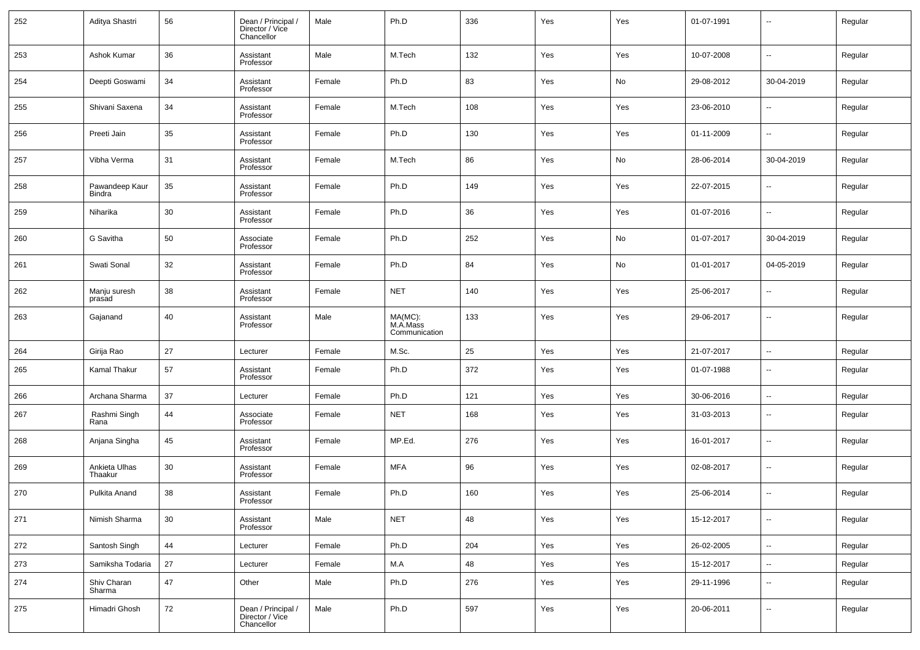| 252 | Aditya Shastri           | 56 | Dean / Principal /<br>Director / Vice<br>Chancellor | Male   | Ph.D                                 | 336 | Yes | Yes | 01-07-1991 | $\overline{\phantom{a}}$ | Regular |
|-----|--------------------------|----|-----------------------------------------------------|--------|--------------------------------------|-----|-----|-----|------------|--------------------------|---------|
| 253 | Ashok Kumar              | 36 | Assistant<br>Professor                              | Male   | M.Tech                               | 132 | Yes | Yes | 10-07-2008 | $\ddotsc$                | Regular |
| 254 | Deepti Goswami           | 34 | Assistant<br>Professor                              | Female | Ph.D                                 | 83  | Yes | No  | 29-08-2012 | 30-04-2019               | Regular |
| 255 | Shivani Saxena           | 34 | Assistant<br>Professor                              | Female | M.Tech                               | 108 | Yes | Yes | 23-06-2010 | $\sim$                   | Regular |
| 256 | Preeti Jain              | 35 | Assistant<br>Professor                              | Female | Ph.D                                 | 130 | Yes | Yes | 01-11-2009 | $\overline{\phantom{a}}$ | Regular |
| 257 | Vibha Verma              | 31 | Assistant<br>Professor                              | Female | M.Tech                               | 86  | Yes | No  | 28-06-2014 | 30-04-2019               | Regular |
| 258 | Pawandeep Kaur<br>Bindra | 35 | Assistant<br>Professor                              | Female | Ph.D                                 | 149 | Yes | Yes | 22-07-2015 | $\sim$                   | Regular |
| 259 | Niharika                 | 30 | Assistant<br>Professor                              | Female | Ph.D                                 | 36  | Yes | Yes | 01-07-2016 | $\overline{\phantom{a}}$ | Regular |
| 260 | G Savitha                | 50 | Associate<br>Professor                              | Female | Ph.D                                 | 252 | Yes | No  | 01-07-2017 | 30-04-2019               | Regular |
| 261 | Swati Sonal              | 32 | Assistant<br>Professor                              | Female | Ph.D                                 | 84  | Yes | No  | 01-01-2017 | 04-05-2019               | Regular |
| 262 | Manju suresh<br>prasad   | 38 | Assistant<br>Professor                              | Female | <b>NET</b>                           | 140 | Yes | Yes | 25-06-2017 | $\overline{\phantom{a}}$ | Regular |
| 263 | Gajanand                 | 40 | Assistant<br>Professor                              | Male   | MA(MC):<br>M.A.Mass<br>Communication | 133 | Yes | Yes | 29-06-2017 | $\ddotsc$                | Regular |
| 264 | Girija Rao               | 27 | Lecturer                                            | Female | M.Sc.                                | 25  | Yes | Yes | 21-07-2017 | --                       | Regular |
| 265 | Kamal Thakur             | 57 | Assistant<br>Professor                              | Female | Ph.D                                 | 372 | Yes | Yes | 01-07-1988 | $\overline{\phantom{a}}$ | Regular |
| 266 | Archana Sharma           | 37 | Lecturer                                            | Female | Ph.D                                 | 121 | Yes | Yes | 30-06-2016 | $\overline{\phantom{a}}$ | Regular |
| 267 | Rashmi Singh<br>Rana     | 44 | Associate<br>Professor                              | Female | <b>NET</b>                           | 168 | Yes | Yes | 31-03-2013 | $\overline{\phantom{a}}$ | Regular |
| 268 | Anjana Singha            | 45 | Assistant<br>Professor                              | Female | MP.Ed.                               | 276 | Yes | Yes | 16-01-2017 | $\overline{\phantom{a}}$ | Regular |
| 269 | Ankieta Ulhas<br>Thaakur | 30 | Assistant<br>Professor                              | Female | <b>MFA</b>                           | 96  | Yes | Yes | 02-08-2017 | $\overline{\phantom{a}}$ | Regular |
| 270 | Pulkita Anand            | 38 | Assistant<br>Professor                              | Female | Ph.D                                 | 160 | Yes | Yes | 25-06-2014 | $\overline{\phantom{a}}$ | Regular |
| 271 | Nimish Sharma            | 30 | Assistant<br>Professor                              | Male   | <b>NET</b>                           | 48  | Yes | Yes | 15-12-2017 | $\overline{\phantom{a}}$ | Regular |
| 272 | Santosh Singh            | 44 | Lecturer                                            | Female | Ph.D                                 | 204 | Yes | Yes | 26-02-2005 | $\overline{\phantom{a}}$ | Regular |
| 273 | Samiksha Todaria         | 27 | Lecturer                                            | Female | M.A                                  | 48  | Yes | Yes | 15-12-2017 | ۰.                       | Regular |
| 274 | Shiv Charan<br>Sharma    | 47 | Other                                               | Male   | Ph.D                                 | 276 | Yes | Yes | 29-11-1996 | $\overline{\phantom{a}}$ | Regular |
| 275 | Himadri Ghosh            | 72 | Dean / Principal /<br>Director / Vice<br>Chancellor | Male   | Ph.D                                 | 597 | Yes | Yes | 20-06-2011 | ۰.                       | Regular |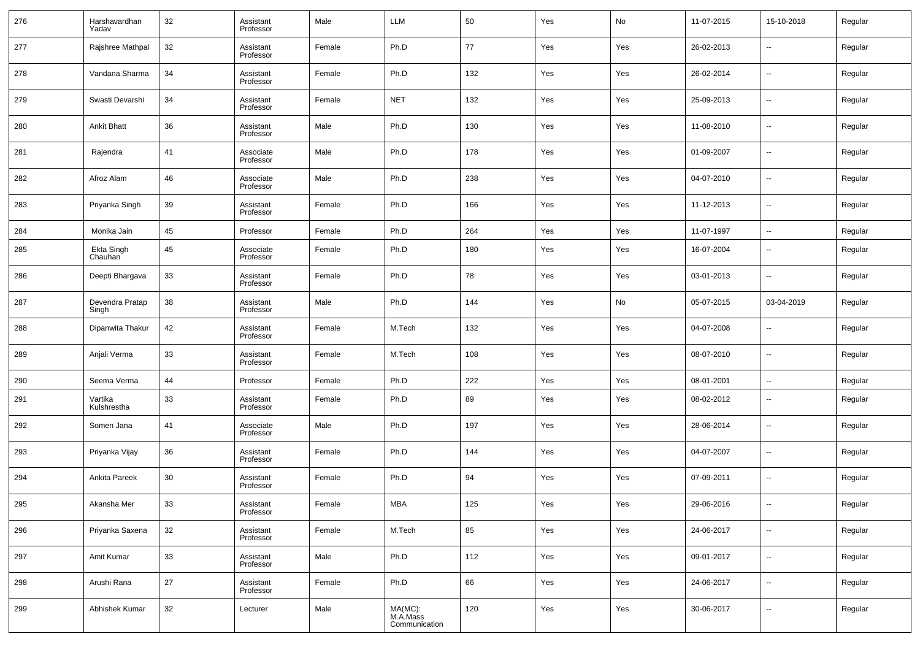| 276 | Harshavardhan<br>Yadav   | 32     | Assistant<br>Professor | Male   | LLM                                  | 50  | Yes | No  | 11-07-2015 | 15-10-2018               | Regular |
|-----|--------------------------|--------|------------------------|--------|--------------------------------------|-----|-----|-----|------------|--------------------------|---------|
| 277 | Rajshree Mathpal         | 32     | Assistant<br>Professor | Female | Ph.D                                 | 77  | Yes | Yes | 26-02-2013 | $\sim$                   | Regular |
| 278 | Vandana Sharma           | 34     | Assistant<br>Professor | Female | Ph.D                                 | 132 | Yes | Yes | 26-02-2014 | $\overline{\phantom{a}}$ | Regular |
| 279 | Swasti Devarshi          | 34     | Assistant<br>Professor | Female | <b>NET</b>                           | 132 | Yes | Yes | 25-09-2013 | $\overline{\phantom{a}}$ | Regular |
| 280 | <b>Ankit Bhatt</b>       | 36     | Assistant<br>Professor | Male   | Ph.D                                 | 130 | Yes | Yes | 11-08-2010 | $\sim$                   | Regular |
| 281 | Rajendra                 | 41     | Associate<br>Professor | Male   | Ph.D                                 | 178 | Yes | Yes | 01-09-2007 | $\overline{\phantom{a}}$ | Regular |
| 282 | Afroz Alam               | 46     | Associate<br>Professor | Male   | Ph.D                                 | 238 | Yes | Yes | 04-07-2010 | $\sim$                   | Regular |
| 283 | Priyanka Singh           | 39     | Assistant<br>Professor | Female | Ph.D                                 | 166 | Yes | Yes | 11-12-2013 | $\overline{\phantom{a}}$ | Regular |
| 284 | Monika Jain              | 45     | Professor              | Female | Ph.D                                 | 264 | Yes | Yes | 11-07-1997 | $\sim$                   | Regular |
| 285 | Ekta Singh<br>Chauhan    | 45     | Associate<br>Professor | Female | Ph.D                                 | 180 | Yes | Yes | 16-07-2004 | --                       | Regular |
| 286 | Deepti Bhargava          | 33     | Assistant<br>Professor | Female | Ph.D                                 | 78  | Yes | Yes | 03-01-2013 | --                       | Regular |
| 287 | Devendra Pratap<br>Singh | 38     | Assistant<br>Professor | Male   | Ph.D                                 | 144 | Yes | No  | 05-07-2015 | 03-04-2019               | Regular |
| 288 | Dipanwita Thakur         | 42     | Assistant<br>Professor | Female | M.Tech                               | 132 | Yes | Yes | 04-07-2008 | --                       | Regular |
| 289 | Anjali Verma             | 33     | Assistant<br>Professor | Female | M.Tech                               | 108 | Yes | Yes | 08-07-2010 | --                       | Regular |
| 290 | Seema Verma              | 44     | Professor              | Female | Ph.D                                 | 222 | Yes | Yes | 08-01-2001 | $\overline{\phantom{a}}$ | Regular |
| 291 | Vartika<br>Kulshrestha   | 33     | Assistant<br>Professor | Female | Ph.D                                 | 89  | Yes | Yes | 08-02-2012 | $\sim$                   | Regular |
| 292 | Somen Jana               | 41     | Associate<br>Professor | Male   | Ph.D                                 | 197 | Yes | Yes | 28-06-2014 | $\sim$                   | Regular |
| 293 | Priyanka Vijay           | 36     | Assistant<br>Professor | Female | Ph.D                                 | 144 | Yes | Yes | 04-07-2007 | $\overline{\phantom{a}}$ | Regular |
| 294 | Ankita Pareek            | 30     | Assistant<br>Professor | Female | Ph.D                                 | 94  | Yes | Yes | 07-09-2011 | --                       | Regular |
| 295 | Akansha Mer              | 33     | Assistant<br>Professor | Female | MBA                                  | 125 | Yes | Yes | 29-06-2016 | $\overline{\phantom{a}}$ | Regular |
| 296 | Priyanka Saxena          | $32\,$ | Assistant<br>Professor | Female | M.Tech                               | 85  | Yes | Yes | 24-06-2017 | $\sim$                   | Regular |
| 297 | Amit Kumar               | 33     | Assistant<br>Professor | Male   | Ph.D                                 | 112 | Yes | Yes | 09-01-2017 | $\sim$                   | Regular |
| 298 | Arushi Rana              | 27     | Assistant<br>Professor | Female | Ph.D                                 | 66  | Yes | Yes | 24-06-2017 | $\sim$                   | Regular |
| 299 | Abhishek Kumar           | 32     | Lecturer               | Male   | MA(MC):<br>M.A.Mass<br>Communication | 120 | Yes | Yes | 30-06-2017 | $\overline{\phantom{a}}$ | Regular |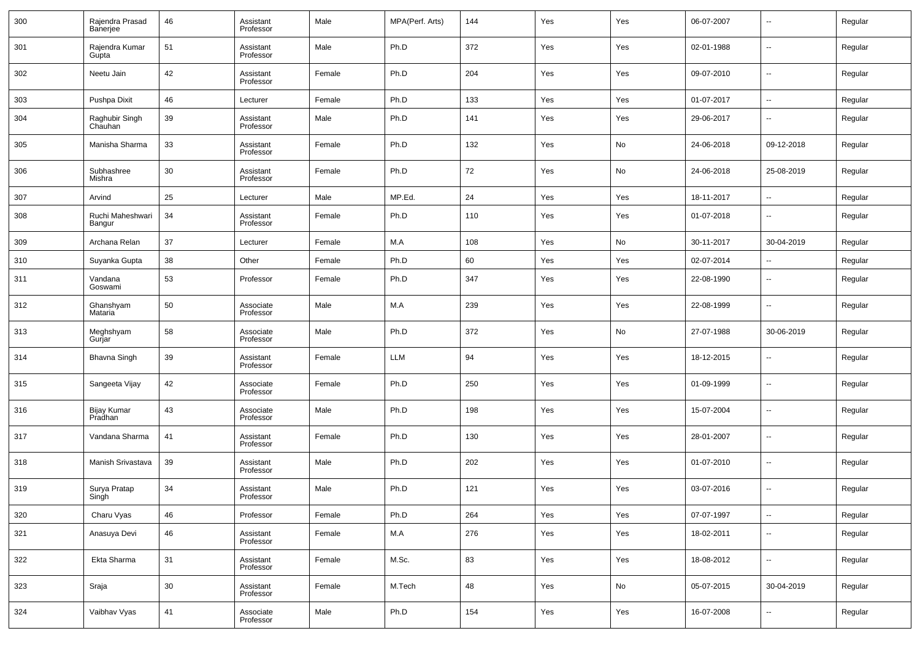| 300 | Rajendra Prasad<br>Banerjee | 46 | Assistant<br>Professor | Male   | MPA(Perf. Arts) | 144 | Yes | Yes | 06-07-2007 | $\overline{\phantom{a}}$     | Regular |
|-----|-----------------------------|----|------------------------|--------|-----------------|-----|-----|-----|------------|------------------------------|---------|
| 301 | Rajendra Kumar<br>Gupta     | 51 | Assistant<br>Professor | Male   | Ph.D            | 372 | Yes | Yes | 02-01-1988 | $\overline{\phantom{a}}$     | Regular |
| 302 | Neetu Jain                  | 42 | Assistant<br>Professor | Female | Ph.D            | 204 | Yes | Yes | 09-07-2010 | $\qquad \qquad \blacksquare$ | Regular |
| 303 | Pushpa Dixit                | 46 | Lecturer               | Female | Ph.D            | 133 | Yes | Yes | 01-07-2017 | $\overline{\phantom{a}}$     | Regular |
| 304 | Raghubir Singh<br>Chauhan   | 39 | Assistant<br>Professor | Male   | Ph.D            | 141 | Yes | Yes | 29-06-2017 | $\overline{\phantom{a}}$     | Regular |
| 305 | Manisha Sharma              | 33 | Assistant<br>Professor | Female | Ph.D            | 132 | Yes | No  | 24-06-2018 | 09-12-2018                   | Regular |
| 306 | Subhashree<br>Mishra        | 30 | Assistant<br>Professor | Female | Ph.D            | 72  | Yes | No  | 24-06-2018 | 25-08-2019                   | Regular |
| 307 | Arvind                      | 25 | Lecturer               | Male   | MP.Ed.          | 24  | Yes | Yes | 18-11-2017 | $\overline{\phantom{a}}$     | Regular |
| 308 | Ruchi Maheshwari<br>Bangur  | 34 | Assistant<br>Professor | Female | Ph.D            | 110 | Yes | Yes | 01-07-2018 | $\overline{\phantom{a}}$     | Regular |
| 309 | Archana Relan               | 37 | Lecturer               | Female | M.A             | 108 | Yes | No  | 30-11-2017 | 30-04-2019                   | Regular |
| 310 | Suyanka Gupta               | 38 | Other                  | Female | Ph.D            | 60  | Yes | Yes | 02-07-2014 | $\overline{\phantom{a}}$     | Regular |
| 311 | Vandana<br>Goswami          | 53 | Professor              | Female | Ph.D            | 347 | Yes | Yes | 22-08-1990 | $\overline{\phantom{a}}$     | Regular |
| 312 | Ghanshyam<br>Mataria        | 50 | Associate<br>Professor | Male   | M.A             | 239 | Yes | Yes | 22-08-1999 | $\overline{\phantom{a}}$     | Regular |
| 313 | Meghshyam<br>Gurjar         | 58 | Associate<br>Professor | Male   | Ph.D            | 372 | Yes | No  | 27-07-1988 | 30-06-2019                   | Regular |
| 314 | <b>Bhavna Singh</b>         | 39 | Assistant<br>Professor | Female | <b>LLM</b>      | 94  | Yes | Yes | 18-12-2015 | $\overline{\phantom{a}}$     | Regular |
| 315 | Sangeeta Vijay              | 42 | Associate<br>Professor | Female | Ph.D            | 250 | Yes | Yes | 01-09-1999 | $\overline{\phantom{a}}$     | Regular |
| 316 | Bijay Kumar<br>Pradhan      | 43 | Associate<br>Professor | Male   | Ph.D            | 198 | Yes | Yes | 15-07-2004 | $\sim$                       | Regular |
| 317 | Vandana Sharma              | 41 | Assistant<br>Professor | Female | Ph.D            | 130 | Yes | Yes | 28-01-2007 | $\overline{\phantom{a}}$     | Regular |
| 318 | Manish Srivastava           | 39 | Assistant<br>Professor | Male   | Ph.D            | 202 | Yes | Yes | 01-07-2010 | $\overline{\phantom{a}}$     | Regular |
| 319 | Surya Pratap<br>Singh       | 34 | Assistant<br>Professor | Male   | Ph.D            | 121 | Yes | Yes | 03-07-2016 | $\overline{\phantom{a}}$     | Regular |
| 320 | Charu Vyas                  | 46 | Professor              | Female | Ph.D            | 264 | Yes | Yes | 07-07-1997 | $\overline{\phantom{a}}$     | Regular |
| 321 | Anasuya Devi                | 46 | Assistant<br>Professor | Female | M.A             | 276 | Yes | Yes | 18-02-2011 | $\overline{\phantom{a}}$     | Regular |
| 322 | Ekta Sharma                 | 31 | Assistant<br>Professor | Female | M.Sc.           | 83  | Yes | Yes | 18-08-2012 | $\overline{\phantom{a}}$     | Regular |
| 323 | Sraja                       | 30 | Assistant<br>Professor | Female | M.Tech          | 48  | Yes | No  | 05-07-2015 | 30-04-2019                   | Regular |
| 324 | Vaibhav Vyas                | 41 | Associate<br>Professor | Male   | Ph.D            | 154 | Yes | Yes | 16-07-2008 | $\overline{\phantom{a}}$     | Regular |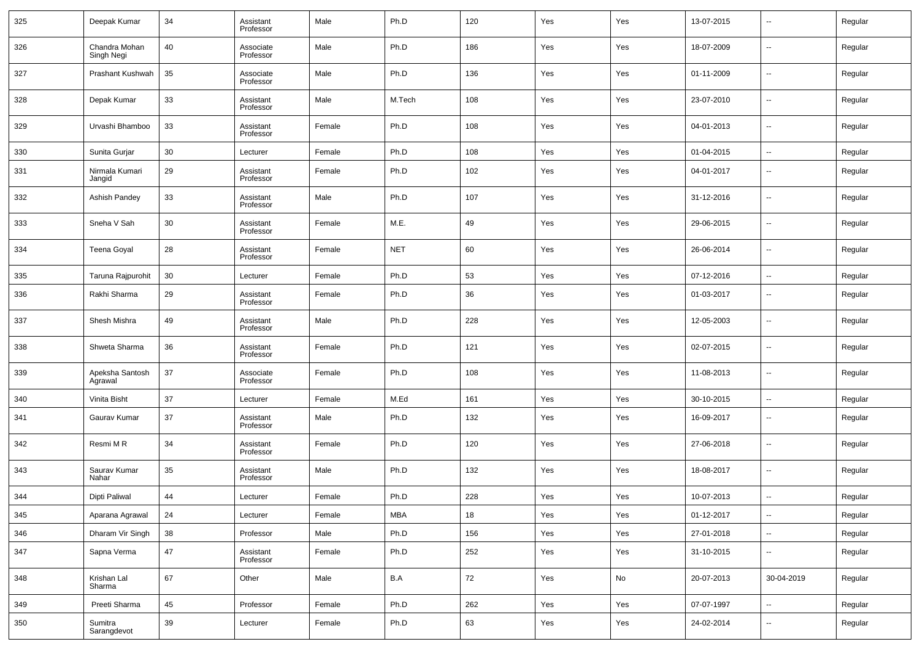| 325 | Deepak Kumar                | 34 | Assistant<br>Professor | Male   | Ph.D       | 120 | Yes | Yes | 13-07-2015 | $\overline{\phantom{a}}$ | Regular |
|-----|-----------------------------|----|------------------------|--------|------------|-----|-----|-----|------------|--------------------------|---------|
| 326 | Chandra Mohan<br>Singh Negi | 40 | Associate<br>Professor | Male   | Ph.D       | 186 | Yes | Yes | 18-07-2009 | $\overline{\phantom{a}}$ | Regular |
| 327 | Prashant Kushwah            | 35 | Associate<br>Professor | Male   | Ph.D       | 136 | Yes | Yes | 01-11-2009 | $\overline{\phantom{a}}$ | Regular |
| 328 | Depak Kumar                 | 33 | Assistant<br>Professor | Male   | M.Tech     | 108 | Yes | Yes | 23-07-2010 | $\overline{\phantom{a}}$ | Regular |
| 329 | Urvashi Bhamboo             | 33 | Assistant<br>Professor | Female | Ph.D       | 108 | Yes | Yes | 04-01-2013 | $\overline{\phantom{a}}$ | Regular |
| 330 | Sunita Guriar               | 30 | Lecturer               | Female | Ph.D       | 108 | Yes | Yes | 01-04-2015 | $\overline{\phantom{a}}$ | Regular |
| 331 | Nirmala Kumari<br>Jangid    | 29 | Assistant<br>Professor | Female | Ph.D       | 102 | Yes | Yes | 04-01-2017 | --                       | Regular |
| 332 | Ashish Pandey               | 33 | Assistant<br>Professor | Male   | Ph.D       | 107 | Yes | Yes | 31-12-2016 | --                       | Regular |
| 333 | Sneha V Sah                 | 30 | Assistant<br>Professor | Female | M.E.       | 49  | Yes | Yes | 29-06-2015 | --                       | Regular |
| 334 | <b>Teena Goyal</b>          | 28 | Assistant<br>Professor | Female | <b>NET</b> | 60  | Yes | Yes | 26-06-2014 | --                       | Regular |
| 335 | Taruna Rajpurohit           | 30 | Lecturer               | Female | Ph.D       | 53  | Yes | Yes | 07-12-2016 | $\overline{\phantom{a}}$ | Regular |
| 336 | Rakhi Sharma                | 29 | Assistant<br>Professor | Female | Ph.D       | 36  | Yes | Yes | 01-03-2017 | $\overline{\phantom{a}}$ | Regular |
| 337 | Shesh Mishra                | 49 | Assistant<br>Professor | Male   | Ph.D       | 228 | Yes | Yes | 12-05-2003 | $\overline{\phantom{a}}$ | Regular |
| 338 | Shweta Sharma               | 36 | Assistant<br>Professor | Female | Ph.D       | 121 | Yes | Yes | 02-07-2015 | $\sim$                   | Regular |
| 339 | Apeksha Santosh<br>Agrawal  | 37 | Associate<br>Professor | Female | Ph.D       | 108 | Yes | Yes | 11-08-2013 | $\sim$                   | Regular |
| 340 | Vinita Bisht                | 37 | Lecturer               | Female | M.Ed       | 161 | Yes | Yes | 30-10-2015 | $\sim$                   | Regular |
| 341 | Gaurav Kumar                | 37 | Assistant<br>Professor | Male   | Ph.D       | 132 | Yes | Yes | 16-09-2017 | --                       | Regular |
| 342 | Resmi M R                   | 34 | Assistant<br>Professor | Female | Ph.D       | 120 | Yes | Yes | 27-06-2018 | --                       | Regular |
| 343 | Saurav Kumar<br>Nahar       | 35 | Assistant<br>Professor | Male   | Ph.D       | 132 | Yes | Yes | 18-08-2017 | --                       | Regular |
| 344 | <b>Dipti Paliwal</b>        | 44 | Lecturer               | Female | Ph.D       | 228 | Yes | Yes | 10-07-2013 | --                       | Regular |
| 345 | Aparana Agrawal             | 24 | Lecturer               | Female | MBA        | 18  | Yes | Yes | 01-12-2017 | $\sim$                   | Regular |
| 346 | Dharam Vir Singh            | 38 | Professor              | Male   | Ph.D       | 156 | Yes | Yes | 27-01-2018 | u,                       | Regular |
| 347 | Sapna Verma                 | 47 | Assistant<br>Professor | Female | Ph.D       | 252 | Yes | Yes | 31-10-2015 | $\overline{\phantom{a}}$ | Regular |
| 348 | Krishan Lal<br>Sharma       | 67 | Other                  | Male   | B.A        | 72  | Yes | No  | 20-07-2013 | 30-04-2019               | Regular |
| 349 | Preeti Sharma               | 45 | Professor              | Female | Ph.D       | 262 | Yes | Yes | 07-07-1997 | ω,                       | Regular |
| 350 | Sumitra<br>Sarangdevot      | 39 | Lecturer               | Female | Ph.D       | 63  | Yes | Yes | 24-02-2014 | $\overline{\phantom{a}}$ | Regular |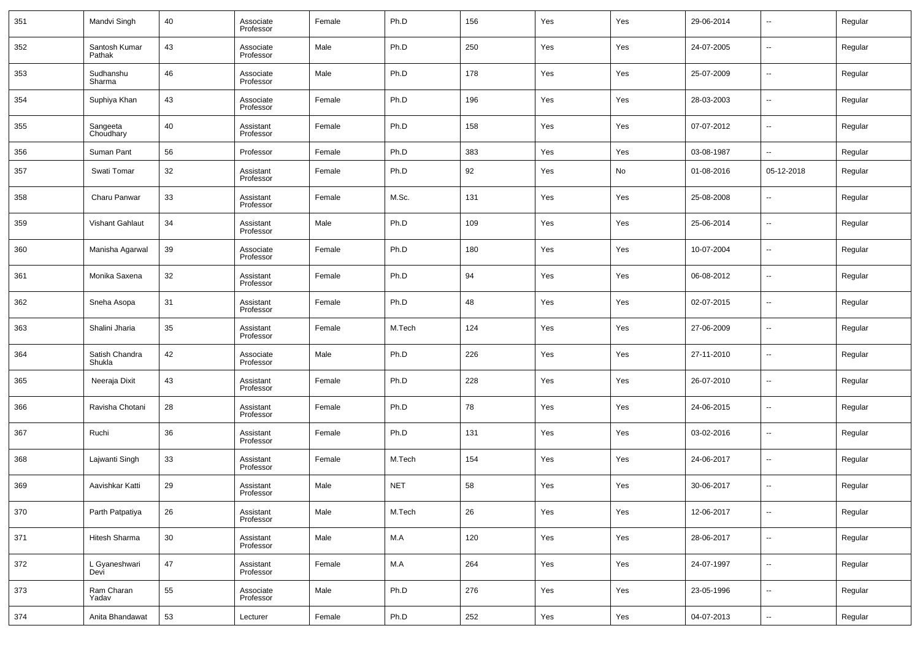| 351 | Mandvi Singh             | 40     | Associate<br>Professor | Female | Ph.D       | 156     | Yes | Yes | 29-06-2014 | --                       | Regular |
|-----|--------------------------|--------|------------------------|--------|------------|---------|-----|-----|------------|--------------------------|---------|
| 352 | Santosh Kumar<br>Pathak  | 43     | Associate<br>Professor | Male   | Ph.D       | 250     | Yes | Yes | 24-07-2005 | $\overline{\phantom{a}}$ | Regular |
| 353 | Sudhanshu<br>Sharma      | 46     | Associate<br>Professor | Male   | Ph.D       | 178     | Yes | Yes | 25-07-2009 | $\overline{\phantom{a}}$ | Regular |
| 354 | Suphiya Khan             | 43     | Associate<br>Professor | Female | Ph.D       | 196     | Yes | Yes | 28-03-2003 | --                       | Regular |
| 355 | Sangeeta<br>Choudhary    | 40     | Assistant<br>Professor | Female | Ph.D       | 158     | Yes | Yes | 07-07-2012 | $\overline{\phantom{a}}$ | Regular |
| 356 | Suman Pant               | 56     | Professor              | Female | Ph.D       | 383     | Yes | Yes | 03-08-1987 | --                       | Regular |
| 357 | Swati Tomar              | 32     | Assistant<br>Professor | Female | Ph.D       | 92      | Yes | No  | 01-08-2016 | 05-12-2018               | Regular |
| 358 | Charu Panwar             | 33     | Assistant<br>Professor | Female | M.Sc.      | 131     | Yes | Yes | 25-08-2008 | $\overline{\phantom{a}}$ | Regular |
| 359 | Vishant Gahlaut          | 34     | Assistant<br>Professor | Male   | Ph.D       | 109     | Yes | Yes | 25-06-2014 | $\overline{\phantom{a}}$ | Regular |
| 360 | Manisha Agarwal          | 39     | Associate<br>Professor | Female | Ph.D       | 180     | Yes | Yes | 10-07-2004 | $\overline{\phantom{a}}$ | Regular |
| 361 | Monika Saxena            | 32     | Assistant<br>Professor | Female | Ph.D       | 94      | Yes | Yes | 06-08-2012 | $\overline{\phantom{a}}$ | Regular |
| 362 | Sneha Asopa              | 31     | Assistant<br>Professor | Female | Ph.D       | 48      | Yes | Yes | 02-07-2015 | $\overline{\phantom{a}}$ | Regular |
| 363 | Shalini Jharia           | 35     | Assistant<br>Professor | Female | M.Tech     | 124     | Yes | Yes | 27-06-2009 | $\overline{\phantom{a}}$ | Regular |
| 364 | Satish Chandra<br>Shukla | 42     | Associate<br>Professor | Male   | Ph.D       | 226     | Yes | Yes | 27-11-2010 | $\overline{\phantom{a}}$ | Regular |
| 365 | Neeraja Dixit            | 43     | Assistant<br>Professor | Female | Ph.D       | 228     | Yes | Yes | 26-07-2010 | $\overline{\phantom{a}}$ | Regular |
| 366 | Ravisha Chotani          | 28     | Assistant<br>Professor | Female | Ph.D       | 78      | Yes | Yes | 24-06-2015 | $\overline{\phantom{a}}$ | Regular |
| 367 | Ruchi                    | 36     | Assistant<br>Professor | Female | Ph.D       | 131     | Yes | Yes | 03-02-2016 | $\overline{\phantom{a}}$ | Regular |
| 368 | Lajwanti Singh           | 33     | Assistant<br>Professor | Female | M.Tech     | 154     | Yes | Yes | 24-06-2017 | $\overline{\phantom{a}}$ | Regular |
| 369 | Aavishkar Katti          | 29     | Assistant<br>Professor | Male   | <b>NET</b> | 58      | Yes | Yes | 30-06-2017 | $\overline{\phantom{a}}$ | Regular |
| 370 | Parth Patpatiya          | 26     | Assistant<br>Professor | Male   | M.Tech     | 26      | Yes | Yes | 12-06-2017 | $\overline{\phantom{a}}$ | Regular |
| 371 | Hitesh Sharma            | $30\,$ | Assistant<br>Professor | Male   | M.A        | $120\,$ | Yes | Yes | 28-06-2017 | ۰.                       | Regular |
| 372 | L Gyaneshwari<br>Devi    | 47     | Assistant<br>Professor | Female | M.A        | 264     | Yes | Yes | 24-07-1997 | ۰.                       | Regular |
| 373 | Ram Charan<br>Yadav      | 55     | Associate<br>Professor | Male   | Ph.D       | 276     | Yes | Yes | 23-05-1996 | ۰.                       | Regular |
| 374 | Anita Bhandawat          | 53     | Lecturer               | Female | Ph.D       | 252     | Yes | Yes | 04-07-2013 | ۰.                       | Regular |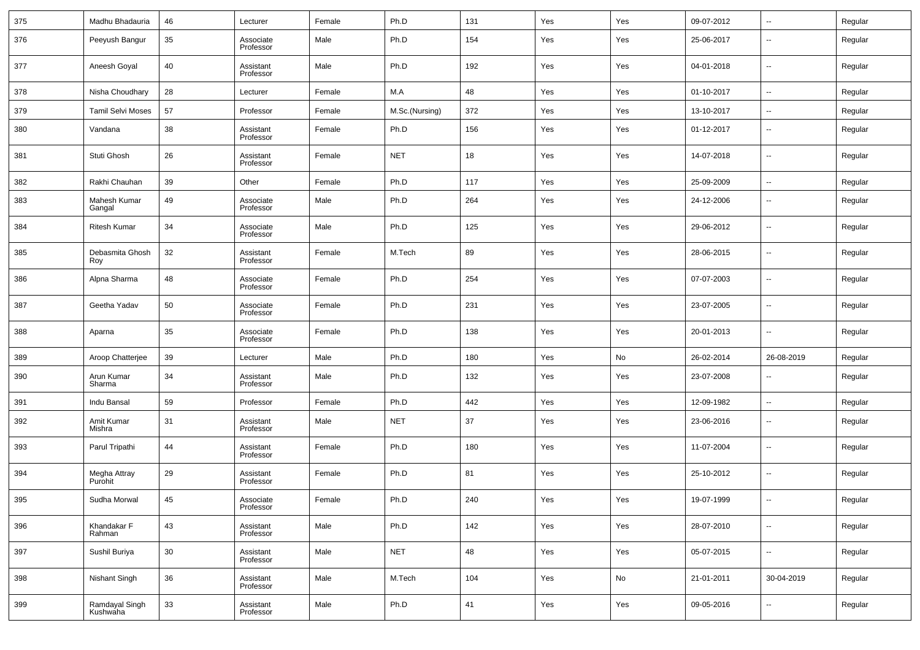| 375 | Madhu Bhadauria            | 46 | Lecturer               | Female | Ph.D           | 131 | Yes | Yes | 09-07-2012 | $\overline{\phantom{a}}$ | Regular |
|-----|----------------------------|----|------------------------|--------|----------------|-----|-----|-----|------------|--------------------------|---------|
| 376 | Peeyush Bangur             | 35 | Associate<br>Professor | Male   | Ph.D           | 154 | Yes | Yes | 25-06-2017 | $\overline{\phantom{a}}$ | Regular |
| 377 | Aneesh Goyal               | 40 | Assistant<br>Professor | Male   | Ph.D           | 192 | Yes | Yes | 04-01-2018 | $\overline{\phantom{a}}$ | Regular |
| 378 | Nisha Choudhary            | 28 | Lecturer               | Female | M.A            | 48  | Yes | Yes | 01-10-2017 | $\overline{\phantom{a}}$ | Regular |
| 379 | <b>Tamil Selvi Moses</b>   | 57 | Professor              | Female | M.Sc.(Nursing) | 372 | Yes | Yes | 13-10-2017 | $\overline{\phantom{a}}$ | Regular |
| 380 | Vandana                    | 38 | Assistant<br>Professor | Female | Ph.D           | 156 | Yes | Yes | 01-12-2017 | $\overline{\phantom{a}}$ | Regular |
| 381 | Stuti Ghosh                | 26 | Assistant<br>Professor | Female | <b>NET</b>     | 18  | Yes | Yes | 14-07-2018 | $\overline{\phantom{a}}$ | Regular |
| 382 | Rakhi Chauhan              | 39 | Other                  | Female | Ph.D           | 117 | Yes | Yes | 25-09-2009 | $\overline{\phantom{a}}$ | Regular |
| 383 | Mahesh Kumar<br>Gangal     | 49 | Associate<br>Professor | Male   | Ph.D           | 264 | Yes | Yes | 24-12-2006 | $\overline{\phantom{a}}$ | Regular |
| 384 | <b>Ritesh Kumar</b>        | 34 | Associate<br>Professor | Male   | Ph.D           | 125 | Yes | Yes | 29-06-2012 | $\overline{\phantom{a}}$ | Regular |
| 385 | Debasmita Ghosh<br>Roy     | 32 | Assistant<br>Professor | Female | M.Tech         | 89  | Yes | Yes | 28-06-2015 | $\overline{\phantom{a}}$ | Regular |
| 386 | Alpna Sharma               | 48 | Associate<br>Professor | Female | Ph.D           | 254 | Yes | Yes | 07-07-2003 | $\overline{\phantom{a}}$ | Regular |
| 387 | Geetha Yadav               | 50 | Associate<br>Professor | Female | Ph.D           | 231 | Yes | Yes | 23-07-2005 | $\overline{\phantom{a}}$ | Regular |
| 388 | Aparna                     | 35 | Associate<br>Professor | Female | Ph.D           | 138 | Yes | Yes | 20-01-2013 | $\overline{\phantom{a}}$ | Regular |
| 389 | Aroop Chatterjee           | 39 | Lecturer               | Male   | Ph.D           | 180 | Yes | No  | 26-02-2014 | 26-08-2019               | Regular |
| 390 | Arun Kumar<br>Sharma       | 34 | Assistant<br>Professor | Male   | Ph.D           | 132 | Yes | Yes | 23-07-2008 | $\overline{\phantom{a}}$ | Regular |
| 391 | Indu Bansal                | 59 | Professor              | Female | Ph.D           | 442 | Yes | Yes | 12-09-1982 | $\overline{\phantom{a}}$ | Regular |
| 392 | Amit Kumar<br>Mishra       | 31 | Assistant<br>Professor | Male   | <b>NET</b>     | 37  | Yes | Yes | 23-06-2016 | $\overline{\phantom{a}}$ | Regular |
| 393 | Parul Tripathi             | 44 | Assistant<br>Professor | Female | Ph.D           | 180 | Yes | Yes | 11-07-2004 | $\sim$                   | Regular |
| 394 | Megha Attray<br>Purohit    | 29 | Assistant<br>Professor | Female | Ph.D           | 81  | Yes | Yes | 25-10-2012 | $\overline{\phantom{a}}$ | Regular |
| 395 | Sudha Morwal               | 45 | Associate<br>Professor | Female | Ph.D           | 240 | Yes | Yes | 19-07-1999 | $\overline{\phantom{a}}$ | Regular |
| 396 | Khandakar F<br>Rahman      | 43 | Assistant<br>Professor | Male   | Ph.D           | 142 | Yes | Yes | 28-07-2010 | $\overline{\phantom{a}}$ | Regular |
| 397 | Sushil Buriya              | 30 | Assistant<br>Professor | Male   | <b>NET</b>     | 48  | Yes | Yes | 05-07-2015 | $\overline{\phantom{a}}$ | Regular |
| 398 | Nishant Singh              | 36 | Assistant<br>Professor | Male   | M.Tech         | 104 | Yes | No  | 21-01-2011 | 30-04-2019               | Regular |
| 399 | Ramdayal Singh<br>Kushwaha | 33 | Assistant<br>Professor | Male   | Ph.D           | 41  | Yes | Yes | 09-05-2016 | $\overline{\phantom{a}}$ | Regular |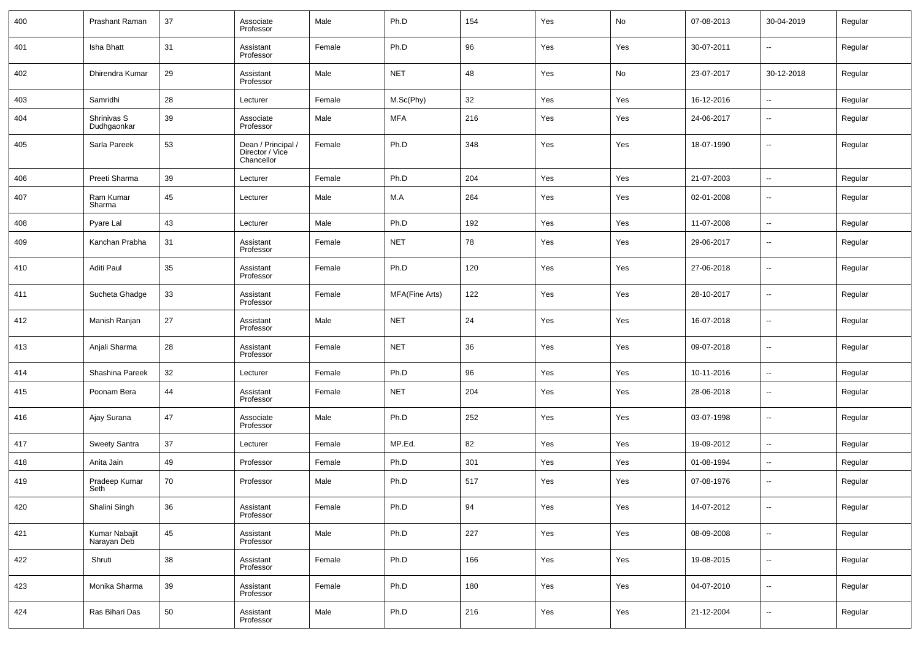| 400 | Prashant Raman               | 37 | Associate<br>Professor                              | Male   | Ph.D           | 154 | Yes | No  | 07-08-2013 | 30-04-2019               | Regular |
|-----|------------------------------|----|-----------------------------------------------------|--------|----------------|-----|-----|-----|------------|--------------------------|---------|
| 401 | Isha Bhatt                   | 31 | Assistant<br>Professor                              | Female | Ph.D           | 96  | Yes | Yes | 30-07-2011 | $\overline{\phantom{a}}$ | Regular |
| 402 | Dhirendra Kumar              | 29 | Assistant<br>Professor                              | Male   | <b>NET</b>     | 48  | Yes | No  | 23-07-2017 | 30-12-2018               | Regular |
| 403 | Samridhi                     | 28 | Lecturer                                            | Female | M.Sc(Phy)      | 32  | Yes | Yes | 16-12-2016 | $\ddotsc$                | Regular |
| 404 | Shrinivas S<br>Dudhgaonkar   | 39 | Associate<br>Professor                              | Male   | <b>MFA</b>     | 216 | Yes | Yes | 24-06-2017 | $\overline{\phantom{a}}$ | Regular |
| 405 | Sarla Pareek                 | 53 | Dean / Principal /<br>Director / Vice<br>Chancellor | Female | Ph.D           | 348 | Yes | Yes | 18-07-1990 | $\overline{\phantom{a}}$ | Regular |
| 406 | Preeti Sharma                | 39 | Lecturer                                            | Female | Ph.D           | 204 | Yes | Yes | 21-07-2003 | $\overline{\phantom{a}}$ | Regular |
| 407 | Ram Kumar<br>Sharma          | 45 | Lecturer                                            | Male   | M.A            | 264 | Yes | Yes | 02-01-2008 | $\overline{\phantom{a}}$ | Regular |
| 408 | Pyare Lal                    | 43 | Lecturer                                            | Male   | Ph.D           | 192 | Yes | Yes | 11-07-2008 | $\overline{\phantom{a}}$ | Regular |
| 409 | Kanchan Prabha               | 31 | Assistant<br>Professor                              | Female | <b>NET</b>     | 78  | Yes | Yes | 29-06-2017 | --                       | Regular |
| 410 | Aditi Paul                   | 35 | Assistant<br>Professor                              | Female | Ph.D           | 120 | Yes | Yes | 27-06-2018 | $\overline{\phantom{a}}$ | Regular |
| 411 | Sucheta Ghadge               | 33 | Assistant<br>Professor                              | Female | MFA(Fine Arts) | 122 | Yes | Yes | 28-10-2017 | $\overline{\phantom{a}}$ | Regular |
| 412 | Manish Ranjan                | 27 | Assistant<br>Professor                              | Male   | <b>NET</b>     | 24  | Yes | Yes | 16-07-2018 | $\overline{\phantom{a}}$ | Regular |
| 413 | Anjali Sharma                | 28 | Assistant<br>Professor                              | Female | <b>NET</b>     | 36  | Yes | Yes | 09-07-2018 | $\overline{\phantom{a}}$ | Regular |
| 414 | Shashina Pareek              | 32 | Lecturer                                            | Female | Ph.D           | 96  | Yes | Yes | 10-11-2016 | $\overline{\phantom{a}}$ | Regular |
| 415 | Poonam Bera                  | 44 | Assistant<br>Professor                              | Female | <b>NET</b>     | 204 | Yes | Yes | 28-06-2018 | --                       | Regular |
| 416 | Ajay Surana                  | 47 | Associate<br>Professor                              | Male   | Ph.D           | 252 | Yes | Yes | 03-07-1998 | $\overline{\phantom{a}}$ | Regular |
| 417 | Sweety Santra                | 37 | Lecturer                                            | Female | MP.Ed.         | 82  | Yes | Yes | 19-09-2012 | $\overline{\phantom{a}}$ | Regular |
| 418 | Anita Jain                   | 49 | Professor                                           | Female | Ph.D           | 301 | Yes | Yes | 01-08-1994 | $\overline{\phantom{a}}$ | Regular |
| 419 | Pradeep Kumar<br>Seth        | 70 | Professor                                           | Male   | Ph.D           | 517 | Yes | Yes | 07-08-1976 | $\overline{\phantom{a}}$ | Regular |
| 420 | Shalini Singh                | 36 | Assistant<br>Professor                              | Female | Ph.D           | 94  | Yes | Yes | 14-07-2012 | $\overline{\phantom{a}}$ | Regular |
| 421 | Kumar Nabajit<br>Narayan Deb | 45 | Assistant<br>Professor                              | Male   | Ph.D           | 227 | Yes | Yes | 08-09-2008 | $\overline{\phantom{a}}$ | Regular |
| 422 | Shruti                       | 38 | Assistant<br>Professor                              | Female | Ph.D           | 166 | Yes | Yes | 19-08-2015 | $\overline{\phantom{a}}$ | Regular |
| 423 | Monika Sharma                | 39 | Assistant<br>Professor                              | Female | Ph.D           | 180 | Yes | Yes | 04-07-2010 | $\overline{\phantom{a}}$ | Regular |
| 424 | Ras Bihari Das               | 50 | Assistant<br>Professor                              | Male   | Ph.D           | 216 | Yes | Yes | 21-12-2004 | $\overline{\phantom{a}}$ | Regular |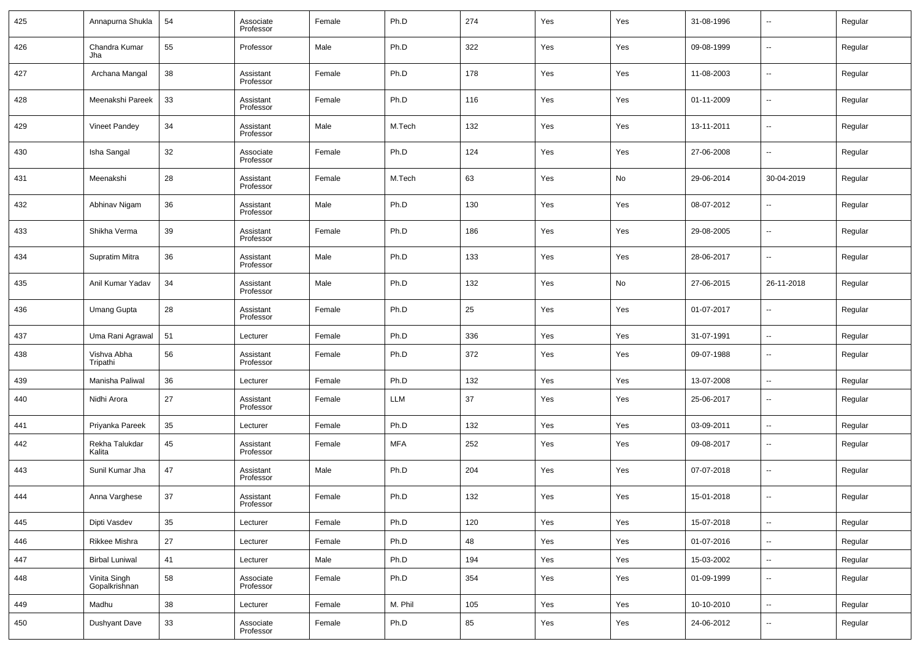| 425 | Annapurna Shukla              | 54 | Associate<br>Professor | Female | Ph.D       | 274 | Yes | Yes | 31-08-1996 | --                       | Regular |
|-----|-------------------------------|----|------------------------|--------|------------|-----|-----|-----|------------|--------------------------|---------|
| 426 | Chandra Kumar<br>Jha          | 55 | Professor              | Male   | Ph.D       | 322 | Yes | Yes | 09-08-1999 | --                       | Regular |
| 427 | Archana Mangal                | 38 | Assistant<br>Professor | Female | Ph.D       | 178 | Yes | Yes | 11-08-2003 | --                       | Regular |
| 428 | Meenakshi Pareek              | 33 | Assistant<br>Professor | Female | Ph.D       | 116 | Yes | Yes | 01-11-2009 | --                       | Regular |
| 429 | <b>Vineet Pandey</b>          | 34 | Assistant<br>Professor | Male   | M.Tech     | 132 | Yes | Yes | 13-11-2011 | --                       | Regular |
| 430 | Isha Sangal                   | 32 | Associate<br>Professor | Female | Ph.D       | 124 | Yes | Yes | 27-06-2008 | --                       | Regular |
| 431 | Meenakshi                     | 28 | Assistant<br>Professor | Female | M.Tech     | 63  | Yes | No  | 29-06-2014 | 30-04-2019               | Regular |
| 432 | Abhinav Nigam                 | 36 | Assistant<br>Professor | Male   | Ph.D       | 130 | Yes | Yes | 08-07-2012 | --                       | Regular |
| 433 | Shikha Verma                  | 39 | Assistant<br>Professor | Female | Ph.D       | 186 | Yes | Yes | 29-08-2005 | --                       | Regular |
| 434 | Supratim Mitra                | 36 | Assistant<br>Professor | Male   | Ph.D       | 133 | Yes | Yes | 28-06-2017 | --                       | Regular |
| 435 | Anil Kumar Yadav              | 34 | Assistant<br>Professor | Male   | Ph.D       | 132 | Yes | No  | 27-06-2015 | 26-11-2018               | Regular |
| 436 | <b>Umang Gupta</b>            | 28 | Assistant<br>Professor | Female | Ph.D       | 25  | Yes | Yes | 01-07-2017 | --                       | Regular |
| 437 | Uma Rani Agrawal              | 51 | Lecturer               | Female | Ph.D       | 336 | Yes | Yes | 31-07-1991 | $\overline{\phantom{a}}$ | Regular |
| 438 | Vishva Abha<br>Tripathi       | 56 | Assistant<br>Professor | Female | Ph.D       | 372 | Yes | Yes | 09-07-1988 | --                       | Regular |
| 439 | Manisha Paliwal               | 36 | Lecturer               | Female | Ph.D       | 132 | Yes | Yes | 13-07-2008 | ш,                       | Regular |
| 440 | Nidhi Arora                   | 27 | Assistant<br>Professor | Female | LLM        | 37  | Yes | Yes | 25-06-2017 | --                       | Regular |
| 441 | Priyanka Pareek               | 35 | Lecturer               | Female | Ph.D       | 132 | Yes | Yes | 03-09-2011 | --                       | Regular |
| 442 | Rekha Talukdar<br>Kalita      | 45 | Assistant<br>Professor | Female | <b>MFA</b> | 252 | Yes | Yes | 09-08-2017 | --                       | Regular |
| 443 | Sunil Kumar Jha               | 47 | Assistant<br>Professor | Male   | Ph.D       | 204 | Yes | Yes | 07-07-2018 | --                       | Regular |
| 444 | Anna Varghese                 | 37 | Assistant<br>Professor | Female | Ph.D       | 132 | Yes | Yes | 15-01-2018 | --                       | Regular |
| 445 | Dipti Vasdev                  | 35 | Lecturer               | Female | Ph.D       | 120 | Yes | Yes | 15-07-2018 | $\overline{\phantom{a}}$ | Regular |
| 446 | Rikkee Mishra                 | 27 | Lecturer               | Female | Ph.D       | 48  | Yes | Yes | 01-07-2016 | $\overline{\phantom{a}}$ | Regular |
| 447 | <b>Birbal Luniwal</b>         | 41 | Lecturer               | Male   | Ph.D       | 194 | Yes | Yes | 15-03-2002 | $\overline{\phantom{a}}$ | Regular |
| 448 | Vinita Singh<br>Gopalkrishnan | 58 | Associate<br>Professor | Female | Ph.D       | 354 | Yes | Yes | 01-09-1999 | $\sim$                   | Regular |
| 449 | Madhu                         | 38 | Lecturer               | Female | M. Phil    | 105 | Yes | Yes | 10-10-2010 | $\overline{\phantom{a}}$ | Regular |
| 450 | Dushyant Dave                 | 33 | Associate<br>Professor | Female | Ph.D       | 85  | Yes | Yes | 24-06-2012 | $\sim$                   | Regular |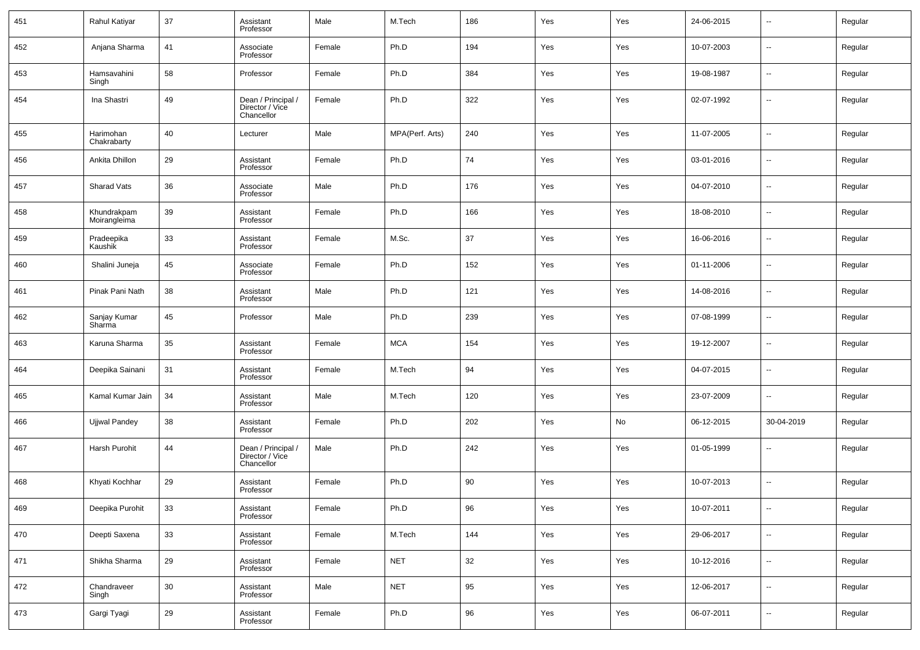| 451 | Rahul Katiyar               | 37 | Assistant<br>Professor                              | Male   | M.Tech          | 186 | Yes | Yes | 24-06-2015 | $\sim$                   | Regular |
|-----|-----------------------------|----|-----------------------------------------------------|--------|-----------------|-----|-----|-----|------------|--------------------------|---------|
| 452 | Anjana Sharma               | 41 | Associate<br>Professor                              | Female | Ph.D            | 194 | Yes | Yes | 10-07-2003 | $\sim$                   | Regular |
| 453 | Hamsavahini<br>Singh        | 58 | Professor                                           | Female | Ph.D            | 384 | Yes | Yes | 19-08-1987 | $\sim$                   | Regular |
| 454 | Ina Shastri                 | 49 | Dean / Principal /<br>Director / Vice<br>Chancellor | Female | Ph.D            | 322 | Yes | Yes | 02-07-1992 | --                       | Regular |
| 455 | Harimohan<br>Chakrabarty    | 40 | Lecturer                                            | Male   | MPA(Perf. Arts) | 240 | Yes | Yes | 11-07-2005 | $\overline{\phantom{a}}$ | Regular |
| 456 | Ankita Dhillon              | 29 | Assistant<br>Professor                              | Female | Ph.D            | 74  | Yes | Yes | 03-01-2016 | ш,                       | Regular |
| 457 | Sharad Vats                 | 36 | Associate<br>Professor                              | Male   | Ph.D            | 176 | Yes | Yes | 04-07-2010 | $\overline{\phantom{a}}$ | Regular |
| 458 | Khundrakpam<br>Moirangleima | 39 | Assistant<br>Professor                              | Female | Ph.D            | 166 | Yes | Yes | 18-08-2010 | ш,                       | Regular |
| 459 | Pradeepika<br>Kaushik       | 33 | Assistant<br>Professor                              | Female | M.Sc.           | 37  | Yes | Yes | 16-06-2016 | $\overline{\phantom{a}}$ | Regular |
| 460 | Shalini Juneja              | 45 | Associate<br>Professor                              | Female | Ph.D            | 152 | Yes | Yes | 01-11-2006 | $\overline{\phantom{a}}$ | Regular |
| 461 | Pinak Pani Nath             | 38 | Assistant<br>Professor                              | Male   | Ph.D            | 121 | Yes | Yes | 14-08-2016 | ш,                       | Regular |
| 462 | Sanjay Kumar<br>Sharma      | 45 | Professor                                           | Male   | Ph.D            | 239 | Yes | Yes | 07-08-1999 | $\overline{\phantom{a}}$ | Regular |
| 463 | Karuna Sharma               | 35 | Assistant<br>Professor                              | Female | <b>MCA</b>      | 154 | Yes | Yes | 19-12-2007 | $\overline{\phantom{a}}$ | Regular |
| 464 | Deepika Sainani             | 31 | Assistant<br>Professor                              | Female | M.Tech          | 94  | Yes | Yes | 04-07-2015 | $\overline{\phantom{a}}$ | Regular |
| 465 | Kamal Kumar Jain            | 34 | Assistant<br>Professor                              | Male   | M.Tech          | 120 | Yes | Yes | 23-07-2009 | $\overline{\phantom{a}}$ | Regular |
| 466 | Ujjwal Pandey               | 38 | Assistant<br>Professor                              | Female | Ph.D            | 202 | Yes | No  | 06-12-2015 | 30-04-2019               | Regular |
| 467 | Harsh Purohit               | 44 | Dean / Principal /<br>Director / Vice<br>Chancellor | Male   | Ph.D            | 242 | Yes | Yes | 01-05-1999 | ш,                       | Regular |
| 468 | Khyati Kochhar              | 29 | Assistant<br>Professor                              | Female | Ph.D            | 90  | Yes | Yes | 10-07-2013 | --                       | Regular |
| 469 | Deepika Purohit             | 33 | Assistant<br>Professor                              | Female | Ph.D            | 96  | Yes | Yes | 10-07-2011 | $\overline{\phantom{a}}$ | Regular |
| 470 | Deepti Saxena               | 33 | Assistant<br>Professor                              | Female | M.Tech          | 144 | Yes | Yes | 29-06-2017 | ٠.                       | Regular |
| 471 | Shikha Sharma               | 29 | Assistant<br>Professor                              | Female | <b>NET</b>      | 32  | Yes | Yes | 10-12-2016 | ٠.                       | Regular |
| 472 | Chandraveer<br>Singh        | 30 | Assistant<br>Professor                              | Male   | <b>NET</b>      | 95  | Yes | Yes | 12-06-2017 | ٠.                       | Regular |
| 473 | Gargi Tyagi                 | 29 | Assistant<br>Professor                              | Female | Ph.D            | 96  | Yes | Yes | 06-07-2011 | $\overline{\phantom{a}}$ | Regular |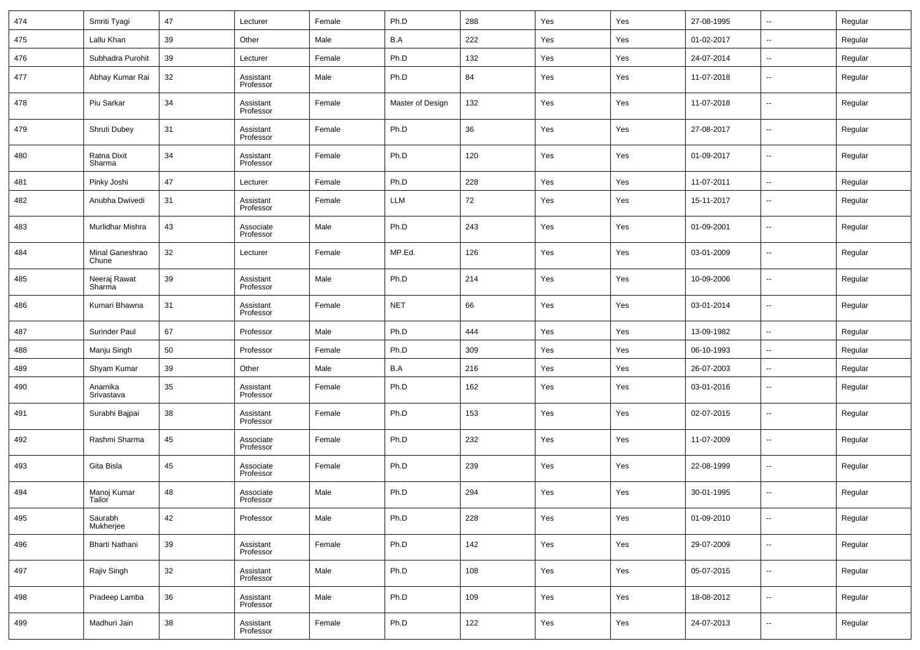| 474 | Smriti Tyagi             | 47 | Lecturer               | Female | Ph.D             | 288 | Yes | Yes | 27-08-1995 | --                       | Regular |
|-----|--------------------------|----|------------------------|--------|------------------|-----|-----|-----|------------|--------------------------|---------|
| 475 | Lallu Khan               | 39 | Other                  | Male   | B.A              | 222 | Yes | Yes | 01-02-2017 | ۰.                       | Regular |
| 476 | Subhadra Purohit         | 39 | Lecturer               | Female | Ph.D             | 132 | Yes | Yes | 24-07-2014 | --                       | Regular |
| 477 | Abhay Kumar Rai          | 32 | Assistant<br>Professor | Male   | Ph.D             | 84  | Yes | Yes | 11-07-2018 | $\overline{\phantom{a}}$ | Regular |
| 478 | Piu Sarkar               | 34 | Assistant<br>Professor | Female | Master of Design | 132 | Yes | Yes | 11-07-2018 | $\overline{\phantom{a}}$ | Regular |
| 479 | Shruti Dubey             | 31 | Assistant<br>Professor | Female | Ph.D             | 36  | Yes | Yes | 27-08-2017 | --                       | Regular |
| 480 | Ratna Dixit<br>Sharma    | 34 | Assistant<br>Professor | Female | Ph.D             | 120 | Yes | Yes | 01-09-2017 | $\overline{\phantom{a}}$ | Regular |
| 481 | Pinky Joshi              | 47 | Lecturer               | Female | Ph.D             | 228 | Yes | Yes | 11-07-2011 | $\overline{\phantom{a}}$ | Regular |
| 482 | Anubha Dwivedi           | 31 | Assistant<br>Professor | Female | LLM              | 72  | Yes | Yes | 15-11-2017 | $\overline{\phantom{a}}$ | Regular |
| 483 | Murlidhar Mishra         | 43 | Associate<br>Professor | Male   | Ph.D             | 243 | Yes | Yes | 01-09-2001 | $\overline{\phantom{a}}$ | Regular |
| 484 | Minal Ganeshrao<br>Chune | 32 | Lecturer               | Female | MP.Ed.           | 126 | Yes | Yes | 03-01-2009 | $\overline{\phantom{a}}$ | Regular |
| 485 | Neeraj Rawat<br>Sharma   | 39 | Assistant<br>Professor | Male   | Ph.D             | 214 | Yes | Yes | 10-09-2006 | $\overline{\phantom{a}}$ | Regular |
| 486 | Kumari Bhawna            | 31 | Assistant<br>Professor | Female | <b>NET</b>       | 66  | Yes | Yes | 03-01-2014 | $\overline{\phantom{a}}$ | Regular |
| 487 | Surinder Paul            | 67 | Professor              | Male   | Ph.D             | 444 | Yes | Yes | 13-09-1982 | $\overline{\phantom{a}}$ | Regular |
| 488 | Manju Singh              | 50 | Professor              | Female | Ph.D             | 309 | Yes | Yes | 06-10-1993 | --                       | Regular |
| 489 | Shyam Kumar              | 39 | Other                  | Male   | B.A              | 216 | Yes | Yes | 26-07-2003 | $\overline{\phantom{a}}$ | Regular |
| 490 | Anamika<br>Srivastava    | 35 | Assistant<br>Professor | Female | Ph.D             | 162 | Yes | Yes | 03-01-2016 | $\overline{\phantom{a}}$ | Regular |
| 491 | Surabhi Bajpai           | 38 | Assistant<br>Professor | Female | Ph.D             | 153 | Yes | Yes | 02-07-2015 | $\overline{\phantom{a}}$ | Regular |
| 492 | Rashmi Sharma            | 45 | Associate<br>Professor | Female | Ph.D             | 232 | Yes | Yes | 11-07-2009 | $\overline{\phantom{a}}$ | Regular |
| 493 | Gita Bisla               | 45 | Associate<br>Professor | Female | Ph.D             | 239 | Yes | Yes | 22-08-1999 | $\overline{\phantom{a}}$ | Regular |
| 494 | Manoj Kumar<br>Tailor    | 48 | Associate<br>Professor | Male   | Ph.D             | 294 | Yes | Yes | 30-01-1995 | $\overline{\phantom{a}}$ | Regular |
| 495 | Saurabh<br>Mukherjee     | 42 | Professor              | Male   | Ph.D             | 228 | Yes | Yes | 01-09-2010 | ۰.                       | Regular |
| 496 | Bharti Nathani           | 39 | Assistant<br>Professor | Female | Ph.D             | 142 | Yes | Yes | 29-07-2009 | ۰.                       | Regular |
| 497 | Rajiv Singh              | 32 | Assistant<br>Professor | Male   | Ph.D             | 108 | Yes | Yes | 05-07-2015 | ۰.                       | Regular |
| 498 | Pradeep Lamba            | 36 | Assistant<br>Professor | Male   | Ph.D             | 109 | Yes | Yes | 18-08-2012 | ۰.                       | Regular |
| 499 | Madhuri Jain             | 38 | Assistant<br>Professor | Female | Ph.D             | 122 | Yes | Yes | 24-07-2013 | ۰.                       | Regular |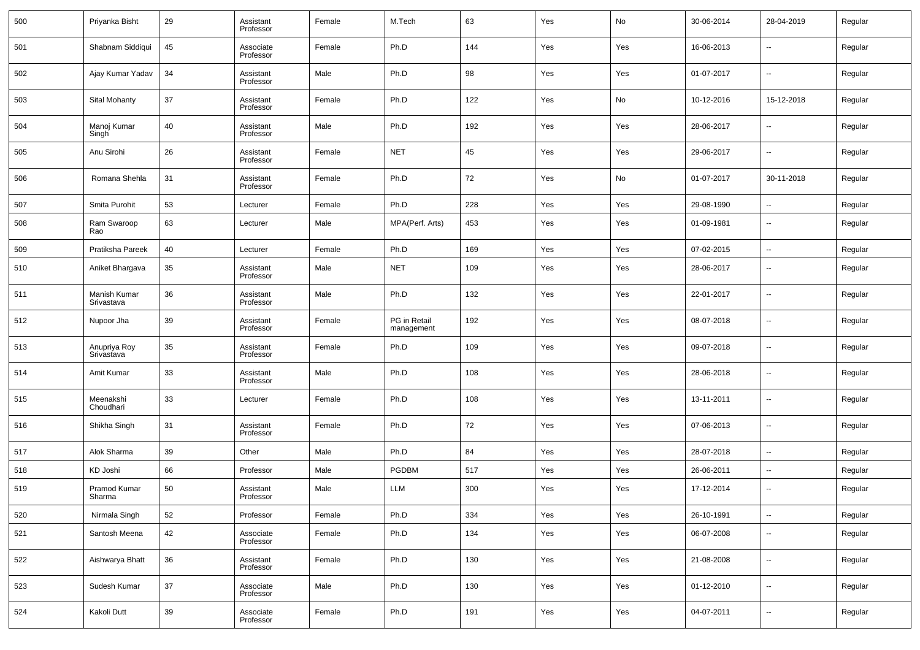| 500 | Priyanka Bisht             | 29 | Assistant<br>Professor | Female | M.Tech                     | 63  | Yes | No  | 30-06-2014 | 28-04-2019               | Regular |
|-----|----------------------------|----|------------------------|--------|----------------------------|-----|-----|-----|------------|--------------------------|---------|
| 501 | Shabnam Siddiqui           | 45 | Associate<br>Professor | Female | Ph.D                       | 144 | Yes | Yes | 16-06-2013 | --                       | Regular |
| 502 | Ajay Kumar Yadav           | 34 | Assistant<br>Professor | Male   | Ph.D                       | 98  | Yes | Yes | 01-07-2017 | $\overline{\phantom{a}}$ | Regular |
| 503 | Sital Mohanty              | 37 | Assistant<br>Professor | Female | Ph.D                       | 122 | Yes | No  | 10-12-2016 | 15-12-2018               | Regular |
| 504 | Manoj Kumar<br>Singh       | 40 | Assistant<br>Professor | Male   | Ph.D                       | 192 | Yes | Yes | 28-06-2017 | --                       | Regular |
| 505 | Anu Sirohi                 | 26 | Assistant<br>Professor | Female | <b>NET</b>                 | 45  | Yes | Yes | 29-06-2017 | --                       | Regular |
| 506 | Romana Shehla              | 31 | Assistant<br>Professor | Female | Ph.D                       | 72  | Yes | No  | 01-07-2017 | 30-11-2018               | Regular |
| 507 | Smita Purohit              | 53 | Lecturer               | Female | Ph.D                       | 228 | Yes | Yes | 29-08-1990 | $\overline{\phantom{a}}$ | Regular |
| 508 | Ram Swaroop<br>Rao         | 63 | Lecturer               | Male   | MPA(Perf. Arts)            | 453 | Yes | Yes | 01-09-1981 | $\overline{\phantom{a}}$ | Regular |
| 509 | Pratiksha Pareek           | 40 | Lecturer               | Female | Ph.D                       | 169 | Yes | Yes | 07-02-2015 | $\overline{\phantom{a}}$ | Regular |
| 510 | Aniket Bhargava            | 35 | Assistant<br>Professor | Male   | <b>NET</b>                 | 109 | Yes | Yes | 28-06-2017 | $\overline{\phantom{a}}$ | Regular |
| 511 | Manish Kumar<br>Srivastava | 36 | Assistant<br>Professor | Male   | Ph.D                       | 132 | Yes | Yes | 22-01-2017 | --                       | Regular |
| 512 | Nupoor Jha                 | 39 | Assistant<br>Professor | Female | PG in Retail<br>management | 192 | Yes | Yes | 08-07-2018 | $\sim$                   | Regular |
| 513 | Anupriya Roy<br>Srivastava | 35 | Assistant<br>Professor | Female | Ph.D                       | 109 | Yes | Yes | 09-07-2018 | $\overline{\phantom{a}}$ | Regular |
| 514 | Amit Kumar                 | 33 | Assistant<br>Professor | Male   | Ph.D                       | 108 | Yes | Yes | 28-06-2018 | $\overline{\phantom{a}}$ | Regular |
| 515 | Meenakshi<br>Choudhari     | 33 | Lecturer               | Female | Ph.D                       | 108 | Yes | Yes | 13-11-2011 | $\overline{\phantom{a}}$ | Regular |
| 516 | Shikha Singh               | 31 | Assistant<br>Professor | Female | Ph.D                       | 72  | Yes | Yes | 07-06-2013 | $\overline{\phantom{a}}$ | Regular |
| 517 | Alok Sharma                | 39 | Other                  | Male   | Ph.D                       | 84  | Yes | Yes | 28-07-2018 | --                       | Regular |
| 518 | KD Joshi                   | 66 | Professor              | Male   | <b>PGDBM</b>               | 517 | Yes | Yes | 26-06-2011 | --                       | Regular |
| 519 | Pramod Kumar<br>Sharma     | 50 | Assistant<br>Professor | Male   | LLM                        | 300 | Yes | Yes | 17-12-2014 | $\overline{\phantom{a}}$ | Regular |
| 520 | Nirmala Singh              | 52 | Professor              | Female | Ph.D                       | 334 | Yes | Yes | 26-10-1991 | $\overline{\phantom{a}}$ | Regular |
| 521 | Santosh Meena              | 42 | Associate<br>Professor | Female | Ph.D                       | 134 | Yes | Yes | 06-07-2008 | $\overline{\phantom{a}}$ | Regular |
| 522 | Aishwarya Bhatt            | 36 | Assistant<br>Professor | Female | Ph.D                       | 130 | Yes | Yes | 21-08-2008 | $\overline{\phantom{a}}$ | Regular |
| 523 | Sudesh Kumar               | 37 | Associate<br>Professor | Male   | Ph.D                       | 130 | Yes | Yes | 01-12-2010 | $\overline{\phantom{a}}$ | Regular |
| 524 | Kakoli Dutt                | 39 | Associate<br>Professor | Female | Ph.D                       | 191 | Yes | Yes | 04-07-2011 | $\overline{\phantom{a}}$ | Regular |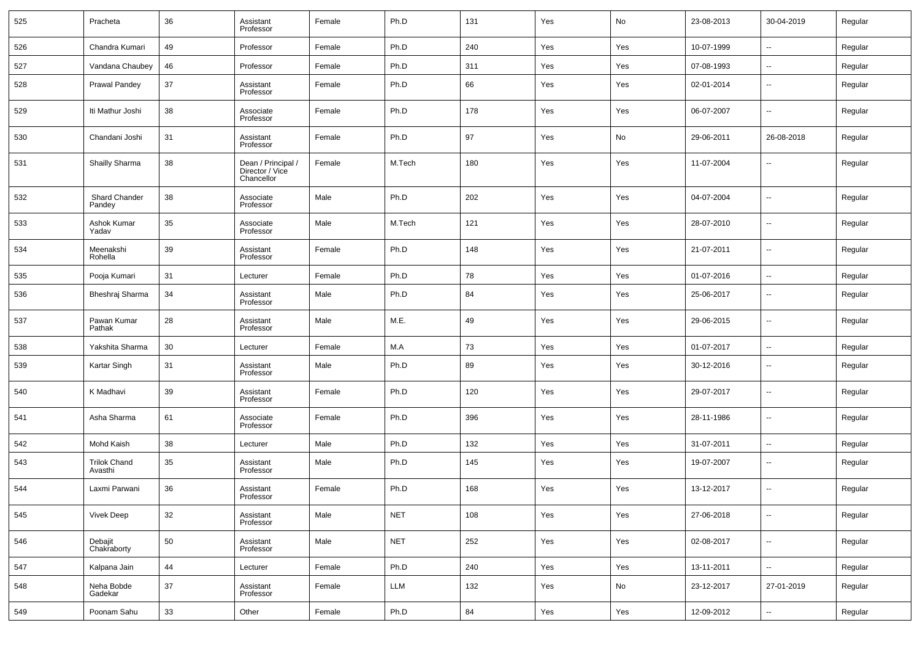| 525 | Pracheta                       | 36 | Assistant<br>Professor                              | Female | Ph.D       | 131 | Yes | No  | 23-08-2013 | 30-04-2019               | Regular |
|-----|--------------------------------|----|-----------------------------------------------------|--------|------------|-----|-----|-----|------------|--------------------------|---------|
| 526 | Chandra Kumari                 | 49 | Professor                                           | Female | Ph.D       | 240 | Yes | Yes | 10-07-1999 | --                       | Regular |
| 527 | Vandana Chaubey                | 46 | Professor                                           | Female | Ph.D       | 311 | Yes | Yes | 07-08-1993 | $\overline{\phantom{a}}$ | Regular |
| 528 | Prawal Pandey                  | 37 | Assistant<br>Professor                              | Female | Ph.D       | 66  | Yes | Yes | 02-01-2014 | $\sim$                   | Regular |
| 529 | Iti Mathur Joshi               | 38 | Associate<br>Professor                              | Female | Ph.D       | 178 | Yes | Yes | 06-07-2007 | $\overline{\phantom{a}}$ | Regular |
| 530 | Chandani Joshi                 | 31 | Assistant<br>Professor                              | Female | Ph.D       | 97  | Yes | No  | 29-06-2011 | 26-08-2018               | Regular |
| 531 | Shailly Sharma                 | 38 | Dean / Principal /<br>Director / Vice<br>Chancellor | Female | M.Tech     | 180 | Yes | Yes | 11-07-2004 | $\sim$                   | Regular |
| 532 | Shard Chander<br>Pandey        | 38 | Associate<br>Professor                              | Male   | Ph.D       | 202 | Yes | Yes | 04-07-2004 | $\overline{\phantom{a}}$ | Regular |
| 533 | Ashok Kumar<br>Yadav           | 35 | Associate<br>Professor                              | Male   | M.Tech     | 121 | Yes | Yes | 28-07-2010 | $\overline{\phantom{a}}$ | Regular |
| 534 | Meenakshi<br>Rohella           | 39 | Assistant<br>Professor                              | Female | Ph.D       | 148 | Yes | Yes | 21-07-2011 | $\overline{\phantom{a}}$ | Regular |
| 535 | Pooja Kumari                   | 31 | Lecturer                                            | Female | Ph.D       | 78  | Yes | Yes | 01-07-2016 | $\overline{\phantom{a}}$ | Regular |
| 536 | Bheshraj Sharma                | 34 | Assistant<br>Professor                              | Male   | Ph.D       | 84  | Yes | Yes | 25-06-2017 | $\overline{\phantom{a}}$ | Regular |
| 537 | Pawan Kumar<br>Pathak          | 28 | Assistant<br>Professor                              | Male   | M.E.       | 49  | Yes | Yes | 29-06-2015 | $\overline{\phantom{a}}$ | Regular |
| 538 | Yakshita Sharma                | 30 | Lecturer                                            | Female | M.A        | 73  | Yes | Yes | 01-07-2017 | $\overline{\phantom{a}}$ | Regular |
| 539 | Kartar Singh                   | 31 | Assistant<br>Professor                              | Male   | Ph.D       | 89  | Yes | Yes | 30-12-2016 | $\overline{\phantom{a}}$ | Regular |
| 540 | K Madhavi                      | 39 | Assistant<br>Professor                              | Female | Ph.D       | 120 | Yes | Yes | 29-07-2017 | $\overline{\phantom{a}}$ | Regular |
| 541 | Asha Sharma                    | 61 | Associate<br>Professor                              | Female | Ph.D       | 396 | Yes | Yes | 28-11-1986 | $\overline{\phantom{a}}$ | Regular |
| 542 | Mohd Kaish                     | 38 | Lecturer                                            | Male   | Ph.D       | 132 | Yes | Yes | 31-07-2011 | $\overline{\phantom{a}}$ | Regular |
| 543 | <b>Trilok Chand</b><br>Avasthi | 35 | Assistant<br>Professor                              | Male   | Ph.D       | 145 | Yes | Yes | 19-07-2007 | $\overline{\phantom{a}}$ | Regular |
| 544 | Laxmi Parwani                  | 36 | Assistant<br>Professor                              | Female | Ph.D       | 168 | Yes | Yes | 13-12-2017 | $\overline{\phantom{a}}$ | Regular |
| 545 | <b>Vivek Deep</b>              | 32 | Assistant<br>Professor                              | Male   | <b>NET</b> | 108 | Yes | Yes | 27-06-2018 | $\overline{\phantom{a}}$ | Regular |
| 546 | Debajit<br>Chakraborty         | 50 | Assistant<br>Professor                              | Male   | <b>NET</b> | 252 | Yes | Yes | 02-08-2017 | $\overline{\phantom{a}}$ | Regular |
| 547 | Kalpana Jain                   | 44 | Lecturer                                            | Female | Ph.D       | 240 | Yes | Yes | 13-11-2011 | ۰.                       | Regular |
| 548 | Neha Bobde<br>Gadekar          | 37 | Assistant<br>Professor                              | Female | LLM        | 132 | Yes | No  | 23-12-2017 | 27-01-2019               | Regular |
| 549 | Poonam Sahu                    | 33 | Other                                               | Female | Ph.D       | 84  | Yes | Yes | 12-09-2012 | ۰.                       | Regular |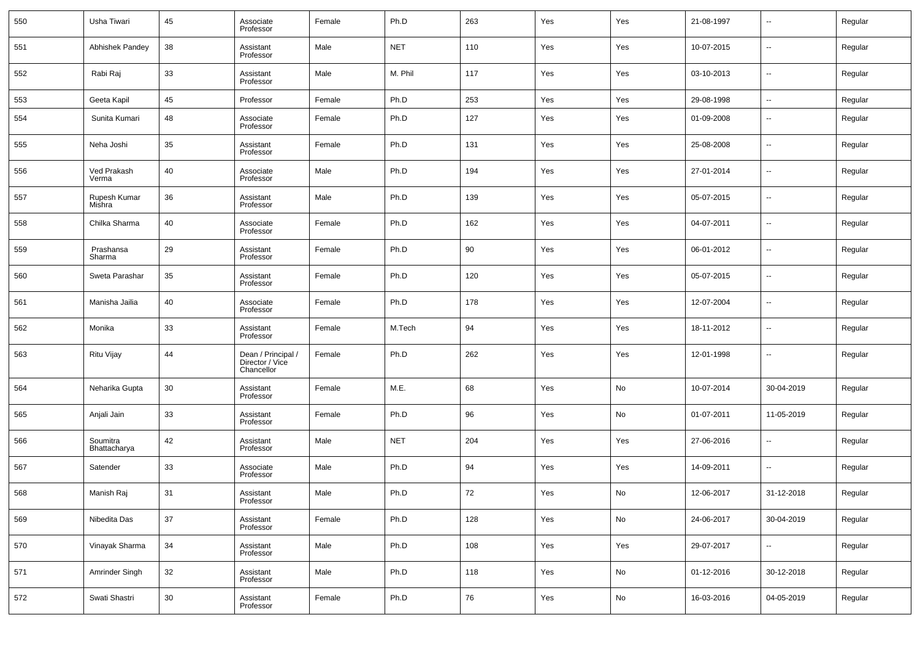| 550 | Usha Tiwari              | 45 | Associate<br>Professor                              | Female | Ph.D       | 263    | Yes | Yes | 21-08-1997 | $\overline{\phantom{a}}$ | Regular |
|-----|--------------------------|----|-----------------------------------------------------|--------|------------|--------|-----|-----|------------|--------------------------|---------|
| 551 | Abhishek Pandey          | 38 | Assistant<br>Professor                              | Male   | <b>NET</b> | 110    | Yes | Yes | 10-07-2015 | $\overline{\phantom{a}}$ | Regular |
| 552 | Rabi Raj                 | 33 | Assistant<br>Professor                              | Male   | M. Phil    | 117    | Yes | Yes | 03-10-2013 | $\overline{\phantom{a}}$ | Regular |
| 553 | Geeta Kapil              | 45 | Professor                                           | Female | Ph.D       | 253    | Yes | Yes | 29-08-1998 | $\overline{\phantom{a}}$ | Regular |
| 554 | Sunita Kumari            | 48 | Associate<br>Professor                              | Female | Ph.D       | 127    | Yes | Yes | 01-09-2008 | $\overline{\phantom{a}}$ | Regular |
| 555 | Neha Joshi               | 35 | Assistant<br>Professor                              | Female | Ph.D       | 131    | Yes | Yes | 25-08-2008 | --                       | Regular |
| 556 | Ved Prakash<br>Verma     | 40 | Associate<br>Professor                              | Male   | Ph.D       | 194    | Yes | Yes | 27-01-2014 | $\overline{\phantom{a}}$ | Regular |
| 557 | Rupesh Kumar<br>Mishra   | 36 | Assistant<br>Professor                              | Male   | Ph.D       | 139    | Yes | Yes | 05-07-2015 | --                       | Regular |
| 558 | Chilka Sharma            | 40 | Associate<br>Professor                              | Female | Ph.D       | 162    | Yes | Yes | 04-07-2011 | $\overline{\phantom{a}}$ | Regular |
| 559 | Prashansa<br>Sharma      | 29 | Assistant<br>Professor                              | Female | Ph.D       | $90\,$ | Yes | Yes | 06-01-2012 | $\overline{\phantom{a}}$ | Regular |
| 560 | Sweta Parashar           | 35 | Assistant<br>Professor                              | Female | Ph.D       | 120    | Yes | Yes | 05-07-2015 | $\overline{\phantom{a}}$ | Regular |
| 561 | Manisha Jailia           | 40 | Associate<br>Professor                              | Female | Ph.D       | 178    | Yes | Yes | 12-07-2004 | $\overline{\phantom{a}}$ | Regular |
| 562 | Monika                   | 33 | Assistant<br>Professor                              | Female | M.Tech     | 94     | Yes | Yes | 18-11-2012 | $\overline{\phantom{a}}$ | Regular |
| 563 | Ritu Vijay               | 44 | Dean / Principal /<br>Director / Vice<br>Chancellor | Female | Ph.D       | 262    | Yes | Yes | 12-01-1998 | $\overline{\phantom{a}}$ | Regular |
| 564 | Neharika Gupta           | 30 | Assistant<br>Professor                              | Female | M.E.       | 68     | Yes | No  | 10-07-2014 | 30-04-2019               | Regular |
| 565 | Anjali Jain              | 33 | Assistant<br>Professor                              | Female | Ph.D       | 96     | Yes | No  | 01-07-2011 | 11-05-2019               | Regular |
| 566 | Soumitra<br>Bhattacharya | 42 | Assistant<br>Professor                              | Male   | <b>NET</b> | 204    | Yes | Yes | 27-06-2016 | $\overline{\phantom{a}}$ | Regular |
| 567 | Satender                 | 33 | Associate<br>Professor                              | Male   | Ph.D       | 94     | Yes | Yes | 14-09-2011 | $\overline{\phantom{a}}$ | Regular |
| 568 | Manish Raj               | 31 | Assistant<br>Professor                              | Male   | Ph.D       | 72     | Yes | No  | 12-06-2017 | 31-12-2018               | Regular |
| 569 | Nibedita Das             | 37 | Assistant<br>Professor                              | Female | Ph.D       | 128    | Yes | No  | 24-06-2017 | 30-04-2019               | Regular |
| 570 | Vinayak Sharma           | 34 | Assistant<br>Professor                              | Male   | Ph.D       | 108    | Yes | Yes | 29-07-2017 | $\overline{\phantom{a}}$ | Regular |
| 571 | Amrinder Singh           | 32 | Assistant<br>Professor                              | Male   | Ph.D       | 118    | Yes | No  | 01-12-2016 | 30-12-2018               | Regular |
| 572 | Swati Shastri            | 30 | Assistant<br>Professor                              | Female | Ph.D       | 76     | Yes | No  | 16-03-2016 | 04-05-2019               | Regular |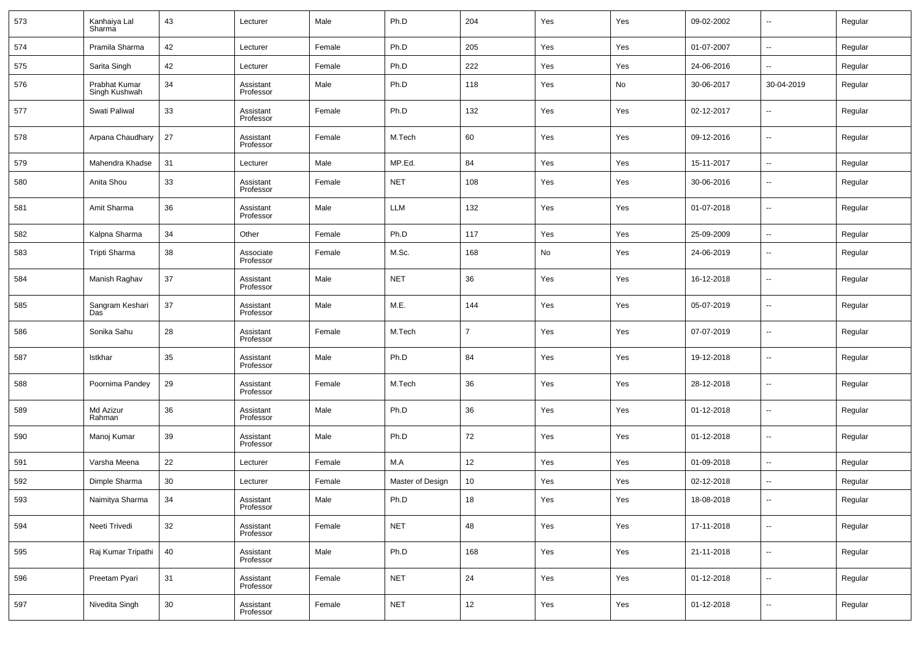| 573 | Kanhaiya Lal<br>Sharma         | 43 | Lecturer               | Male   | Ph.D             | 204            | Yes | Yes | 09-02-2002 | $\overline{\phantom{a}}$ | Regular |
|-----|--------------------------------|----|------------------------|--------|------------------|----------------|-----|-----|------------|--------------------------|---------|
| 574 | Pramila Sharma                 | 42 | Lecturer               | Female | Ph.D             | 205            | Yes | Yes | 01-07-2007 | $\overline{\phantom{a}}$ | Regular |
| 575 | Sarita Singh                   | 42 | Lecturer               | Female | Ph.D             | 222            | Yes | Yes | 24-06-2016 | $\overline{\phantom{a}}$ | Regular |
| 576 | Prabhat Kumar<br>Singh Kushwah | 34 | Assistant<br>Professor | Male   | Ph.D             | 118            | Yes | No  | 30-06-2017 | 30-04-2019               | Regular |
| 577 | Swati Paliwal                  | 33 | Assistant<br>Professor | Female | Ph.D             | 132            | Yes | Yes | 02-12-2017 | --                       | Regular |
| 578 | Arpana Chaudhary               | 27 | Assistant<br>Professor | Female | M.Tech           | 60             | Yes | Yes | 09-12-2016 | $\overline{\phantom{a}}$ | Regular |
| 579 | Mahendra Khadse                | 31 | Lecturer               | Male   | MP.Ed.           | 84             | Yes | Yes | 15-11-2017 | $\overline{\phantom{a}}$ | Regular |
| 580 | Anita Shou                     | 33 | Assistant<br>Professor | Female | <b>NET</b>       | 108            | Yes | Yes | 30-06-2016 | $\overline{\phantom{a}}$ | Regular |
| 581 | Amit Sharma                    | 36 | Assistant<br>Professor | Male   | <b>LLM</b>       | 132            | Yes | Yes | 01-07-2018 | $\overline{\phantom{a}}$ | Regular |
| 582 | Kalpna Sharma                  | 34 | Other                  | Female | Ph.D             | 117            | Yes | Yes | 25-09-2009 | $\overline{\phantom{a}}$ | Regular |
| 583 | Tripti Sharma                  | 38 | Associate<br>Professor | Female | M.Sc.            | 168            | No  | Yes | 24-06-2019 | --                       | Regular |
| 584 | Manish Raghav                  | 37 | Assistant<br>Professor | Male   | <b>NET</b>       | 36             | Yes | Yes | 16-12-2018 | $\overline{\phantom{a}}$ | Regular |
| 585 | Sangram Keshari<br>Das         | 37 | Assistant<br>Professor | Male   | M.E.             | 144            | Yes | Yes | 05-07-2019 | $\overline{\phantom{a}}$ | Regular |
| 586 | Sonika Sahu                    | 28 | Assistant<br>Professor | Female | M.Tech           | $\overline{7}$ | Yes | Yes | 07-07-2019 | --                       | Regular |
| 587 | Istkhar                        | 35 | Assistant<br>Professor | Male   | Ph.D             | 84             | Yes | Yes | 19-12-2018 | $\overline{\phantom{a}}$ | Regular |
| 588 | Poornima Pandey                | 29 | Assistant<br>Professor | Female | M.Tech           | 36             | Yes | Yes | 28-12-2018 | --                       | Regular |
| 589 | Md Azizur<br>Rahman            | 36 | Assistant<br>Professor | Male   | Ph.D             | 36             | Yes | Yes | 01-12-2018 | --                       | Regular |
| 590 | Manoj Kumar                    | 39 | Assistant<br>Professor | Male   | Ph.D             | 72             | Yes | Yes | 01-12-2018 | $\overline{\phantom{a}}$ | Regular |
| 591 | Varsha Meena                   | 22 | Lecturer               | Female | M.A              | 12             | Yes | Yes | 01-09-2018 | $\ddotsc$                | Regular |
| 592 | Dimple Sharma                  | 30 | Lecturer               | Female | Master of Design | 10             | Yes | Yes | 02-12-2018 | $\ddotsc$                | Regular |
| 593 | Naimitya Sharma                | 34 | Assistant<br>Professor | Male   | Ph.D             | 18             | Yes | Yes | 18-08-2018 | $\overline{\phantom{a}}$ | Regular |
| 594 | Neeti Trivedi                  | 32 | Assistant<br>Professor | Female | <b>NET</b>       | 48             | Yes | Yes | 17-11-2018 | $\overline{\phantom{a}}$ | Regular |
| 595 | Raj Kumar Tripathi             | 40 | Assistant<br>Professor | Male   | Ph.D             | 168            | Yes | Yes | 21-11-2018 | $\overline{\phantom{a}}$ | Regular |
| 596 | Preetam Pyari                  | 31 | Assistant<br>Professor | Female | <b>NET</b>       | 24             | Yes | Yes | 01-12-2018 | $\overline{\phantom{a}}$ | Regular |
| 597 | Nivedita Singh                 | 30 | Assistant<br>Professor | Female | NET              | 12             | Yes | Yes | 01-12-2018 | ۰.                       | Regular |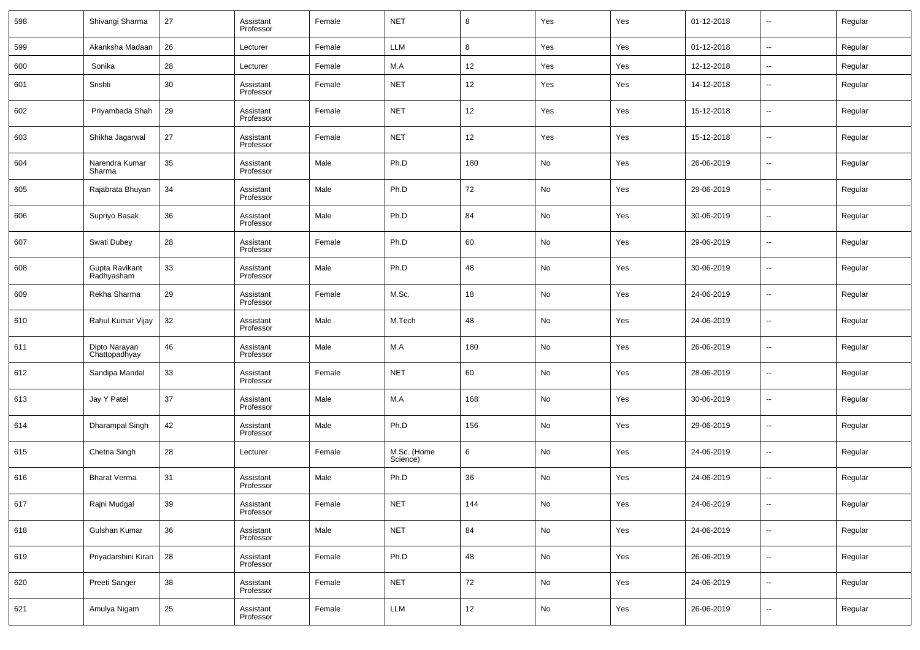| 598 | Shivangi Sharma                | 27 | Assistant<br>Professor | Female | <b>NET</b>              | 8   | Yes | Yes | 01-12-2018 | ٠.                       | Regular |
|-----|--------------------------------|----|------------------------|--------|-------------------------|-----|-----|-----|------------|--------------------------|---------|
| 599 | Akanksha Madaan                | 26 | Lecturer               | Female | <b>LLM</b>              | 8   | Yes | Yes | 01-12-2018 | $\sim$                   | Regular |
| 600 | Sonika                         | 28 | Lecturer               | Female | M.A                     | 12  | Yes | Yes | 12-12-2018 | $\overline{\phantom{a}}$ | Regular |
| 601 | Srishti                        | 30 | Assistant<br>Professor | Female | <b>NET</b>              | 12  | Yes | Yes | 14-12-2018 | $\overline{\phantom{a}}$ | Regular |
| 602 | Priyambada Shah                | 29 | Assistant<br>Professor | Female | <b>NET</b>              | 12  | Yes | Yes | 15-12-2018 | $\overline{\phantom{a}}$ | Regular |
| 603 | Shikha Jagarwal                | 27 | Assistant<br>Professor | Female | <b>NET</b>              | 12  | Yes | Yes | 15-12-2018 | $\sim$                   | Regular |
| 604 | Narendra Kumar<br>Sharma       | 35 | Assistant<br>Professor | Male   | Ph.D                    | 180 | No  | Yes | 26-06-2019 | $\overline{\phantom{a}}$ | Regular |
| 605 | Rajabrata Bhuyan               | 34 | Assistant<br>Professor | Male   | Ph.D                    | 72  | No  | Yes | 29-06-2019 | $\sim$                   | Regular |
| 606 | Supriyo Basak                  | 36 | Assistant<br>Professor | Male   | Ph.D                    | 84  | No  | Yes | 30-06-2019 | $\overline{\phantom{a}}$ | Regular |
| 607 | Swati Dubey                    | 28 | Assistant<br>Professor | Female | Ph.D                    | 60  | No  | Yes | 29-06-2019 | $\overline{\phantom{a}}$ | Regular |
| 608 | Gupta Ravikant<br>Radhyasham   | 33 | Assistant<br>Professor | Male   | Ph.D                    | 48  | No  | Yes | 30-06-2019 | $\overline{\phantom{a}}$ | Regular |
| 609 | Rekha Sharma                   | 29 | Assistant<br>Professor | Female | M.Sc.                   | 18  | No  | Yes | 24-06-2019 | $\overline{\phantom{a}}$ | Regular |
| 610 | Rahul Kumar Vijay              | 32 | Assistant<br>Professor | Male   | M.Tech                  | 48  | No  | Yes | 24-06-2019 | $\overline{\phantom{a}}$ | Regular |
| 611 | Dipto Narayan<br>Chattopadhyay | 46 | Assistant<br>Professor | Male   | M.A                     | 180 | No  | Yes | 26-06-2019 | $\overline{\phantom{a}}$ | Regular |
| 612 | Sandipa Mandal                 | 33 | Assistant<br>Professor | Female | <b>NET</b>              | 60  | No  | Yes | 28-06-2019 | $\overline{\phantom{a}}$ | Regular |
| 613 | Jay Y Patel                    | 37 | Assistant<br>Professor | Male   | M.A                     | 168 | No  | Yes | 30-06-2019 | $\overline{\phantom{a}}$ | Regular |
| 614 | Dharampal Singh                | 42 | Assistant<br>Professor | Male   | Ph.D                    | 156 | No  | Yes | 29-06-2019 | $\overline{\phantom{a}}$ | Regular |
| 615 | Chetna Singh                   | 28 | Lecturer               | Female | M.Sc. (Home<br>Science) | 6   | No  | Yes | 24-06-2019 | $\overline{\phantom{a}}$ | Regular |
| 616 | <b>Bharat Verma</b>            | 31 | Assistant<br>Professor | Male   | Ph.D                    | 36  | No  | Yes | 24-06-2019 | $\overline{\phantom{a}}$ | Regular |
| 617 | Rajni Mudgal                   | 39 | Assistant<br>Professor | Female | NET                     | 144 | No  | Yes | 24-06-2019 | $\overline{\phantom{a}}$ | Regular |
| 618 | Gulshan Kumar                  | 36 | Assistant<br>Professor | Male   | <b>NET</b>              | 84  | No  | Yes | 24-06-2019 | $\sim$                   | Regular |
| 619 | Priyadarshini Kiran            | 28 | Assistant<br>Professor | Female | Ph.D                    | 48  | No  | Yes | 26-06-2019 | $\sim$                   | Regular |
| 620 | Preeti Sanger                  | 38 | Assistant<br>Professor | Female | <b>NET</b>              | 72  | No  | Yes | 24-06-2019 | $\sim$                   | Regular |
| 621 | Amulya Nigam                   | 25 | Assistant<br>Professor | Female | LLM                     | 12  | No  | Yes | 26-06-2019 | $\overline{\phantom{a}}$ | Regular |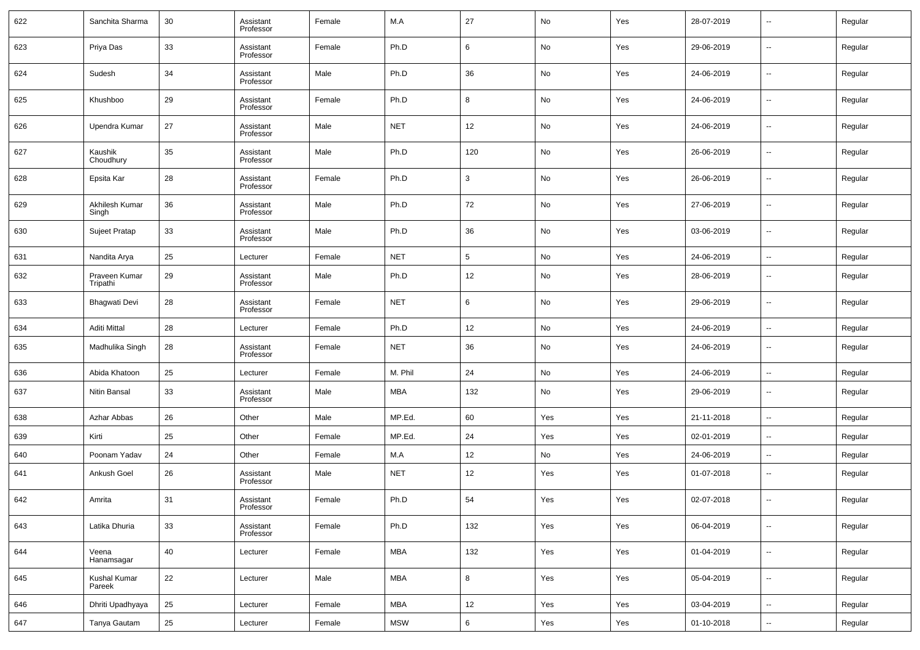| 622 | Sanchita Sharma           | 30 | Assistant<br>Professor | Female | M.A        | 27                | No  | Yes | 28-07-2019 | $\overline{\phantom{a}}$ | Regular |
|-----|---------------------------|----|------------------------|--------|------------|-------------------|-----|-----|------------|--------------------------|---------|
| 623 | Priya Das                 | 33 | Assistant<br>Professor | Female | Ph.D       | 6                 | No  | Yes | 29-06-2019 | $\overline{\phantom{a}}$ | Regular |
| 624 | Sudesh                    | 34 | Assistant<br>Professor | Male   | Ph.D       | 36                | No  | Yes | 24-06-2019 | $\overline{\phantom{a}}$ | Regular |
| 625 | Khushboo                  | 29 | Assistant<br>Professor | Female | Ph.D       | 8                 | No  | Yes | 24-06-2019 | $\overline{\phantom{a}}$ | Regular |
| 626 | Upendra Kumar             | 27 | Assistant<br>Professor | Male   | <b>NET</b> | 12                | No  | Yes | 24-06-2019 | $\overline{\phantom{a}}$ | Regular |
| 627 | Kaushik<br>Choudhury      | 35 | Assistant<br>Professor | Male   | Ph.D       | 120               | No  | Yes | 26-06-2019 | $\overline{\phantom{a}}$ | Regular |
| 628 | Epsita Kar                | 28 | Assistant<br>Professor | Female | Ph.D       | $\mathbf{3}$      | No  | Yes | 26-06-2019 | $\overline{\phantom{a}}$ | Regular |
| 629 | Akhilesh Kumar<br>Singh   | 36 | Assistant<br>Professor | Male   | Ph.D       | 72                | No  | Yes | 27-06-2019 | $\overline{\phantom{a}}$ | Regular |
| 630 | Sujeet Pratap             | 33 | Assistant<br>Professor | Male   | Ph.D       | 36                | No  | Yes | 03-06-2019 | $\overline{\phantom{a}}$ | Regular |
| 631 | Nandita Arya              | 25 | Lecturer               | Female | <b>NET</b> | $5\phantom{.0}$   | No  | Yes | 24-06-2019 | $\overline{\phantom{a}}$ | Regular |
| 632 | Praveen Kumar<br>Tripathi | 29 | Assistant<br>Professor | Male   | Ph.D       | 12                | No  | Yes | 28-06-2019 | --                       | Regular |
| 633 | <b>Bhagwati Devi</b>      | 28 | Assistant<br>Professor | Female | <b>NET</b> | 6                 | No  | Yes | 29-06-2019 | --                       | Regular |
| 634 | <b>Aditi Mittal</b>       | 28 | Lecturer               | Female | Ph.D       | 12                | No  | Yes | 24-06-2019 | $\overline{\phantom{a}}$ | Regular |
| 635 | Madhulika Singh           | 28 | Assistant<br>Professor | Female | <b>NET</b> | 36                | No  | Yes | 24-06-2019 | $\sim$                   | Regular |
| 636 | Abida Khatoon             | 25 | Lecturer               | Female | M. Phil    | 24                | No  | Yes | 24-06-2019 | $\sim$                   | Regular |
| 637 | Nitin Bansal              | 33 | Assistant<br>Professor | Male   | <b>MBA</b> | 132               | No  | Yes | 29-06-2019 | --                       | Regular |
| 638 | Azhar Abbas               | 26 | Other                  | Male   | MP.Ed.     | 60                | Yes | Yes | 21-11-2018 | --                       | Regular |
| 639 | Kirti                     | 25 | Other                  | Female | MP.Ed.     | 24                | Yes | Yes | 02-01-2019 | --                       | Regular |
| 640 | Poonam Yadav              | 24 | Other                  | Female | M.A        | 12                | No  | Yes | 24-06-2019 | --                       | Regular |
| 641 | Ankush Goel               | 26 | Assistant<br>Professor | Male   | <b>NET</b> | 12                | Yes | Yes | 01-07-2018 | $\sim$                   | Regular |
| 642 | Amrita                    | 31 | Assistant<br>Professor | Female | Ph.D       | 54                | Yes | Yes | 02-07-2018 |                          | Regular |
| 643 | Latika Dhuria             | 33 | Assistant<br>Professor | Female | Ph.D       | 132               | Yes | Yes | 06-04-2019 | u,                       | Regular |
| 644 | Veena<br>Hanamsagar       | 40 | Lecturer               | Female | MBA        | 132               | Yes | Yes | 01-04-2019 | u,                       | Regular |
| 645 | Kushal Kumar<br>Pareek    | 22 | Lecturer               | Male   | MBA        | 8                 | Yes | Yes | 05-04-2019 | $\mathbb{Z}^2$           | Regular |
| 646 | Dhriti Upadhyaya          | 25 | Lecturer               | Female | MBA        | $12 \overline{ }$ | Yes | Yes | 03-04-2019 | $\mathbb{Z}^2$           | Regular |
| 647 | Tanya Gautam              | 25 | Lecturer               | Female | <b>MSW</b> | $6\phantom{.0}$   | Yes | Yes | 01-10-2018 | $\overline{\phantom{a}}$ | Regular |